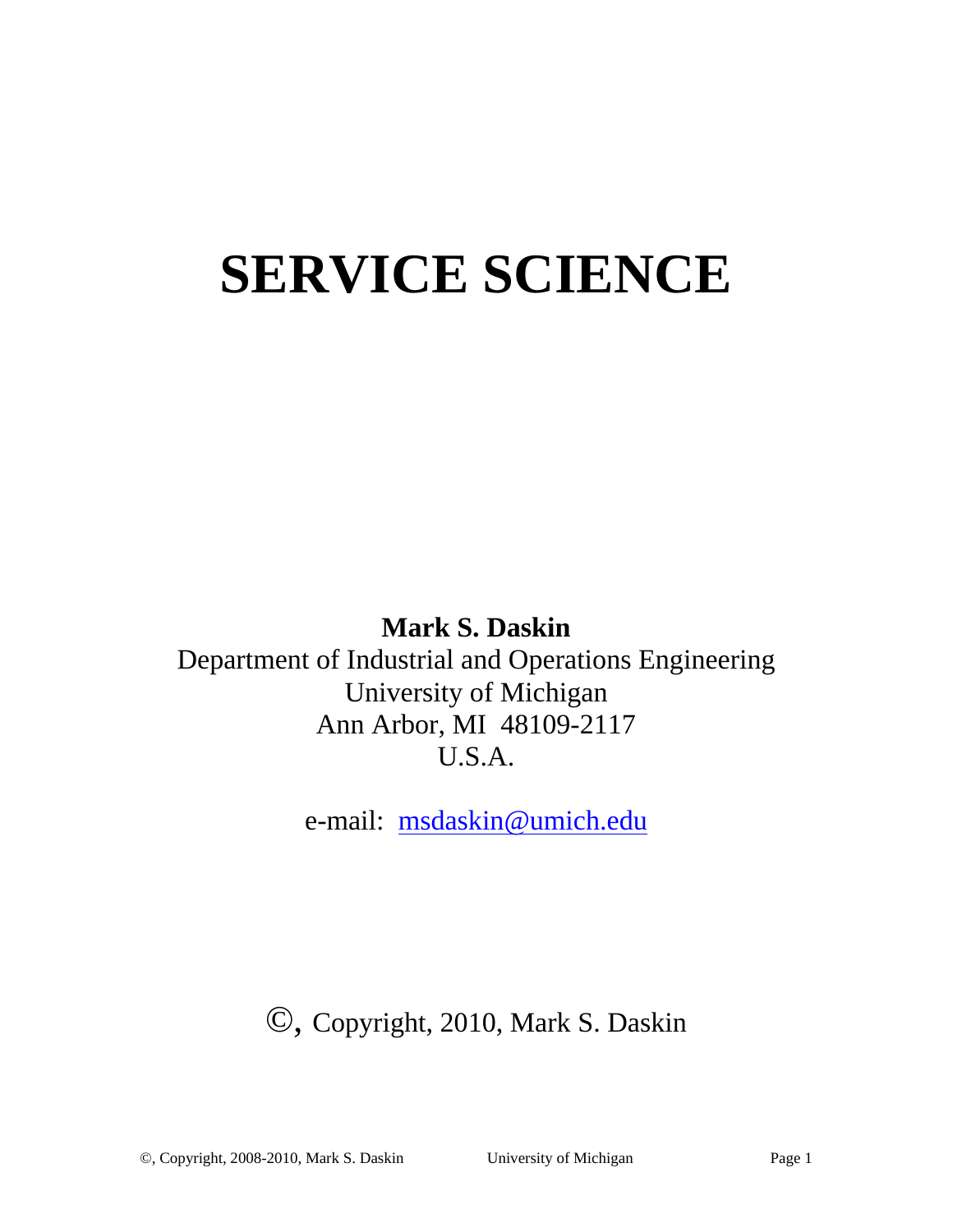# **SERVICE SCIENCE**

### **Mark S. Daskin**

Department of Industrial and Operations Engineering University of Michigan Ann Arbor, MI 48109-2117 U.S.A.

e-mail: msdaskin@umich.edu

# ©, Copyright, 2010, Mark S. Daskin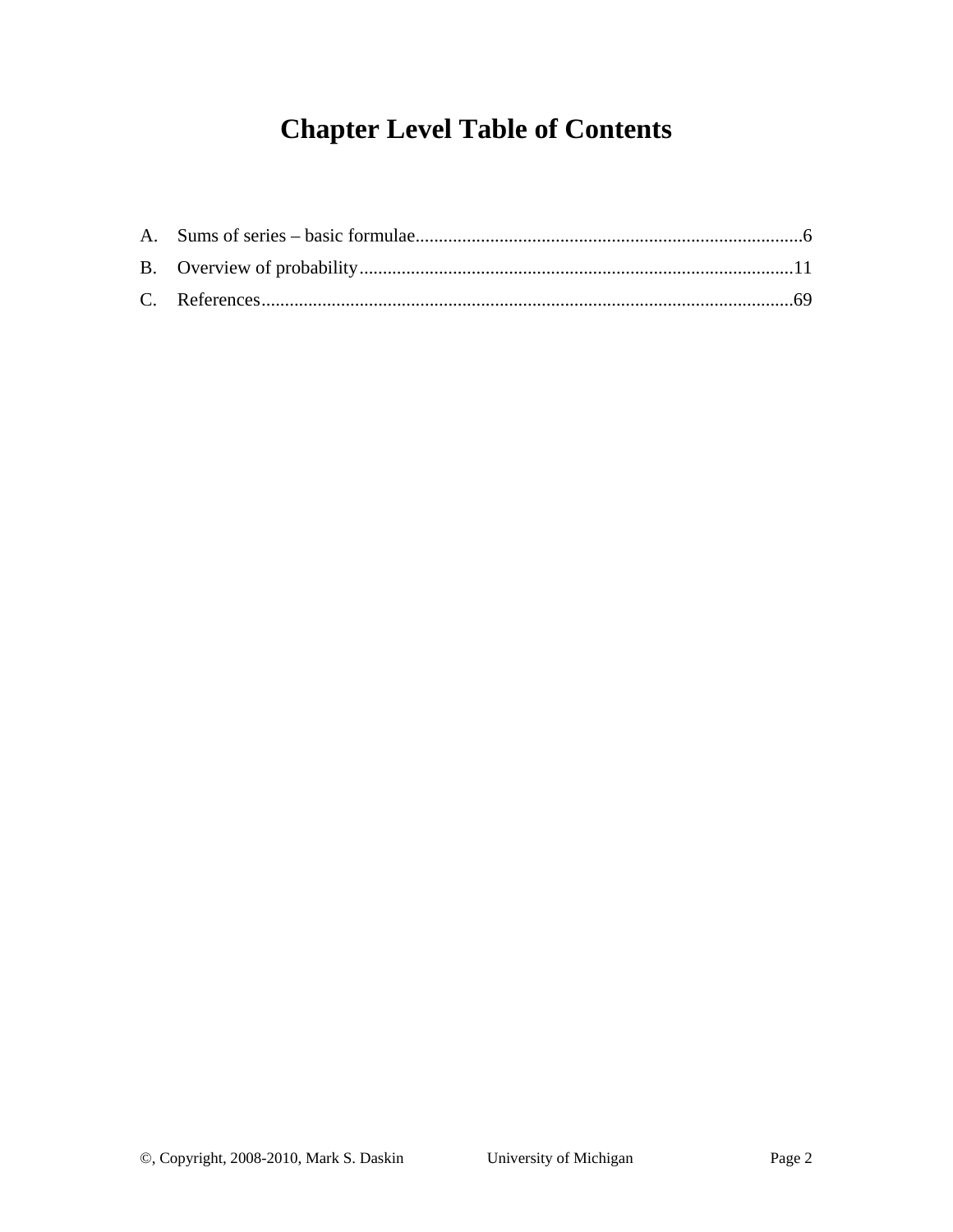# **Chapter Level Table of Contents**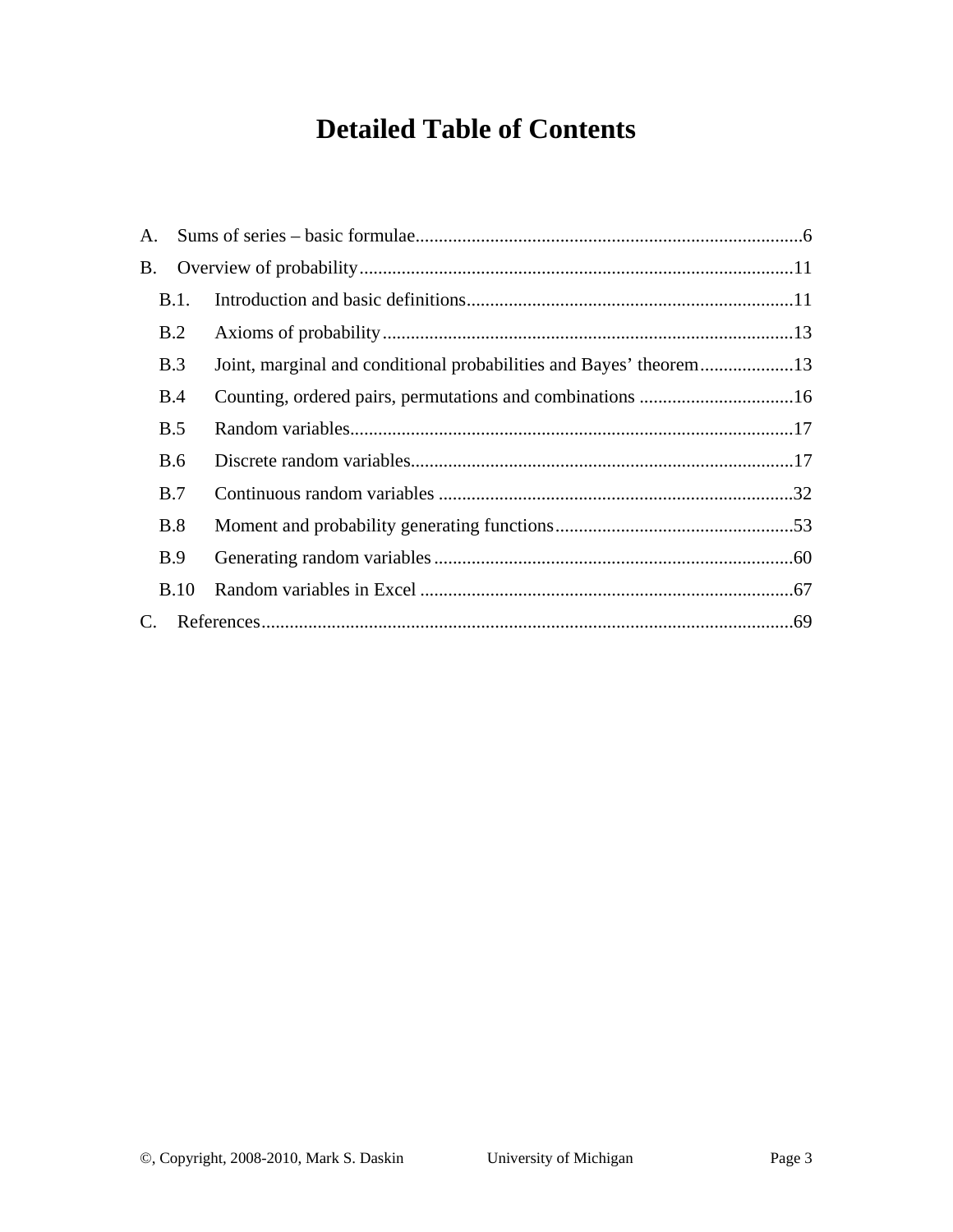# **Detailed Table of Contents**

| B.1.        |                                                                    |  |  |  |  |
|-------------|--------------------------------------------------------------------|--|--|--|--|
| B.2         |                                                                    |  |  |  |  |
| B.3         | Joint, marginal and conditional probabilities and Bayes' theorem13 |  |  |  |  |
| B.4         |                                                                    |  |  |  |  |
| B.5         |                                                                    |  |  |  |  |
| B.6         |                                                                    |  |  |  |  |
| B.7         |                                                                    |  |  |  |  |
| B.8         |                                                                    |  |  |  |  |
| <b>B.9</b>  |                                                                    |  |  |  |  |
| <b>B.10</b> |                                                                    |  |  |  |  |
| C.          |                                                                    |  |  |  |  |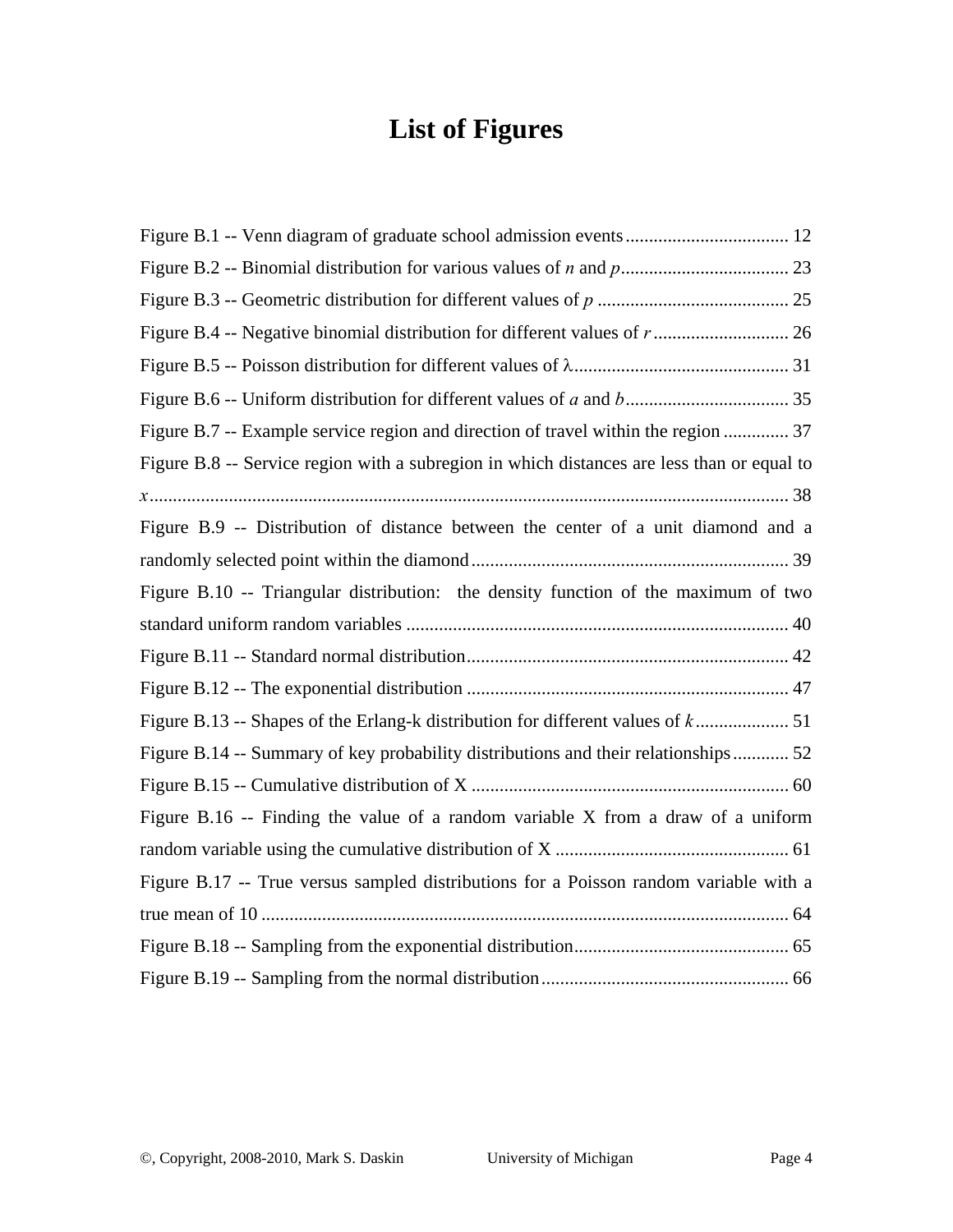# **List of Figures**

| Figure B.7 -- Example service region and direction of travel within the region  37         |
|--------------------------------------------------------------------------------------------|
| Figure B.8 -- Service region with a subregion in which distances are less than or equal to |
|                                                                                            |
| Figure B.9 -- Distribution of distance between the center of a unit diamond and a          |
|                                                                                            |
| Figure B.10 -- Triangular distribution: the density function of the maximum of two         |
|                                                                                            |
|                                                                                            |
|                                                                                            |
|                                                                                            |
| Figure B.14 -- Summary of key probability distributions and their relationships 52         |
|                                                                                            |
| Figure B.16 -- Finding the value of a random variable $X$ from a draw of a uniform         |
|                                                                                            |
| Figure B.17 -- True versus sampled distributions for a Poisson random variable with a      |
|                                                                                            |
|                                                                                            |
|                                                                                            |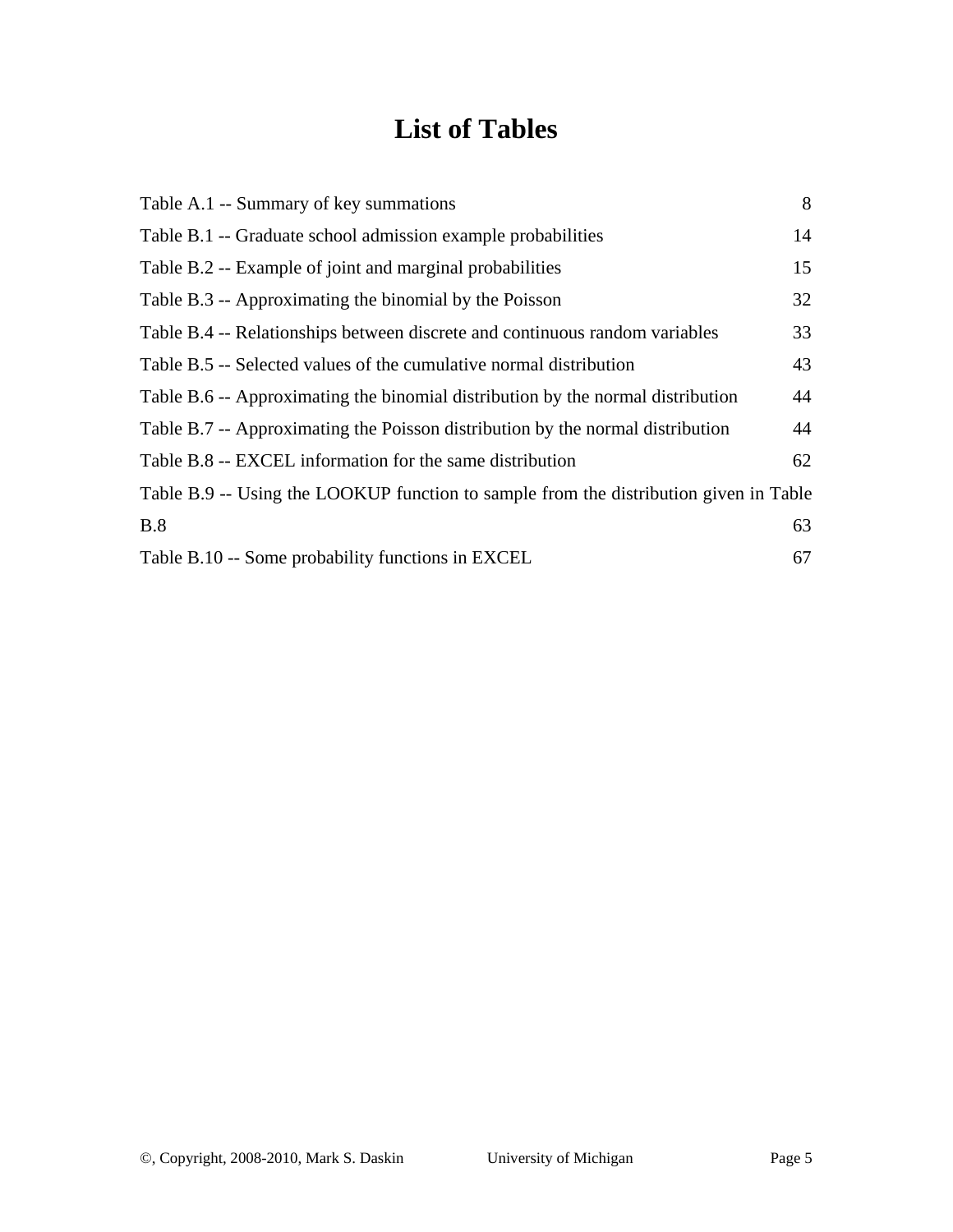# **List of Tables**

| Table A.1 -- Summary of key summations                                                | 8  |
|---------------------------------------------------------------------------------------|----|
| Table B.1 -- Graduate school admission example probabilities                          | 14 |
| Table B.2 -- Example of joint and marginal probabilities                              | 15 |
| Table B.3 -- Approximating the binomial by the Poisson                                | 32 |
| Table B.4 -- Relationships between discrete and continuous random variables           | 33 |
| Table B.5 -- Selected values of the cumulative normal distribution                    | 43 |
| Table B.6 -- Approximating the binomial distribution by the normal distribution       | 44 |
| Table B.7 -- Approximating the Poisson distribution by the normal distribution        | 44 |
| Table B.8 -- EXCEL information for the same distribution                              | 62 |
| Table B.9 -- Using the LOOKUP function to sample from the distribution given in Table |    |
| B.8                                                                                   | 63 |
| Table B.10 -- Some probability functions in EXCEL                                     | 67 |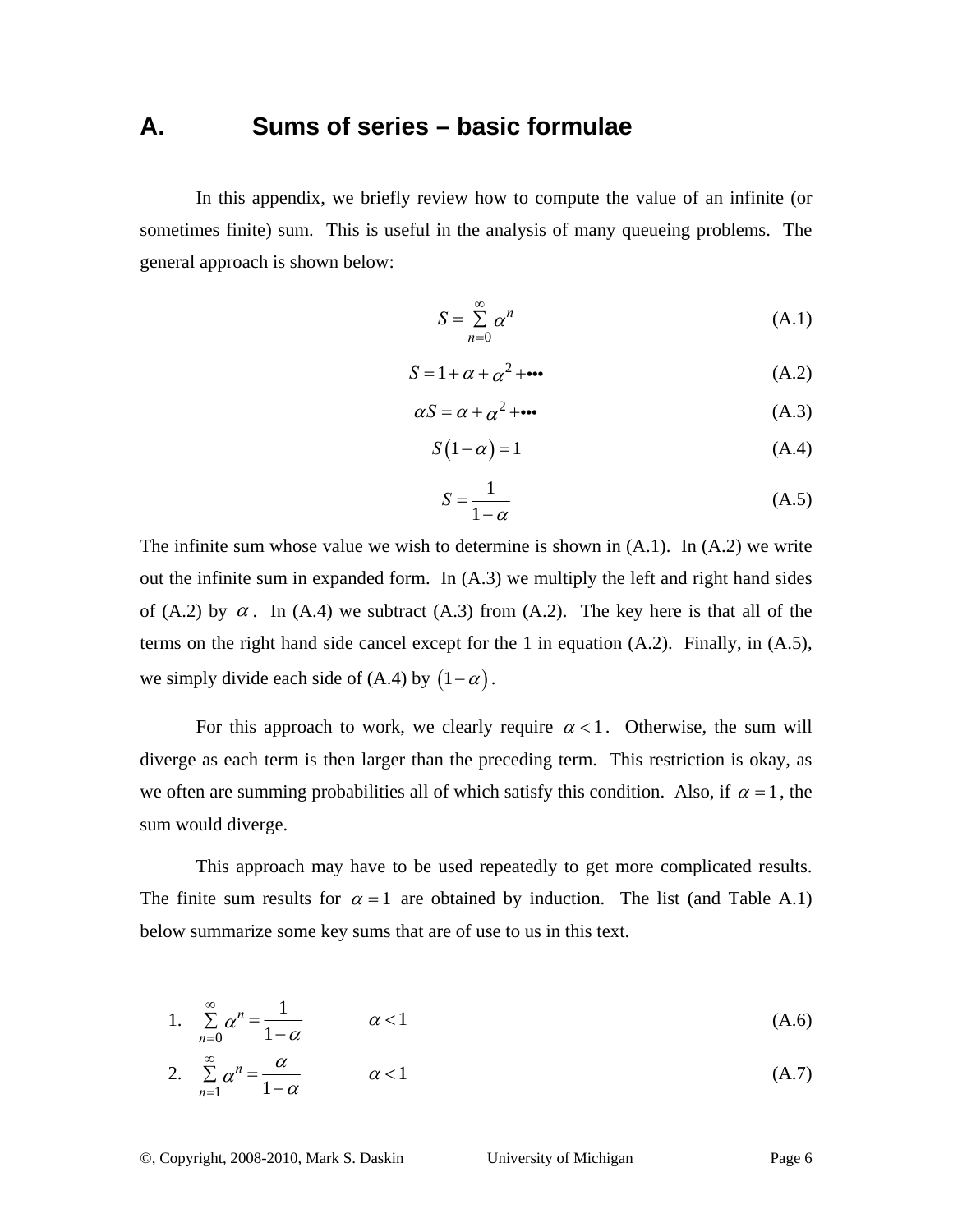### **A. Sums of series – basic formulae**

In this appendix, we briefly review how to compute the value of an infinite (or sometimes finite) sum. This is useful in the analysis of many queueing problems. The general approach is shown below:

$$
S = \sum_{n=0}^{\infty} \alpha^n
$$
 (A.1)

$$
S = 1 + \alpha + \alpha^2 + \cdots \tag{A.2}
$$

$$
\alpha S = \alpha + \alpha^2 + \cdots \tag{A.3}
$$

$$
S(1 - \alpha) = 1 \tag{A.4}
$$

$$
S = \frac{1}{1 - \alpha} \tag{A.5}
$$

The infinite sum whose value we wish to determine is shown in  $(A.1)$ . In  $(A.2)$  we write out the infinite sum in expanded form. In (A.3) we multiply the left and right hand sides of (A.2) by  $\alpha$ . In (A.4) we subtract (A.3) from (A.2). The key here is that all of the terms on the right hand side cancel except for the 1 in equation (A.2). Finally, in (A.5), we simply divide each side of (A.4) by  $(1-\alpha)$ .

For this approach to work, we clearly require  $\alpha < 1$ . Otherwise, the sum will diverge as each term is then larger than the preceding term. This restriction is okay, as we often are summing probabilities all of which satisfy this condition. Also, if  $\alpha = 1$ , the sum would diverge.

This approach may have to be used repeatedly to get more complicated results. The finite sum results for  $\alpha = 1$  are obtained by induction. The list (and Table A.1) below summarize some key sums that are of use to us in this text.

1. 
$$
\sum_{n=0}^{\infty} \alpha^n = \frac{1}{1-\alpha} \qquad \alpha < 1
$$
 (A.6)

2. 
$$
\sum_{n=1}^{\infty} \alpha^n = \frac{\alpha}{1-\alpha} \qquad \alpha < 1
$$
 (A.7)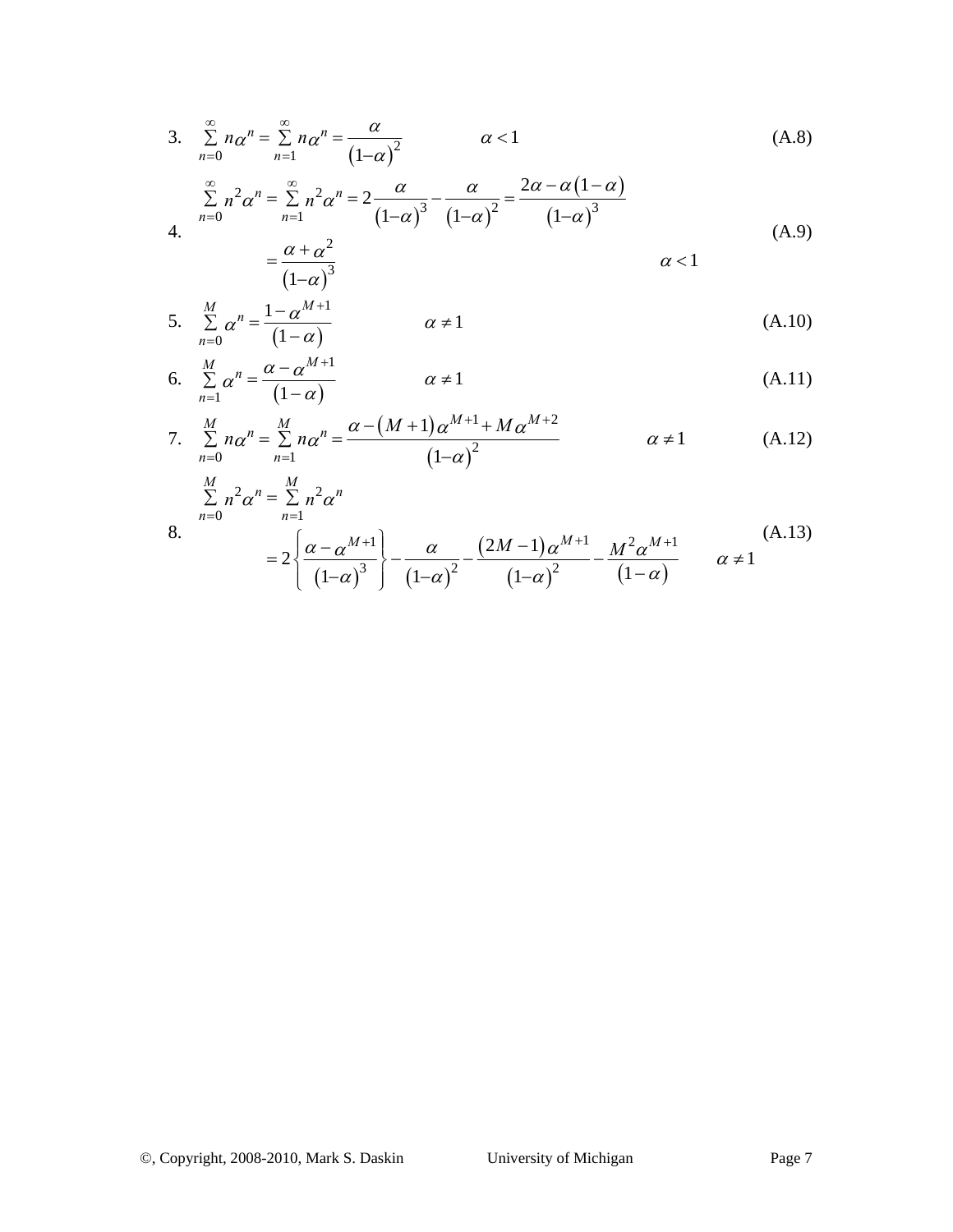3. 
$$
\sum_{n=0}^{\infty} n \alpha^n = \sum_{n=1}^{\infty} n \alpha^n = \frac{\alpha}{(1-\alpha)^2}
$$
  $\alpha < 1$  (A.8)

$$
\sum_{n=0}^{\infty} n^2 \alpha^n = \sum_{n=1}^{\infty} n^2 \alpha^n = 2 \frac{\alpha}{(1-\alpha)^3} - \frac{\alpha}{(1-\alpha)^2} = \frac{2\alpha - \alpha(1-\alpha)}{(1-\alpha)^3}
$$
\n
$$
\alpha + \alpha^2
$$
\n(A.9)

$$
=\frac{\alpha+\alpha^2}{(1-\alpha)^3} \qquad \qquad \alpha<1
$$

5. 
$$
\sum_{n=0}^{M} \alpha^n = \frac{1 - \alpha^{M+1}}{(1 - \alpha)}
$$
  $\alpha \neq 1$  (A.10)

6. 
$$
\sum_{n=1}^{M} \alpha^n = \frac{\alpha - \alpha^{M+1}}{(1 - \alpha)}
$$
  $\alpha \neq 1$  (A.11)

7. 
$$
\sum_{n=0}^{M} n \alpha^{n} = \sum_{n=1}^{M} n \alpha^{n} = \frac{\alpha - (M+1) \alpha^{M+1} + M \alpha^{M+2}}{(1-\alpha)^{2}}
$$
  $\alpha \neq 1$  (A.12)

$$
\sum_{n=0}^{M} n^2 \alpha^n = \sum_{n=1}^{M} n^2 \alpha^n
$$

$$
=2\left\{\frac{\alpha-\alpha^{M+1}}{(1-\alpha)^3}\right\}-\frac{\alpha}{(1-\alpha)^2}-\frac{(2M-1)\alpha^{M+1}}{(1-\alpha)^2}-\frac{M^2\alpha^{M+1}}{(1-\alpha)}\qquad\alpha\neq 1
$$
\n(A.13)

8.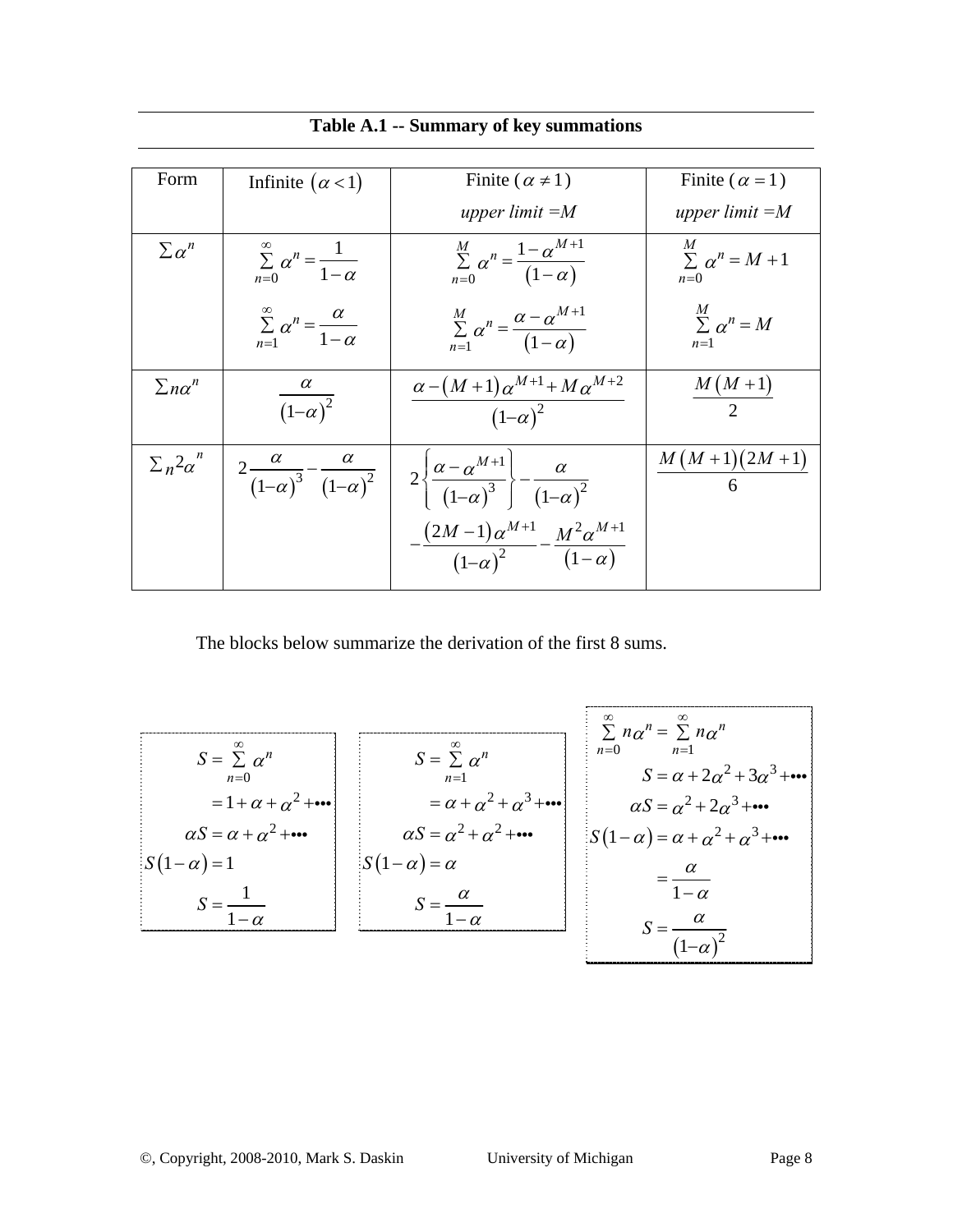| Form                   | Infinite $(\alpha < 1)$                                    | Finite ( $\alpha \neq 1$ )                                                             | Finite ( $\alpha$ = 1)                           |
|------------------------|------------------------------------------------------------|----------------------------------------------------------------------------------------|--------------------------------------------------|
|                        |                                                            | upper limit $=M$                                                                       | upper limit $=M$                                 |
| $\sum \alpha^n$        | $\sum_{n=0}^{\infty} \alpha^n = \frac{1}{1-\alpha}$        | $\sum_{n=0}^{M} \alpha^{n} = \frac{1 - \alpha^{M+1}}{(1 - \alpha)}$                    | $\overline{M}$<br>$\sum \alpha^n = M+1$<br>$n=0$ |
|                        | $\sum_{n=1}^{\infty} \alpha^n = \frac{\alpha}{1-\alpha}$   | $\sum_{n=1}^M \alpha^n = \frac{\alpha - \alpha^{M+1}}{(1-\alpha)}$                     | M<br>$\sum \alpha^n = M$<br>$n=1$                |
| $\sum n \alpha^n$      | $\frac{\alpha}{(1-\alpha)^2}$                              | $\frac{\alpha-(M+1)}{\alpha^{M+1}+M\alpha^{M+2}}$<br>$(1-\alpha)^2$                    | $M(M+1)$<br>$\mathcal{L}$                        |
| $\sum_{n} 2\alpha^{n}$ | $2\frac{\alpha}{(1-\alpha)^3}-\frac{\alpha}{(1-\alpha)^2}$ | $2\left\{\frac{\alpha-\alpha^{M+1}}{(1-\alpha)^3}\right\}-\frac{\alpha}{(1-\alpha)^2}$ | $M(M+1)(2M+1)$                                   |
|                        |                                                            | $\frac{(2M-1)\alpha^{M+1}}{(1-\alpha)^2} - \frac{M^2\alpha^{M+1}}{(1-\alpha)}$         |                                                  |

#### **Table A.1 -- Summary of key summations**

The blocks below summarize the derivation of the first 8 sums.

$$
S = \sum_{n=0}^{\infty} \alpha^n
$$
  
\n
$$
S = \sum_{n=0}^{\infty} \alpha^n
$$
  
\n
$$
= 1 + \alpha + \alpha^2 + \cdots
$$
  
\n
$$
\alpha S = \alpha + \alpha^2 + \cdots
$$
  
\n
$$
S = \sum_{n=1}^{\infty} \alpha^n
$$
  
\n
$$
S = \sum_{n=1}^{\infty} \alpha^n
$$
  
\n
$$
S = \sum_{n=1}^{\infty} \alpha^n
$$
  
\n
$$
S = \alpha + 2\alpha^2 + 3\alpha^3 + \cdots
$$
  
\n
$$
\alpha S = \alpha^2 + \alpha^3 + \cdots
$$
  
\n
$$
\alpha S = \alpha^2 + 2\alpha^3 + \cdots
$$
  
\n
$$
S = \frac{\alpha}{1 - \alpha}
$$
  
\n
$$
S = \frac{\alpha}{1 - \alpha}
$$
  
\n
$$
S = \frac{\alpha}{(1 - \alpha)^2}
$$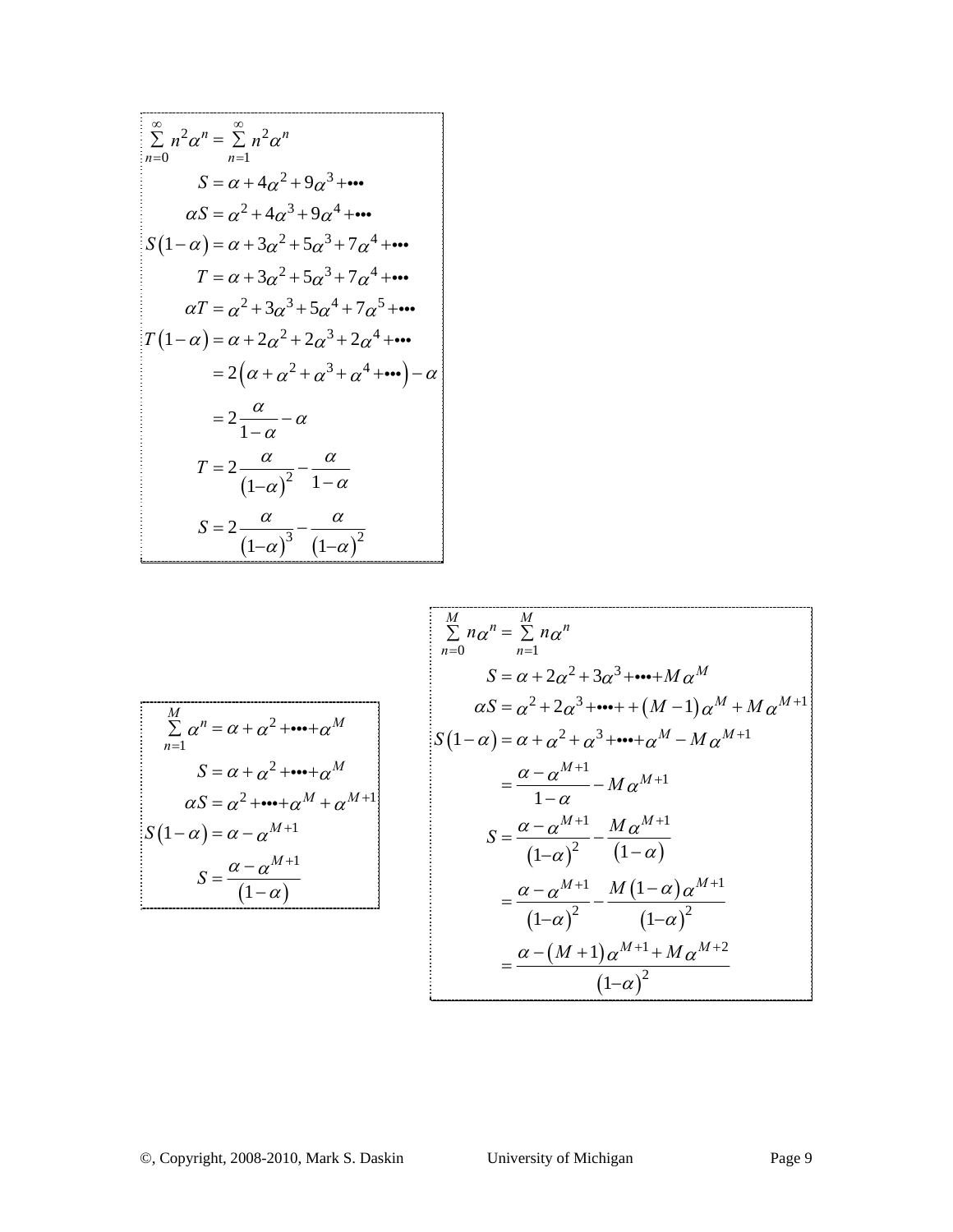$$
\sum_{n=0}^{\infty} n^2 \alpha^n = \sum_{n=1}^{\infty} n^2 \alpha^n
$$
  
\n
$$
S = \alpha + 4\alpha^2 + 9\alpha^3 + \cdots
$$
  
\n
$$
\alpha S = \alpha^2 + 4\alpha^3 + 9\alpha^4 + \cdots
$$
  
\n
$$
S(1-\alpha) = \alpha + 3\alpha^2 + 5\alpha^3 + 7\alpha^4 + \cdots
$$
  
\n
$$
T = \alpha + 3\alpha^2 + 5\alpha^3 + 7\alpha^4 + \cdots
$$
  
\n
$$
\alpha T = \alpha^2 + 3\alpha^3 + 5\alpha^4 + 7\alpha^5 + \cdots
$$
  
\n
$$
T(1-\alpha) = \alpha + 2\alpha^2 + 2\alpha^3 + 2\alpha^4 + \cdots
$$
  
\n
$$
= 2(\alpha + \alpha^2 + \alpha^3 + \alpha^4 + \cdots) - \alpha
$$
  
\n
$$
= 2\frac{\alpha}{1-\alpha} - \alpha
$$
  
\n
$$
T = 2\frac{\alpha}{(1-\alpha)^2} - \frac{\alpha}{1-\alpha}
$$
  
\n
$$
S = 2\frac{\alpha}{(1-\alpha)^3} - \frac{\alpha}{(1-\alpha)^2}
$$

$$
\frac{M}{\sum_{n=1}^{M} a_n} = \frac{M}{\sum_{n=1}^{M} a_n}
$$
\n
$$
S = \alpha + \alpha^2 + \dots + \alpha^M
$$
\n
$$
S = \alpha + \alpha^2 + \dots + \alpha^M
$$
\n
$$
S = \alpha + \alpha^2 + \dots + \alpha^M
$$
\n
$$
S = \alpha^2 + \alpha^2 + \dots + \alpha^M
$$
\n
$$
S = \alpha^2 + \alpha^2 + \dots + \alpha^M
$$
\n
$$
S = \alpha^2 + \alpha^2 + \dots + \alpha^M
$$
\n
$$
S = \alpha^2 + \dots + \alpha^M + \alpha^{M+1}
$$
\n
$$
S = \frac{\alpha - \alpha^{M+1}}{1 - \alpha} - M \alpha^{M+1}
$$
\n
$$
S = \frac{\alpha - \alpha^{M+1}}{(1 - \alpha)^2} - \frac{M \alpha^{M+1}}{(1 - \alpha)}
$$
\n
$$
S = \frac{\alpha - \alpha^{M+1}}{(1 - \alpha)^2} - \frac{M (1 - \alpha) \alpha^{M+1}}{(1 - \alpha)^2}
$$
\n
$$
= \frac{\alpha - (M + 1) \alpha^{M+1} + M \alpha^{M+2}}{(1 - \alpha)^2}
$$

1

=

*n*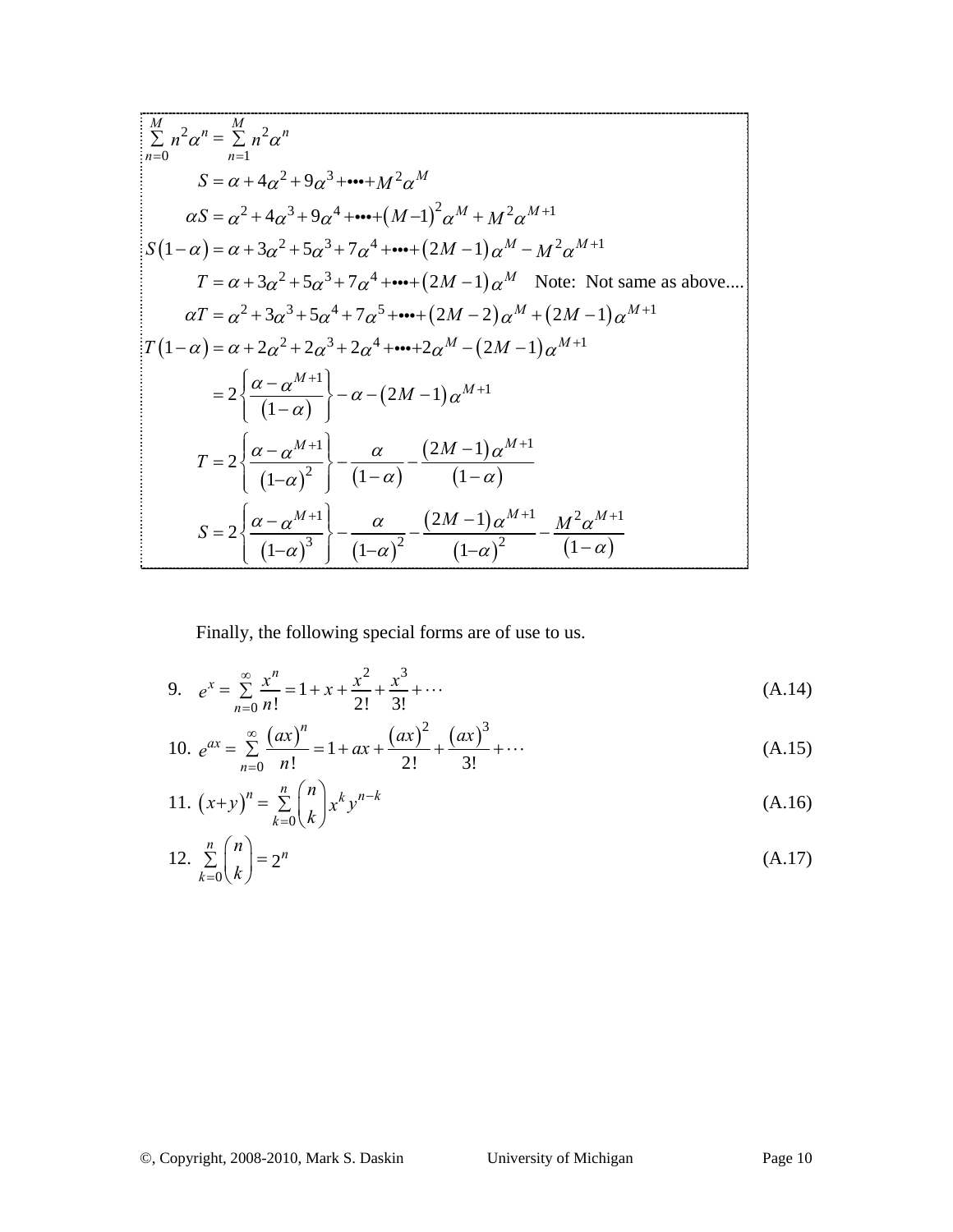$$
\begin{aligned}\n&\frac{M}{\sum n^{2}} \sum_{n=0}^{M} n^{2} \alpha^{n} = \sum_{n=1}^{M} n^{2} \alpha^{n} \\
&S = \alpha + 4\alpha^{2} + 9\alpha^{3} + \cdots + M^{2} \alpha^{M} \\
&\alpha S = \alpha^{2} + 4\alpha^{3} + 9\alpha^{4} + \cdots + (M-1)^{2} \alpha^{M} + M^{2} \alpha^{M+1} \\
&S(1-\alpha) = \alpha + 3\alpha^{2} + 5\alpha^{3} + 7\alpha^{4} + \cdots + (2M-1)\alpha^{M} - M^{2} \alpha^{M+1} \\
&T = \alpha + 3\alpha^{2} + 5\alpha^{3} + 7\alpha^{4} + \cdots + (2M-1)\alpha^{M} \quad \text{Note: Not same as above...} \\
&\alpha T = \alpha^{2} + 3\alpha^{3} + 5\alpha^{4} + 7\alpha^{5} + \cdots + (2M-2)\alpha^{M} + (2M-1)\alpha^{M+1} \\
&= 2\left\{\frac{\alpha - \alpha^{M+1}}{(1-\alpha)}\right\} - \alpha - (2M-1)\alpha^{M+1} \\
&T = 2\left\{\frac{\alpha - \alpha^{M+1}}{(1-\alpha)^{2}}\right\} - \frac{\alpha}{(1-\alpha)} - \frac{(2M-1)\alpha^{M+1}}{(1-\alpha)} \\
&S = 2\left\{\frac{\alpha - \alpha^{M+1}}{(1-\alpha)^{2}}\right\} - \frac{\alpha}{(1-\alpha)^{2}} - \frac{(2M-1)\alpha^{M+1}}{(1-\alpha)^{2}} - \frac{M^{2}\alpha^{M+1}}{(1-\alpha)}\n\end{aligned}
$$

Finally, the following special forms are of use to us.

9. 
$$
e^x = \sum_{n=0}^{\infty} \frac{x^n}{n!} = 1 + x + \frac{x^2}{2!} + \frac{x^3}{3!} + \cdots
$$
 (A.14)

10. 
$$
e^{ax} = \sum_{n=0}^{\infty} \frac{(ax)^n}{n!} = 1 + ax + \frac{(ax)^2}{2!} + \frac{(ax)^3}{3!} + \cdots
$$
 (A.15)

11. 
$$
(x+y)^n = \sum_{k=0}^n {n \choose k} x^k y^{n-k}
$$
 (A.16)

12. 
$$
\sum_{k=0}^{n} {n \choose k} = 2^{n}
$$
 (A.17)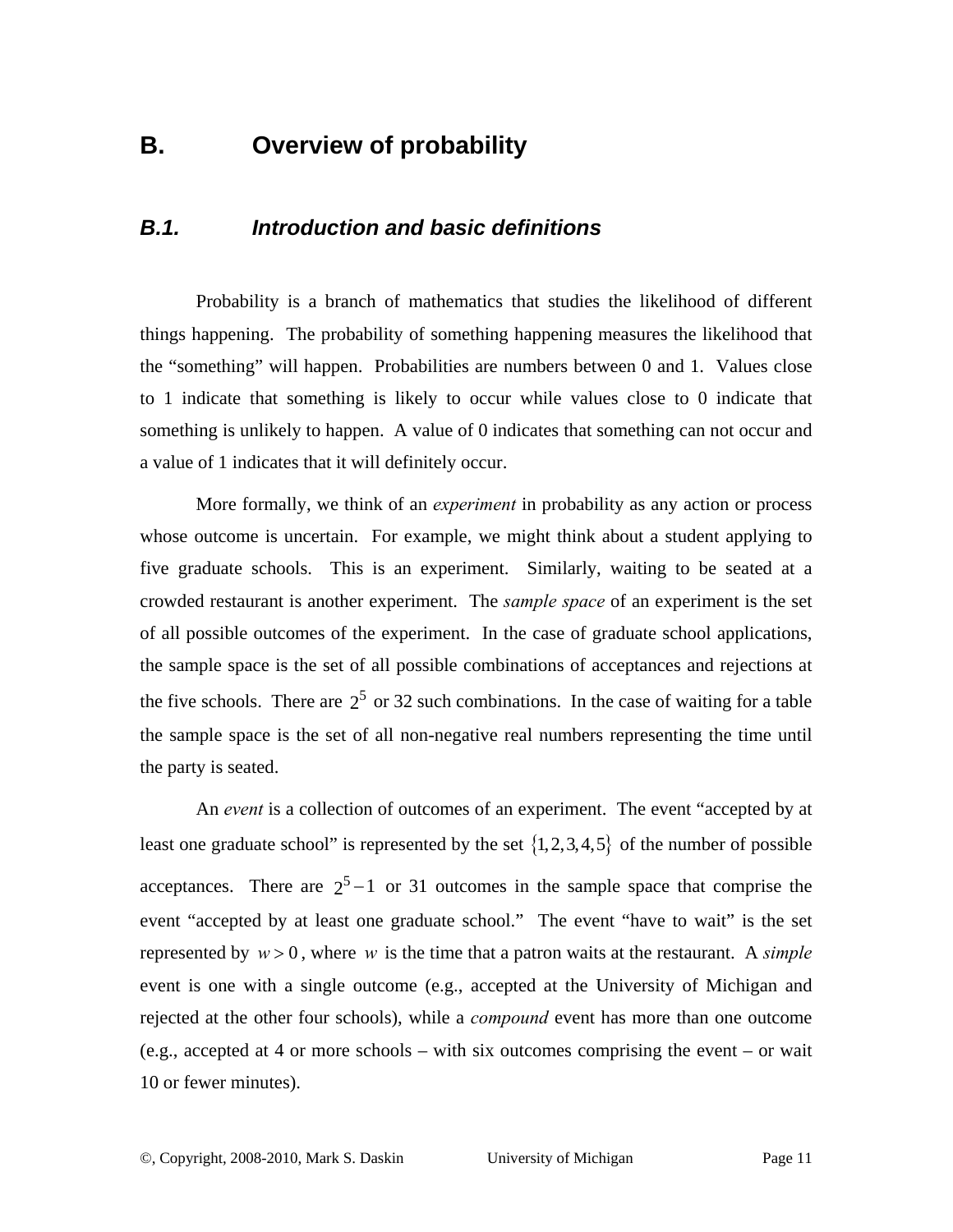### **B. Overview of probability**

#### *B.1. Introduction and basic definitions*

Probability is a branch of mathematics that studies the likelihood of different things happening. The probability of something happening measures the likelihood that the "something" will happen. Probabilities are numbers between 0 and 1. Values close to 1 indicate that something is likely to occur while values close to 0 indicate that something is unlikely to happen. A value of 0 indicates that something can not occur and a value of 1 indicates that it will definitely occur.

More formally, we think of an *experiment* in probability as any action or process whose outcome is uncertain. For example, we might think about a student applying to five graduate schools. This is an experiment. Similarly, waiting to be seated at a crowded restaurant is another experiment. The *sample space* of an experiment is the set of all possible outcomes of the experiment. In the case of graduate school applications, the sample space is the set of all possible combinations of acceptances and rejections at the five schools. There are  $2^5$  or 32 such combinations. In the case of waiting for a table the sample space is the set of all non-negative real numbers representing the time until the party is seated.

An *event* is a collection of outcomes of an experiment. The event "accepted by at least one graduate school" is represented by the set  $\{1,2,3,4,5\}$  of the number of possible acceptances. There are  $2^5 - 1$  or 31 outcomes in the sample space that comprise the event "accepted by at least one graduate school." The event "have to wait" is the set represented by  $w > 0$ , where *w* is the time that a patron waits at the restaurant. A *simple* event is one with a single outcome (e.g., accepted at the University of Michigan and rejected at the other four schools), while a *compound* event has more than one outcome (e.g., accepted at 4 or more schools – with six outcomes comprising the event – or wait 10 or fewer minutes).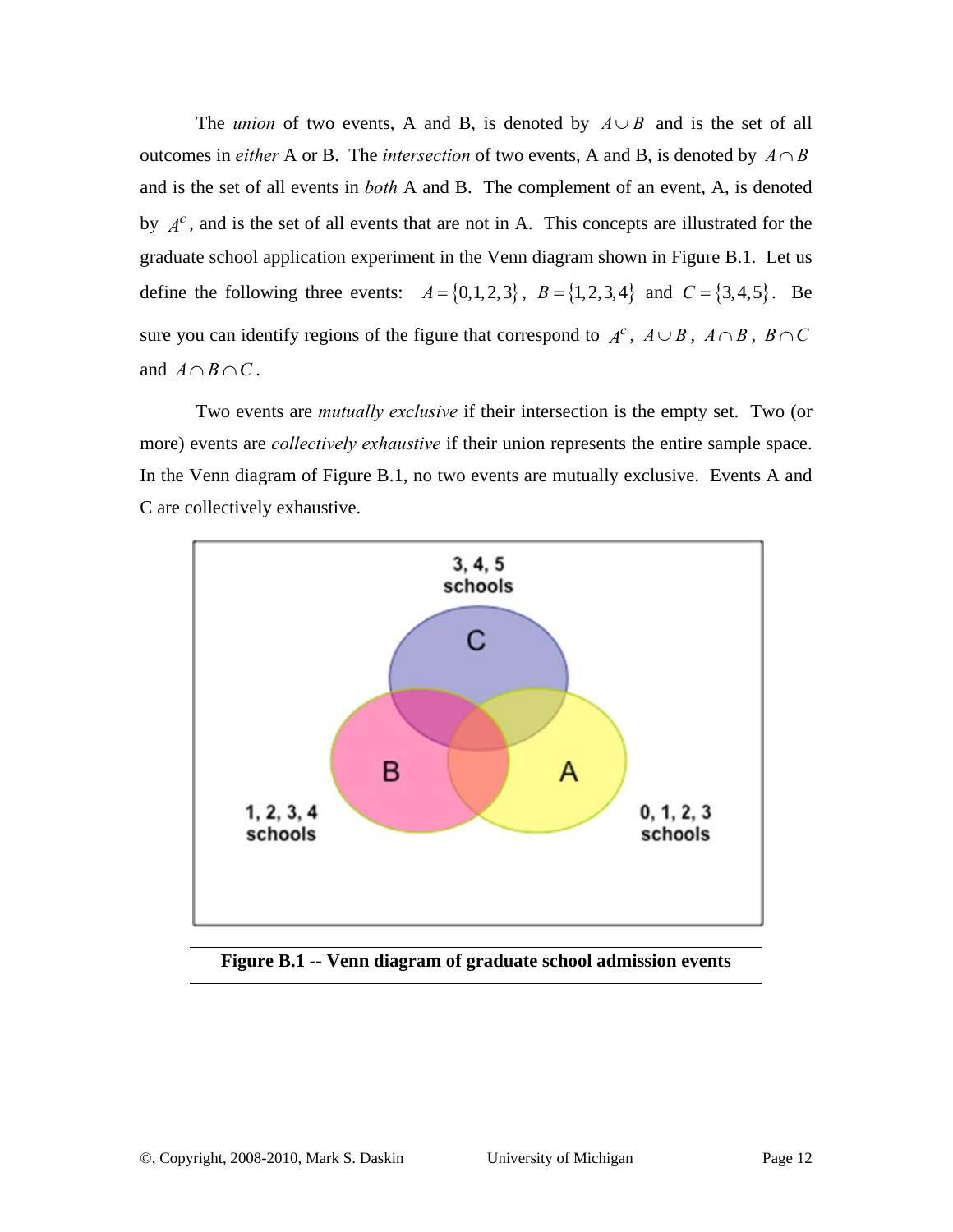The *union* of two events, A and B, is denoted by  $A \cup B$  and is the set of all outcomes in *either* A or B. The *intersection* of two events, A and B, is denoted by  $A \cap B$ and is the set of all events in *both* A and B. The complement of an event, A, is denoted by  $A^c$ , and is the set of all events that are not in A. This concepts are illustrated for the graduate school application experiment in the Venn diagram shown in Figure B.1. Let us define the following three events:  $A = \{0, 1, 2, 3\}$ ,  $B = \{1, 2, 3, 4\}$  and  $C = \{3, 4, 5\}$ . Be sure you can identify regions of the figure that correspond to  $A^c$ ,  $A \cup B$ ,  $A \cap B$ ,  $B \cap C$ and  $A \cap B \cap C$ .

Two events are *mutually exclusive* if their intersection is the empty set. Two (or more) events are *collectively exhaustive* if their union represents the entire sample space. In the Venn diagram of Figure B.1, no two events are mutually exclusive. Events A and C are collectively exhaustive.



**Figure B.1 -- Venn diagram of graduate school admission events**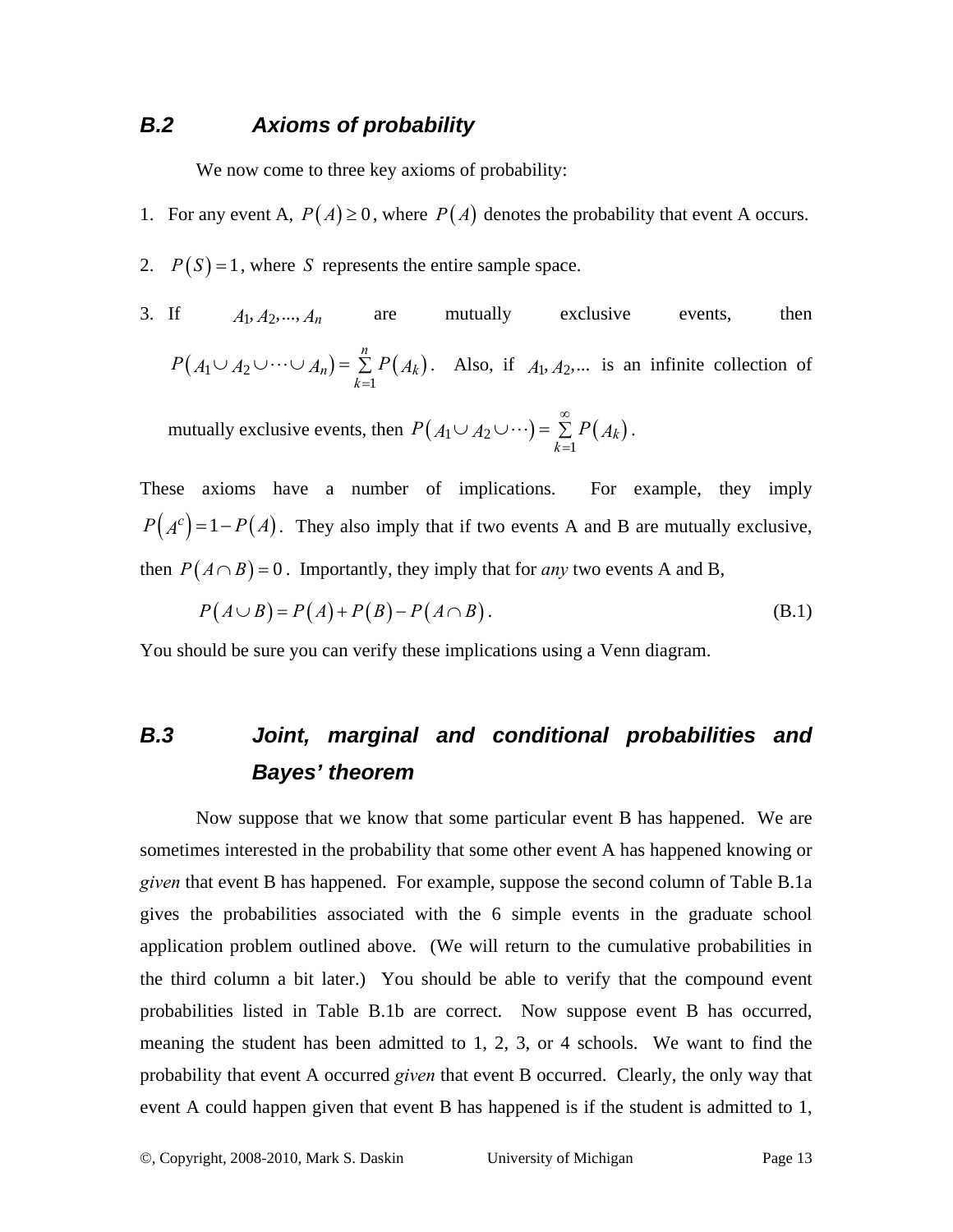#### *B.2 Axioms of probability*

We now come to three key axioms of probability:

- 1. For any event A,  $P(A) \ge 0$ , where  $P(A)$  denotes the probability that event A occurs.
- 2.  $P(S) = 1$ , where *S* represents the entire sample space.
- 3. If  $A_1, A_2, ..., A_n$  are mutually exclusive events, then  $(A_1 \cup A_2 \cup \cdots \cup A_n) = \sum P(A_k)$ 1 *n*  $n = \sum F(A_k)$  $P(A_1 \cup A_2 \cup \cdots \cup A_n) = \sum_{k=1} P(A_k)$ . Also, if  $A_1, A_2, \dots$  is an infinite collection of

mutually exclusive events, then  $P(A_1 \cup A_2 \cup \cdots) = \sum P(A_k)$ 1 *k k*  $P(A_1 \cup A_2 \cup \cdots) = \sum_{n=1}^{\infty} P(A_n)$ =  $\cup A_2 \cup \cdots$ ) =  $\sum P(A_k)$ .

These axioms have a number of implications. For example, they imply  $P(A^c) = 1 - P(A)$ . They also imply that if two events A and B are mutually exclusive, then  $P(A \cap B) = 0$ . Importantly, they imply that for *any* two events A and B,

$$
P(A \cup B) = P(A) + P(B) - P(A \cap B). \tag{B.1}
$$

You should be sure you can verify these implications using a Venn diagram.

## *B.3 Joint, marginal and conditional probabilities and Bayes' theorem*

Now suppose that we know that some particular event B has happened. We are sometimes interested in the probability that some other event A has happened knowing or *given* that event B has happened. For example, suppose the second column of Table B.1a gives the probabilities associated with the 6 simple events in the graduate school application problem outlined above. (We will return to the cumulative probabilities in the third column a bit later.) You should be able to verify that the compound event probabilities listed in Table B.1b are correct. Now suppose event B has occurred, meaning the student has been admitted to 1, 2, 3, or 4 schools. We want to find the probability that event A occurred *given* that event B occurred. Clearly, the only way that event A could happen given that event B has happened is if the student is admitted to 1,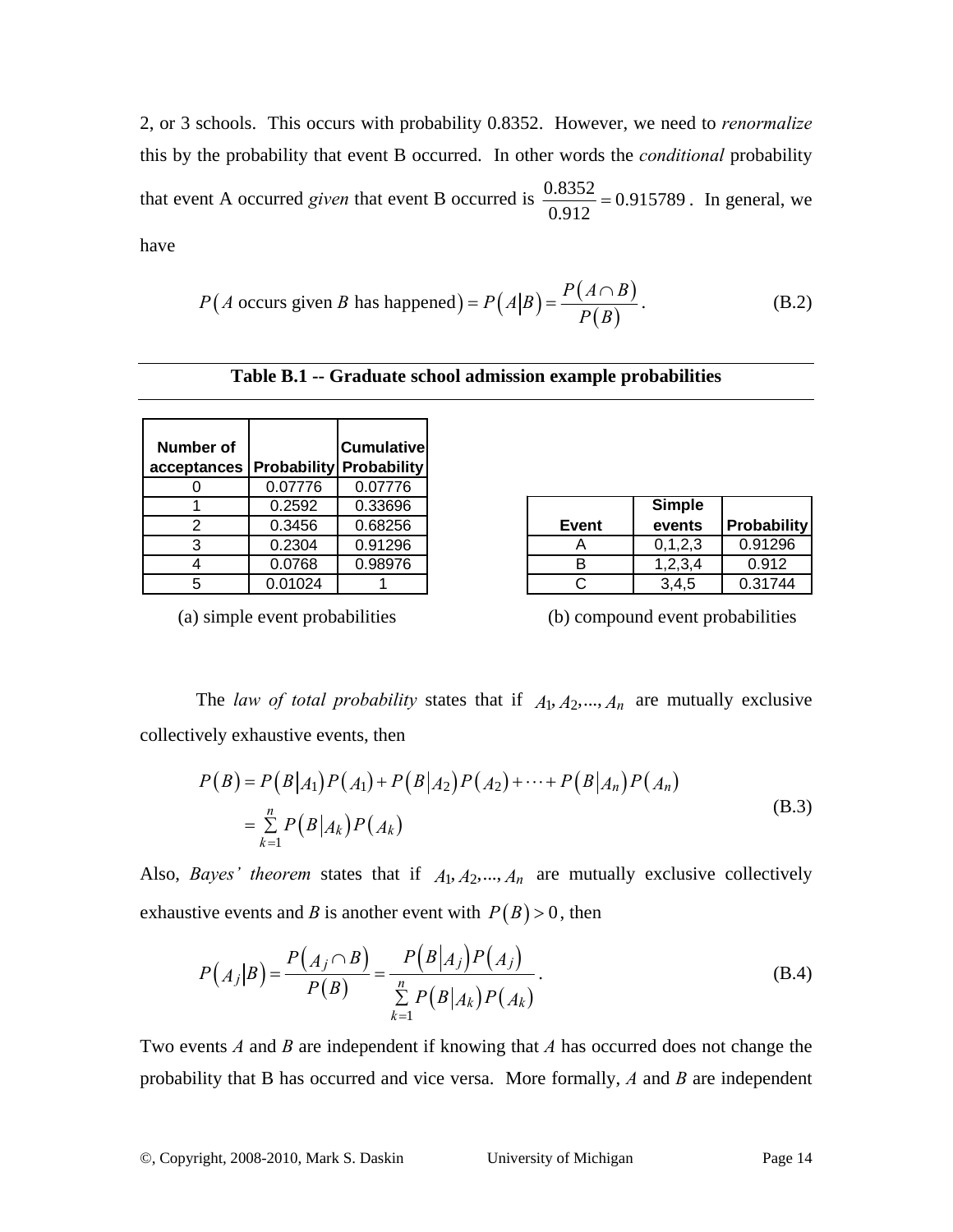2, or 3 schools. This occurs with probability 0.8352. However, we need to *renormalize* this by the probability that event B occurred. In other words the *conditional* probability that event A occurred *given* that event B occurred is  $\frac{0.8352}{0.912} = 0.915789$ . In general, we have

$$
P(A \text{ occurs given } B \text{ has happened}) = P(A|B) = \frac{P(A \cap B)}{P(B)}.
$$
 (B.2)

|  |  | Table B.1 -- Graduate school admission example probabilities |
|--|--|--------------------------------------------------------------|
|--|--|--------------------------------------------------------------|

| Number of<br>acceptances   Probability   Probability |         | <b>Cumulative</b> |
|------------------------------------------------------|---------|-------------------|
|                                                      | 0.07776 | 0.07776           |
|                                                      | 0.2592  | 0.33696           |
| 2                                                    | 0.3456  | 0.68256           |
| З                                                    | 0.2304  | 0.91296           |
|                                                      | 0.0768  | 0.98976           |
| 5                                                    | 0.01024 |                   |

|              | <b>Simple</b> |             |
|--------------|---------------|-------------|
| <b>Event</b> | events        | Probability |
|              | 0, 1, 2, 3    | 0.91296     |
| R            | 1,2,3,4       | 0.912       |
|              | 3,4,5         | 0.31744     |

(a) simple event probabilities (b) compound event probabilities

The *law of total probability* states that if  $A_1, A_2, ..., A_n$  are mutually exclusive collectively exhaustive events, then

$$
P(B) = P(B|A_1)P(A_1) + P(B|A_2)P(A_2) + \dots + P(B|A_n)P(A_n)
$$
  
= 
$$
\sum_{k=1}^{n} P(B|A_k)P(A_k)
$$
 (B.3)

Also, *Bayes' theorem* states that if  $A_1, A_2, ..., A_n$  are mutually exclusive collectively exhaustive events and *B* is another event with  $P(B) > 0$ , then

$$
P(A_j|B) = \frac{P(A_j \cap B)}{P(B)} = \frac{P(B|A_j)P(A_j)}{\sum_{k=1}^{n} P(B|A_k)P(A_k)}.
$$
 (B.4)

Two events *A* and *B* are independent if knowing that *A* has occurred does not change the probability that B has occurred and vice versa. More formally, *A* and *B* are independent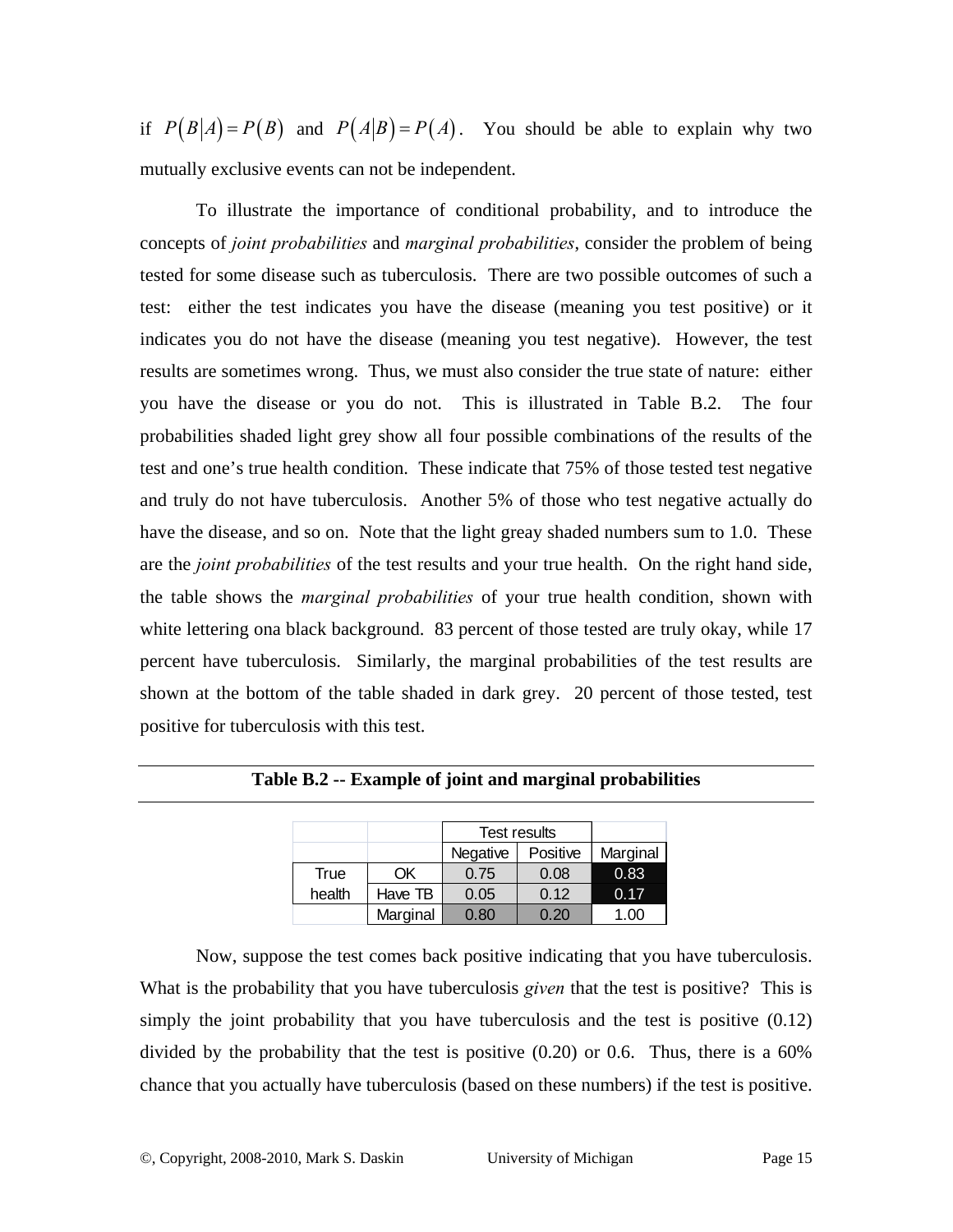if  $P(B|A) = P(B)$  and  $P(A|B) = P(A)$ . You should be able to explain why two mutually exclusive events can not be independent.

To illustrate the importance of conditional probability, and to introduce the concepts of *joint probabilities* and *marginal probabilities*, consider the problem of being tested for some disease such as tuberculosis. There are two possible outcomes of such a test: either the test indicates you have the disease (meaning you test positive) or it indicates you do not have the disease (meaning you test negative). However, the test results are sometimes wrong. Thus, we must also consider the true state of nature: either you have the disease or you do not. This is illustrated in Table B.2. The four probabilities shaded light grey show all four possible combinations of the results of the test and one's true health condition. These indicate that 75% of those tested test negative and truly do not have tuberculosis. Another 5% of those who test negative actually do have the disease, and so on. Note that the light greay shaded numbers sum to 1.0. These are the *joint probabilities* of the test results and your true health. On the right hand side, the table shows the *marginal probabilities* of your true health condition, shown with white lettering ona black background. 83 percent of those tested are truly okay, while 17 percent have tuberculosis. Similarly, the marginal probabilities of the test results are shown at the bottom of the table shaded in dark grey. 20 percent of those tested, test positive for tuberculosis with this test.

|        |          | <b>Test results</b>  |      |          |
|--------|----------|----------------------|------|----------|
|        |          | Negative<br>Positive |      | Marginal |
| True   | ОK       | 0.75                 | 0.08 | 0.83     |
| health | Have TB  | 0.05                 | 0.12 | 0.17     |
|        | Marginal | 0.80                 | 0.20 | 1.00     |

**Table B.2 -- Example of joint and marginal probabilities** 

Now, suppose the test comes back positive indicating that you have tuberculosis. What is the probability that you have tuberculosis *given* that the test is positive? This is simply the joint probability that you have tuberculosis and the test is positive (0.12) divided by the probability that the test is positive (0.20) or 0.6. Thus, there is a 60% chance that you actually have tuberculosis (based on these numbers) if the test is positive.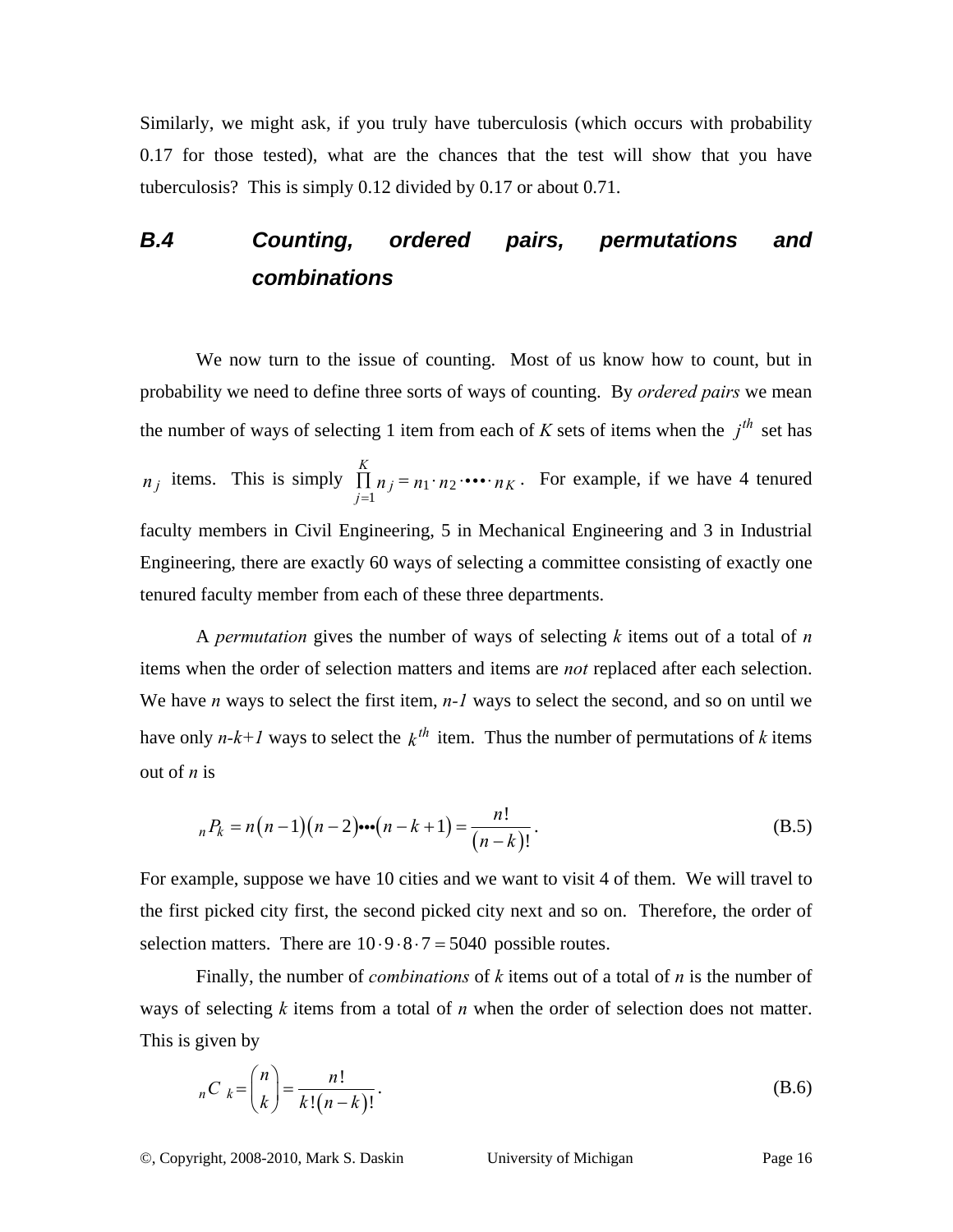Similarly, we might ask, if you truly have tuberculosis (which occurs with probability 0.17 for those tested), what are the chances that the test will show that you have tuberculosis? This is simply 0.12 divided by 0.17 or about 0.71.

### *B.4 Counting, ordered pairs, permutations and combinations*

We now turn to the issue of counting. Most of us know how to count, but in probability we need to define three sorts of ways of counting. By *ordered pairs* we mean the number of ways of selecting 1 item from each of *K* sets of items when the  $i^{th}$  set has  $n_j$  items. This is simply  $\prod n_j = n_1 \cdot n_2$ 1 *K*  $j = n_1 \cdot n_2 \cdots n_K$  $\prod_{j=1} n_j = n_1 \cdot n_2 \cdot \cdots \cdot n_K$ . For example, if we have 4 tenured faculty members in Civil Engineering, 5 in Mechanical Engineering and 3 in Industrial Engineering, there are exactly 60 ways of selecting a committee consisting of exactly one tenured faculty member from each of these three departments.

A *permutation* gives the number of ways of selecting *k* items out of a total of *n* items when the order of selection matters and items are *not* replaced after each selection. We have *n* ways to select the first item, *n*-*l* ways to select the second, and so on until we have only  $n-k+1$  ways to select the  $k^{th}$  item. Thus the number of permutations of k items out of *n* is

$$
{}_{n}P_{k} = n(n-1)(n-2)\cdots(n-k+1) = \frac{n!}{(n-k)!}.
$$
 (B.5)

For example, suppose we have 10 cities and we want to visit 4 of them. We will travel to the first picked city first, the second picked city next and so on. Therefore, the order of selection matters. There are  $10.9.8.7 = 5040$  possible routes.

Finally, the number of *combinations* of *k* items out of a total of *n* is the number of ways of selecting *k* items from a total of *n* when the order of selection does not matter. This is given by

$$
{}_{n}C_{k} = {n \choose k} = \frac{n!}{k!(n-k)!}.
$$
 (B.6)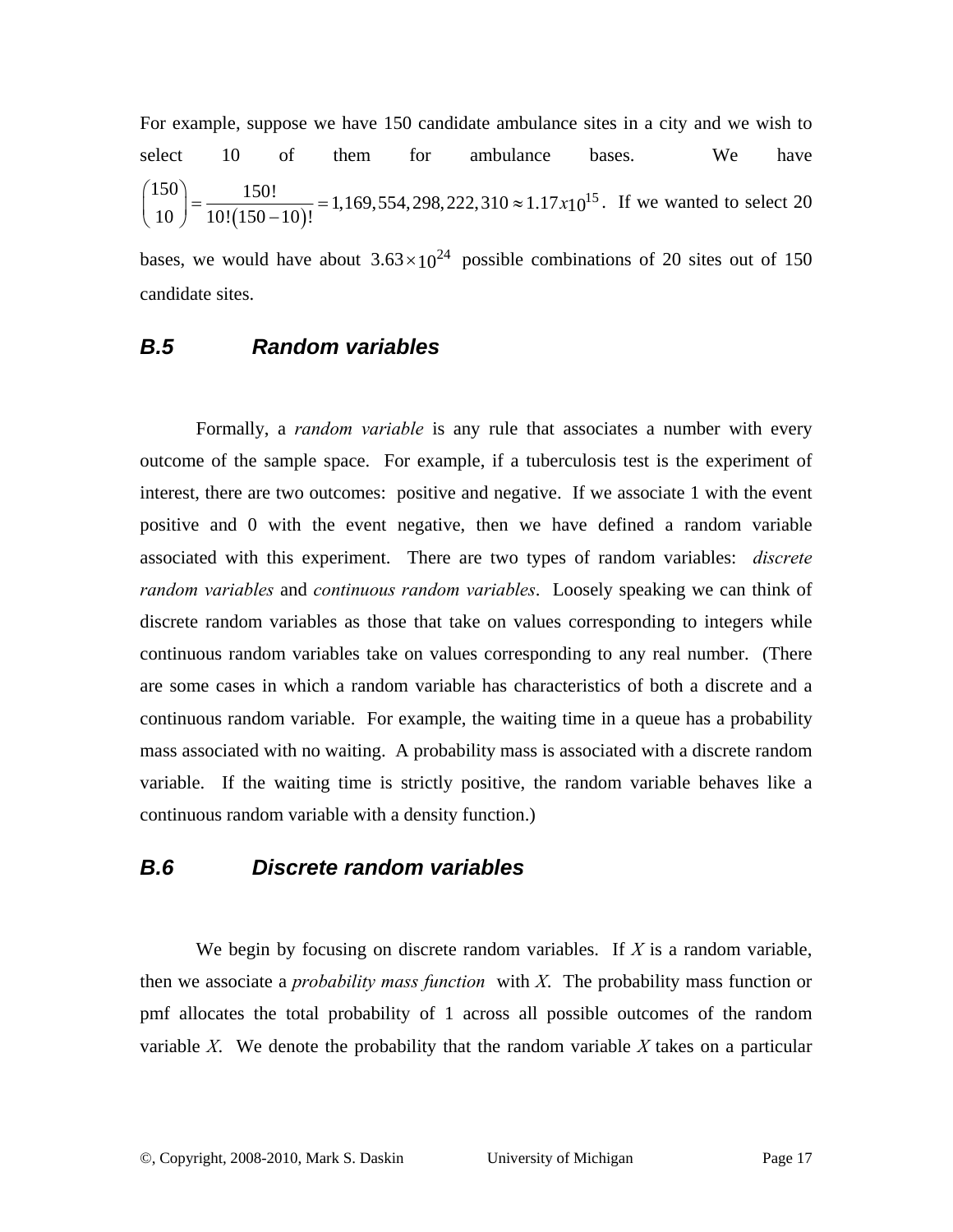For example, suppose we have 150 candidate ambulance sites in a city and we wish to select 10 of them for ambulance bases. We have  $\begin{bmatrix} 150 \\ 10 \end{bmatrix}$  =  $\frac{150!}{10!(150-10)!}$  = 1,169,554,298,222,310  $\approx$  1.17x10<sup>15</sup>  $\binom{150}{10}$  =  $\frac{150!}{10!(150-10)!}$  = 1,169,554,298,222,310  $\approx$  1.17x<sub>10</sub><sup>15</sup>. If we wanted to select 20

bases, we would have about  $3.63 \times 10^{24}$  possible combinations of 20 sites out of 150 candidate sites.

#### *B.5 Random variables*

Formally, a *random variable* is any rule that associates a number with every outcome of the sample space. For example, if a tuberculosis test is the experiment of interest, there are two outcomes: positive and negative. If we associate 1 with the event positive and 0 with the event negative, then we have defined a random variable associated with this experiment. There are two types of random variables: *discrete random variables* and *continuous random variables*. Loosely speaking we can think of discrete random variables as those that take on values corresponding to integers while continuous random variables take on values corresponding to any real number. (There are some cases in which a random variable has characteristics of both a discrete and a continuous random variable. For example, the waiting time in a queue has a probability mass associated with no waiting. A probability mass is associated with a discrete random variable. If the waiting time is strictly positive, the random variable behaves like a continuous random variable with a density function.)

### *B.6 Discrete random variables*

We begin by focusing on discrete random variables. If *X* is a random variable, then we associate a *probability mass function* with *X*. The probability mass function or pmf allocates the total probability of 1 across all possible outcomes of the random variable *X*. We denote the probability that the random variable *X* takes on a particular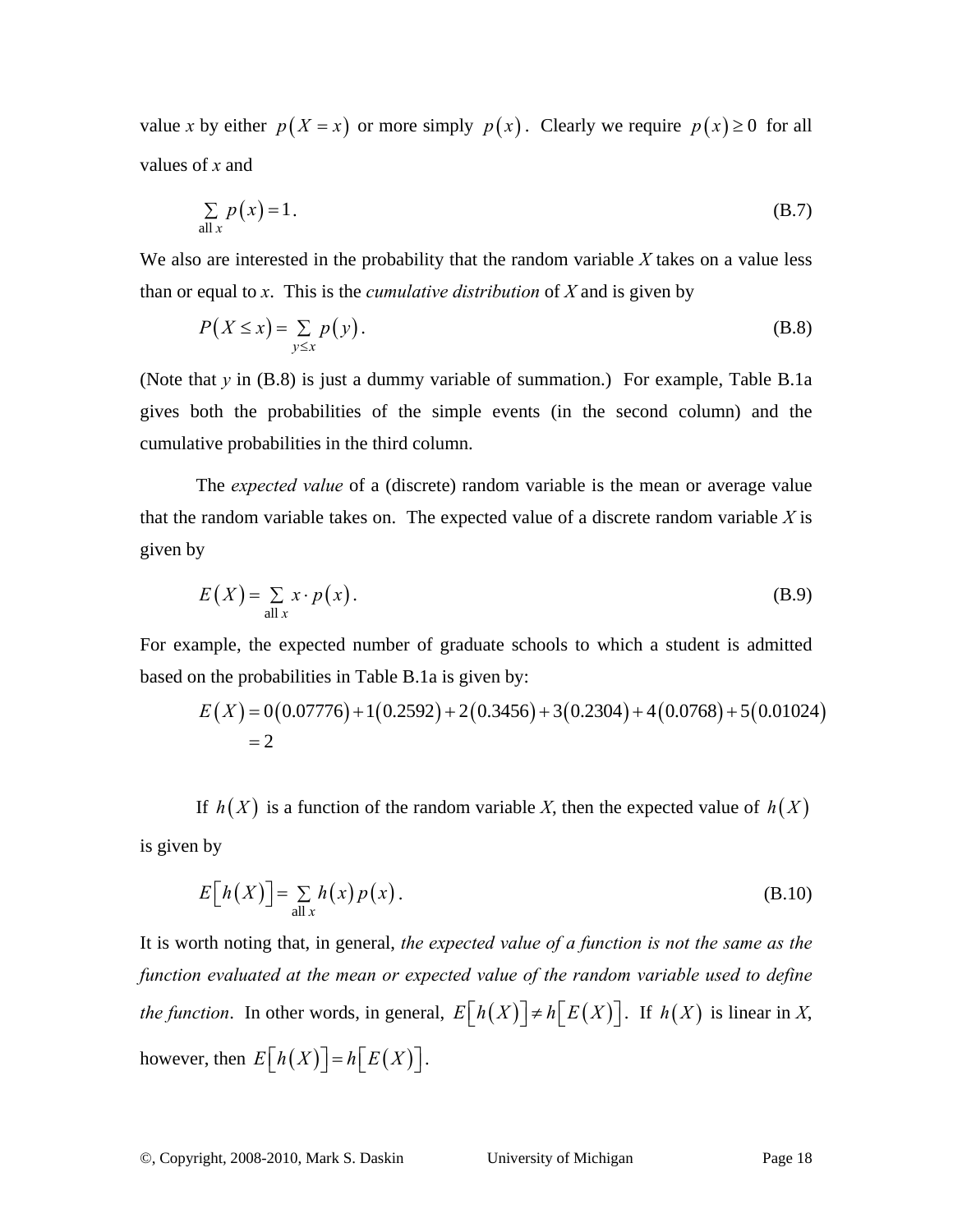value *x* by either  $p(X = x)$  or more simply  $p(x)$ . Clearly we require  $p(x) \ge 0$  for all values of *x* and

$$
\sum_{\text{all } x} p(x) = 1. \tag{B.7}
$$

We also are interested in the probability that the random variable *X* takes on a value less than or equal to *x*. This is the *cumulative distribution* of *X* and is given by

$$
P(X \le x) = \sum_{y \le x} p(y).
$$
 (B.8)

(Note that *y* in (B.8) is just a dummy variable of summation.) For example, Table B.1a gives both the probabilities of the simple events (in the second column) and the cumulative probabilities in the third column.

The *expected value* of a (discrete) random variable is the mean or average value that the random variable takes on. The expected value of a discrete random variable *X* is given by

$$
E(X) = \sum_{\text{all } x} x \cdot p(x). \tag{B.9}
$$

For example, the expected number of graduate schools to which a student is admitted based on the probabilities in Table B.1a is given by:

$$
E(X) = 0(0.07776) + 1(0.2592) + 2(0.3456) + 3(0.2304) + 4(0.0768) + 5(0.01024)
$$
  
= 2

If  $h(X)$  is a function of the random variable X, then the expected value of  $h(X)$ is given by

$$
E[h(X)] = \sum_{\text{all } x} h(x) p(x).
$$
 (B.10)

It is worth noting that, in general, *the expected value of a function is not the same as the function evaluated at the mean or expected value of the random variable used to define the function*. In other words, in general,  $E[h(X)] \neq h[E(X)]$ . If  $h(X)$  is linear in *X*, however, then  $E[h(X)] = h[E(X)]$ .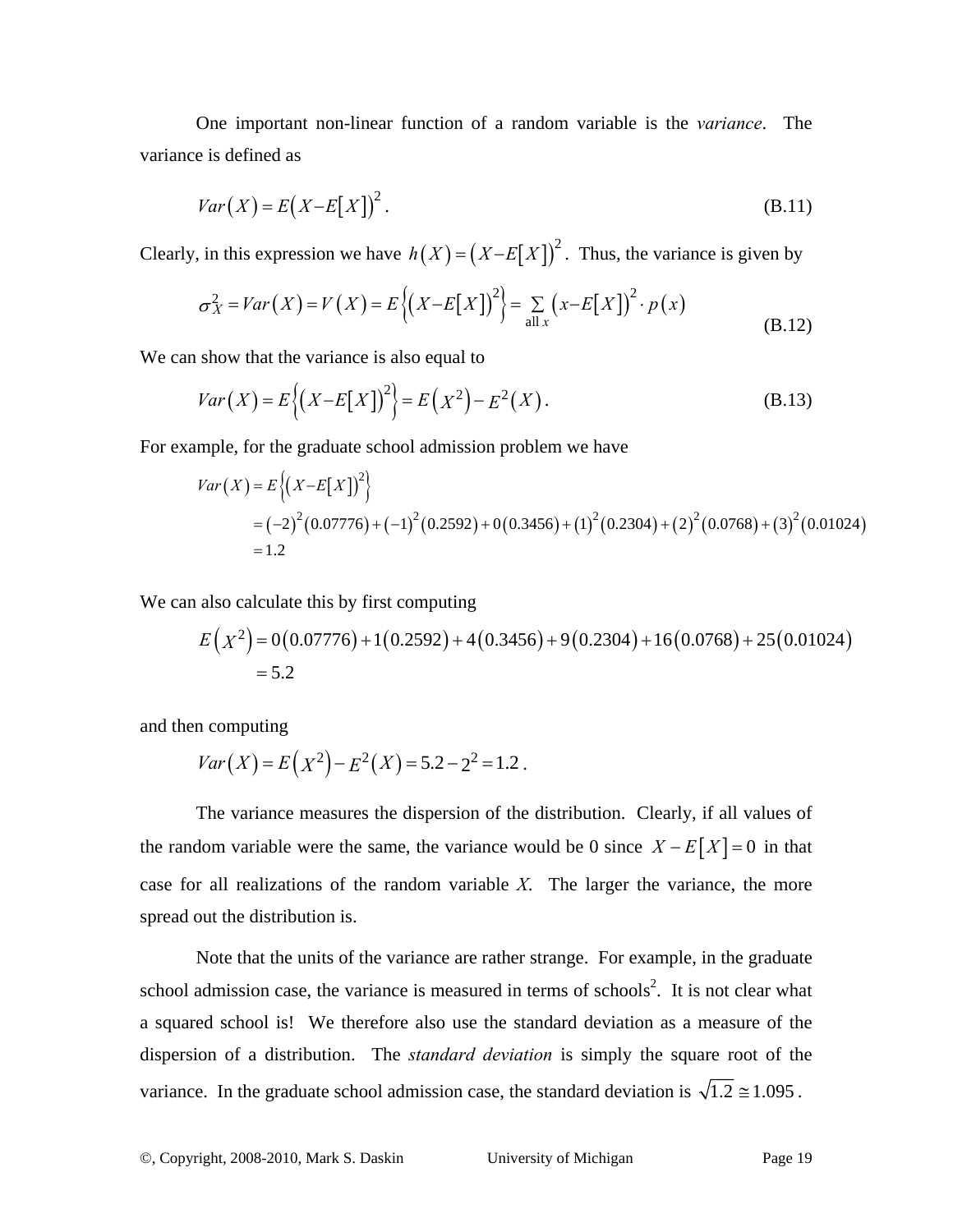One important non-linear function of a random variable is the *variance*. The variance is defined as

$$
Var(X) = E(X - E[X])^{2}.
$$
 (B.11)

Clearly, in this expression we have  $h(X) = (X - E[X])^2$ . Thus, the variance is given by

$$
\sigma_X^2 = Var(X) = V(X) = E\left\{ \left( X - E[X] \right)^2 \right\} = \sum_{\text{all } x} \left( x - E[X] \right)^2 \cdot p(x) \tag{B.12}
$$

We can show that the variance is also equal to

$$
Var(X) = E\{(X - E[X])^{2}\} = E(X^{2}) - E^{2}(X).
$$
\n(B.13)

For example, for the graduate school admission problem we have

$$
Var(X) = E\{(X - E[X])^{2}\}\
$$
  
=  $(-2)^{2} (0.07776) + (-1)^{2} (0.2592) + 0(0.3456) + (1)^{2} (0.2304) + (2)^{2} (0.0768) + (3)^{2} (0.01024)$   
= 1.2

We can also calculate this by first computing

$$
E(X^{2}) = 0(0.07776) + 1(0.2592) + 4(0.3456) + 9(0.2304) + 16(0.0768) + 25(0.01024)
$$
  
= 5.2

and then computing

$$
Var(X) = E(X^2) - E^2(X) = 5.2 - 2^2 = 1.2
$$
.

The variance measures the dispersion of the distribution. Clearly, if all values of the random variable were the same, the variance would be 0 since  $X - E[X] = 0$  in that case for all realizations of the random variable *X*. The larger the variance, the more spread out the distribution is.

Note that the units of the variance are rather strange. For example, in the graduate school admission case, the variance is measured in terms of schools<sup>2</sup>. It is not clear what a squared school is! We therefore also use the standard deviation as a measure of the dispersion of a distribution. The *standard deviation* is simply the square root of the variance. In the graduate school admission case, the standard deviation is  $\sqrt{1.2} \approx 1.095$ .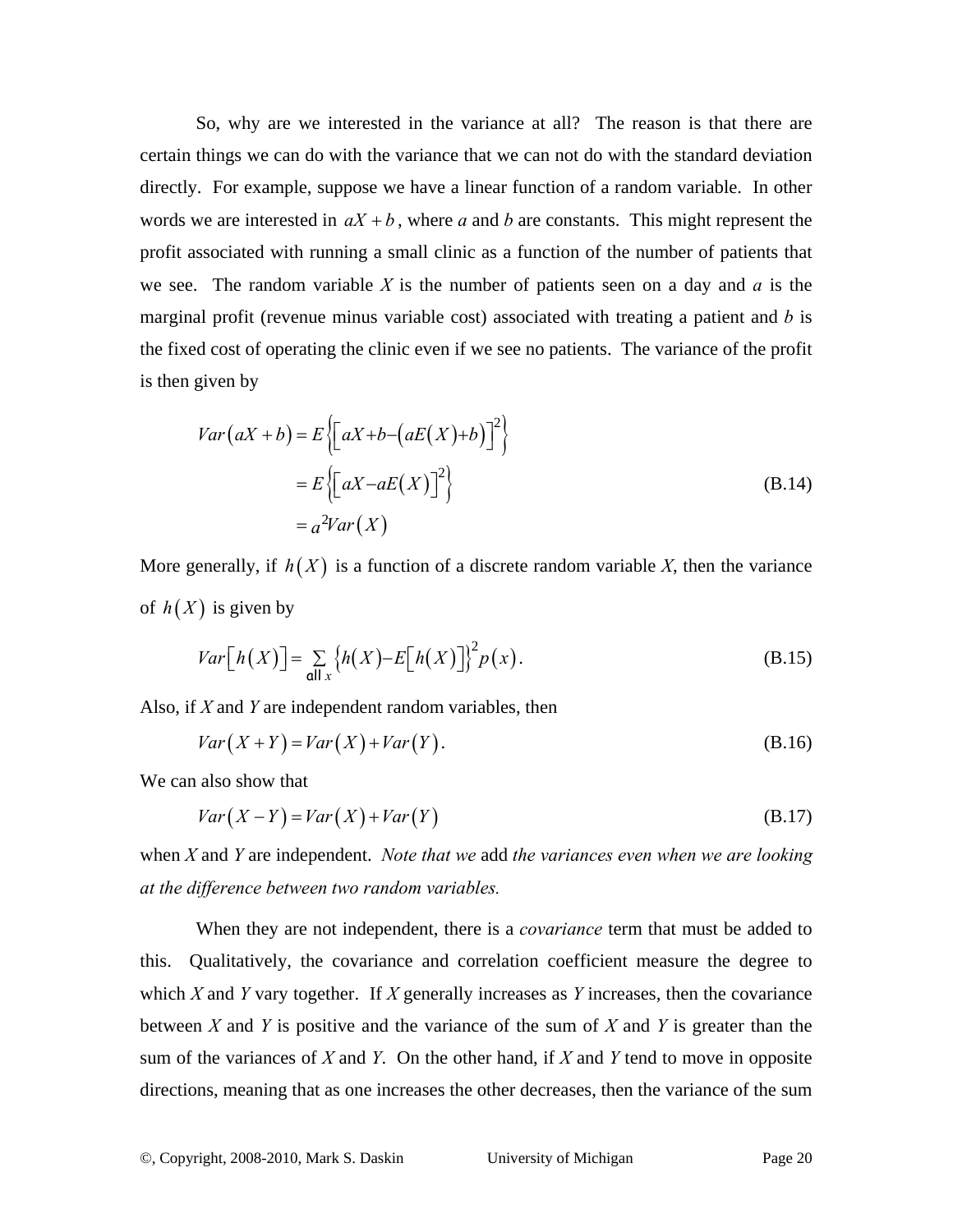So, why are we interested in the variance at all? The reason is that there are certain things we can do with the variance that we can not do with the standard deviation directly. For example, suppose we have a linear function of a random variable. In other words we are interested in  $aX + b$ , where *a* and *b* are constants. This might represent the profit associated with running a small clinic as a function of the number of patients that we see. The random variable *X* is the number of patients seen on a day and *a* is the marginal profit (revenue minus variable cost) associated with treating a patient and *b* is the fixed cost of operating the clinic even if we see no patients. The variance of the profit is then given by

$$
Var(aX + b) = E\left\{ \left[ aX + b - (aE(X) + b) \right]^2 \right\}
$$
  
=  $E\left\{ \left[ aX - aE(X) \right]^2 \right\}$  (B.14)  
=  $a^2Var(X)$ 

More generally, if  $h(X)$  is a function of a discrete random variable X, then the variance of  $h(X)$  is given by

$$
Var[h(X)] = \sum_{\mathbf{all}\,x} \{h(X) - E[h(X)]\}^2 p(x).
$$
 (B.15)

Also, if *X* and *Y* are independent random variables, then

$$
Var(X+Y) = Var(X) + Var(Y).
$$
 (B.16)

We can also show that

$$
Var(X - Y) = Var(X) + Var(Y)
$$
\n(B.17)

when *X* and *Y* are independent. *Note that we* add *the variances even when we are looking at the difference between two random variables.* 

When they are not independent, there is a *covariance* term that must be added to this. Qualitatively, the covariance and correlation coefficient measure the degree to which *X* and *Y* vary together. If *X* generally increases as *Y* increases, then the covariance between *X* and *Y* is positive and the variance of the sum of *X* and *Y* is greater than the sum of the variances of *X* and *Y*. On the other hand, if *X* and *Y* tend to move in opposite directions, meaning that as one increases the other decreases, then the variance of the sum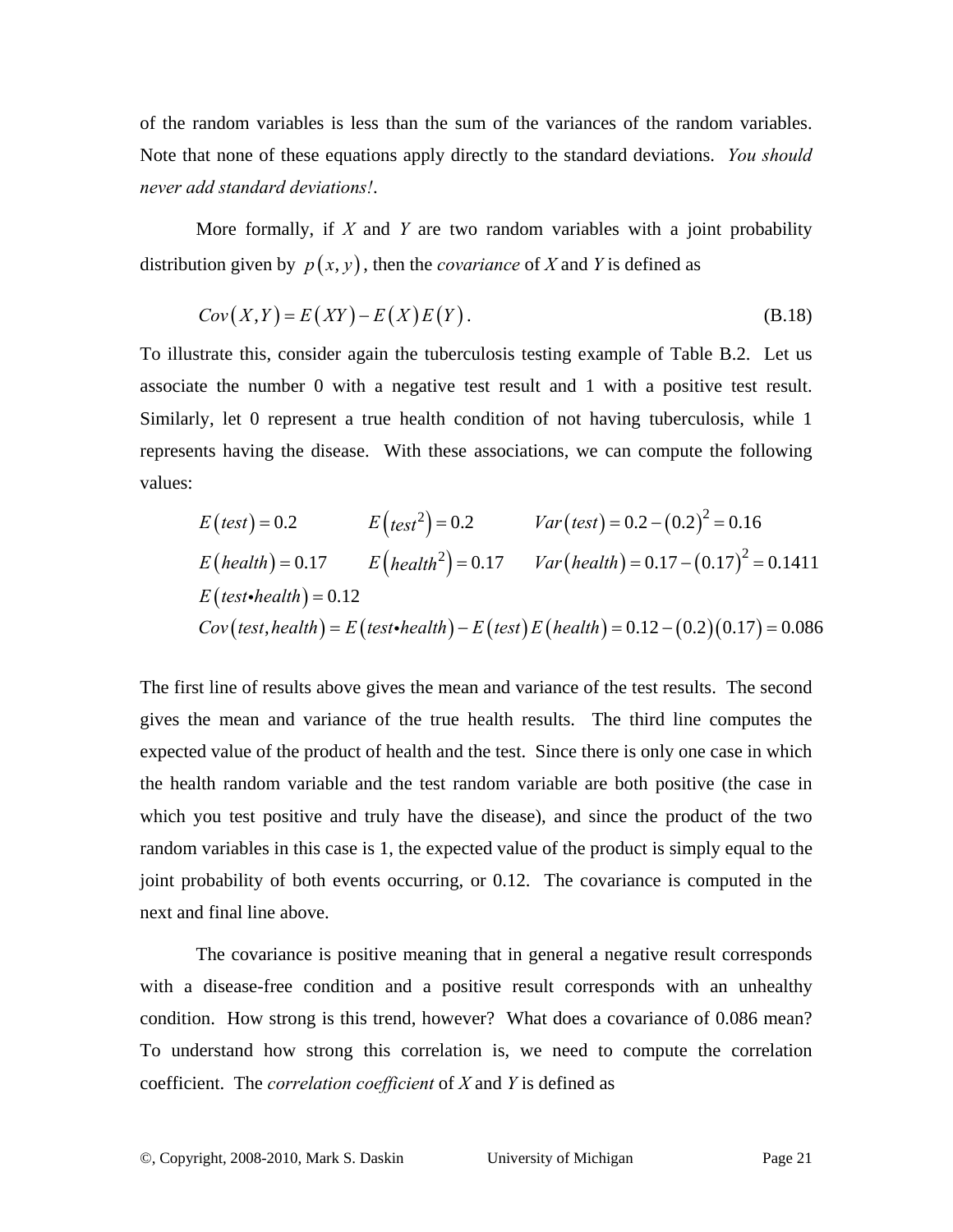of the random variables is less than the sum of the variances of the random variables. Note that none of these equations apply directly to the standard deviations. *You should never add standard deviations!*.

More formally, if *X* and *Y* are two random variables with a joint probability distribution given by  $p(x, y)$ , then the *covariance* of X and Y is defined as

$$
Cov(X,Y) = E(XY) - E(X)E(Y).
$$
 (B.18)

To illustrate this, consider again the tuberculosis testing example of Table B.2. Let us associate the number 0 with a negative test result and 1 with a positive test result. Similarly, let 0 represent a true health condition of not having tuberculosis, while 1 represents having the disease. With these associations, we can compute the following values:

$$
E(test) = 0.2
$$
  
\n
$$
E(test) = 0.17
$$
  
\n
$$
E(heath) = 0.17
$$
  
\n
$$
E(heath) = 0.17
$$
  
\n
$$
E(heath) = 0.17
$$
  
\n
$$
E(heath) = 0.17
$$
  
\n
$$
E(heath) = 0.17
$$
  
\n
$$
Var(heath) = 0.17 - (0.17)^{2} = 0.1411
$$
  
\n
$$
E(test\text{-}health) = 0.12
$$
  
\n
$$
Cov(test, health) = E(test\text{-}health) - E(test) E(heath) = 0.12 - (0.2)(0.17) = 0.086
$$

The first line of results above gives the mean and variance of the test results. The second gives the mean and variance of the true health results. The third line computes the expected value of the product of health and the test. Since there is only one case in which the health random variable and the test random variable are both positive (the case in which you test positive and truly have the disease), and since the product of the two random variables in this case is 1, the expected value of the product is simply equal to the joint probability of both events occurring, or 0.12. The covariance is computed in the next and final line above.

The covariance is positive meaning that in general a negative result corresponds with a disease-free condition and a positive result corresponds with an unhealthy condition. How strong is this trend, however? What does a covariance of 0.086 mean? To understand how strong this correlation is, we need to compute the correlation coefficient. The *correlation coefficient* of *X* and *Y* is defined as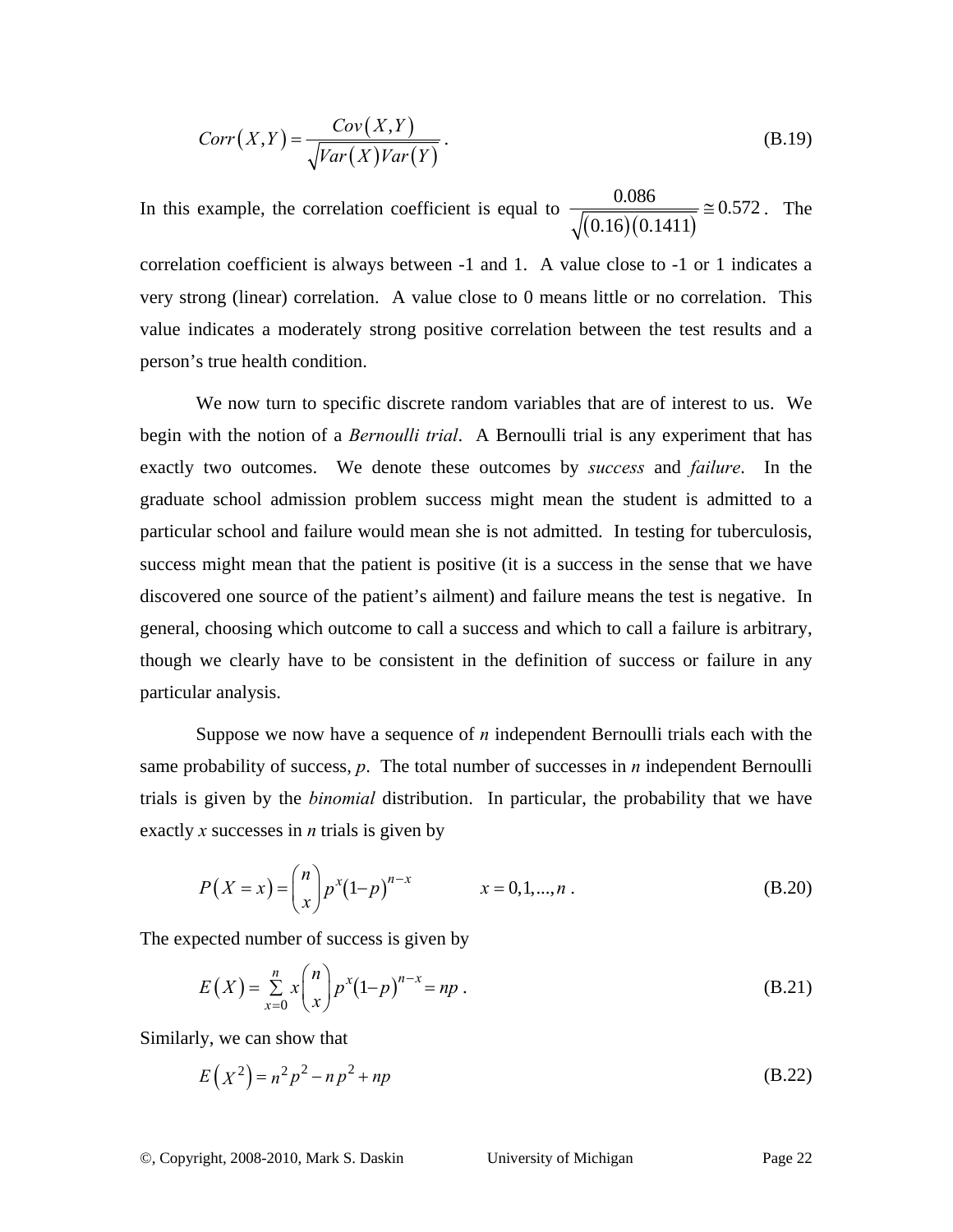$$
Corr(X,Y) = \frac{Cov(X,Y)}{\sqrt{Var(X)Var(Y)}}.
$$
\n(B.19)

In this example, the correlation coefficient is equal to  $\frac{0.000}{\sqrt{(0.16)(0.1411)}}$ 0.086 0.572  $(0.16)(0.1411)$  $\approx 0.572$ . The

correlation coefficient is always between -1 and 1. A value close to -1 or 1 indicates a very strong (linear) correlation. A value close to 0 means little or no correlation. This value indicates a moderately strong positive correlation between the test results and a person's true health condition.

We now turn to specific discrete random variables that are of interest to us. We begin with the notion of a *Bernoulli trial*. A Bernoulli trial is any experiment that has exactly two outcomes. We denote these outcomes by *success* and *failure*. In the graduate school admission problem success might mean the student is admitted to a particular school and failure would mean she is not admitted. In testing for tuberculosis, success might mean that the patient is positive (it is a success in the sense that we have discovered one source of the patient's ailment) and failure means the test is negative. In general, choosing which outcome to call a success and which to call a failure is arbitrary, though we clearly have to be consistent in the definition of success or failure in any particular analysis.

Suppose we now have a sequence of *n* independent Bernoulli trials each with the same probability of success, *p*. The total number of successes in *n* independent Bernoulli trials is given by the *binomial* distribution. In particular, the probability that we have exactly *x* successes in *n* trials is given by

$$
P(X = x) = {n \choose x} p^{x} (1-p)^{n-x} \qquad x = 0, 1, ..., n.
$$
 (B.20)

The expected number of success is given by

$$
E(X) = \sum_{x=0}^{n} x \binom{n}{x} p^{x} (1-p)^{n-x} = np.
$$
 (B.21)

Similarly, we can show that

$$
E(X^2) = n^2 p^2 - n p^2 + n p
$$
 (B.22)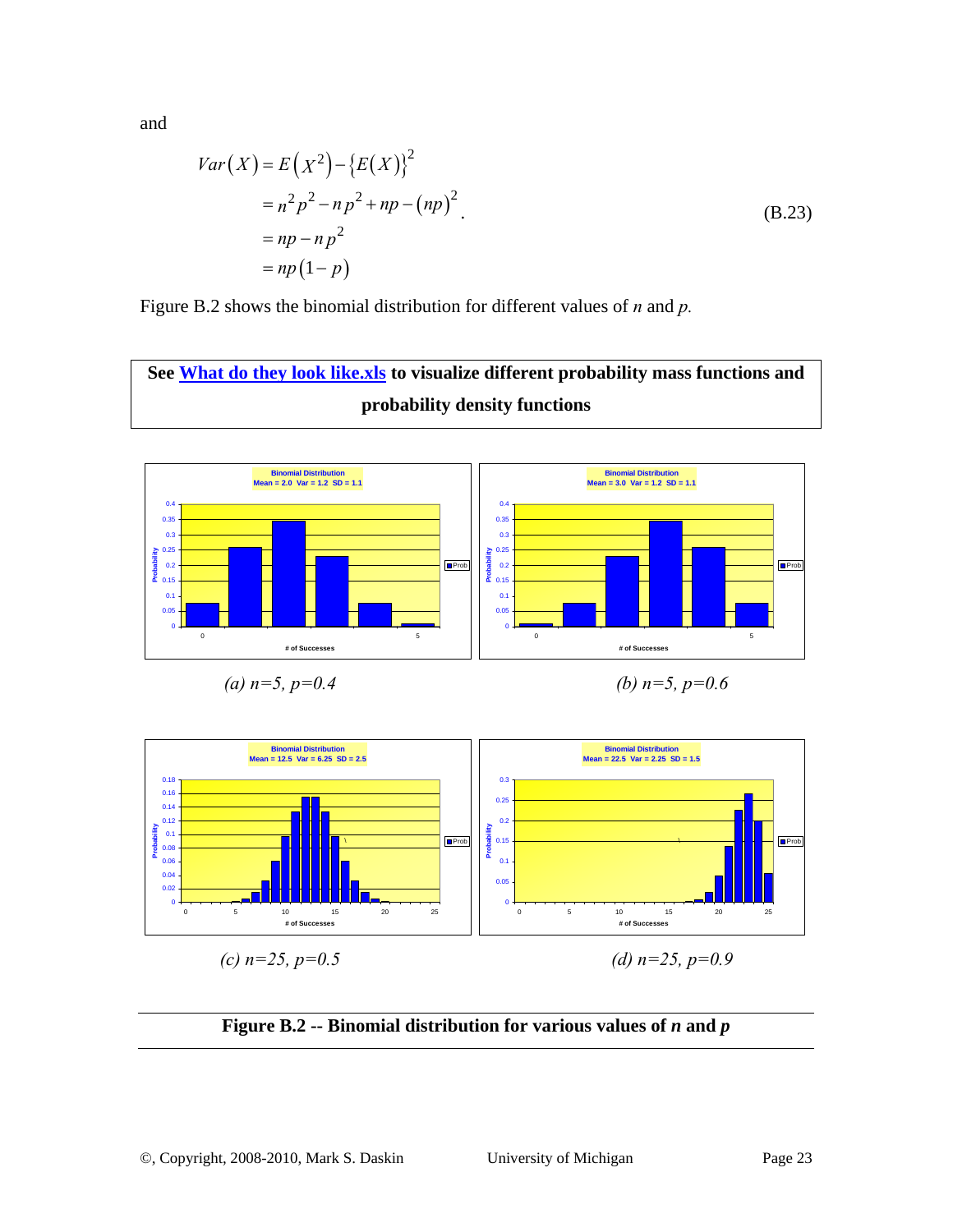and

$$
Var(X) = E(X^{2}) - {E(X)}^{2}
$$
  
=  $n^{2} p^{2} - np^{2} + np - (np)^{2}$   
=  $np - np^{2}$   
=  $np(1-p)$  (B.23)

Figure B.2 shows the binomial distribution for different values of *n* and *p.*

**See What do they look like.xls to visualize different probability mass functions and probability density functions** 



(a) 
$$
n=5
$$
,  $p=0.4$ 

*(b)*  $n=5$ ,  $p=0.6$ 



**Figure B.2 -- Binomial distribution for various values of** *n* **and** *p*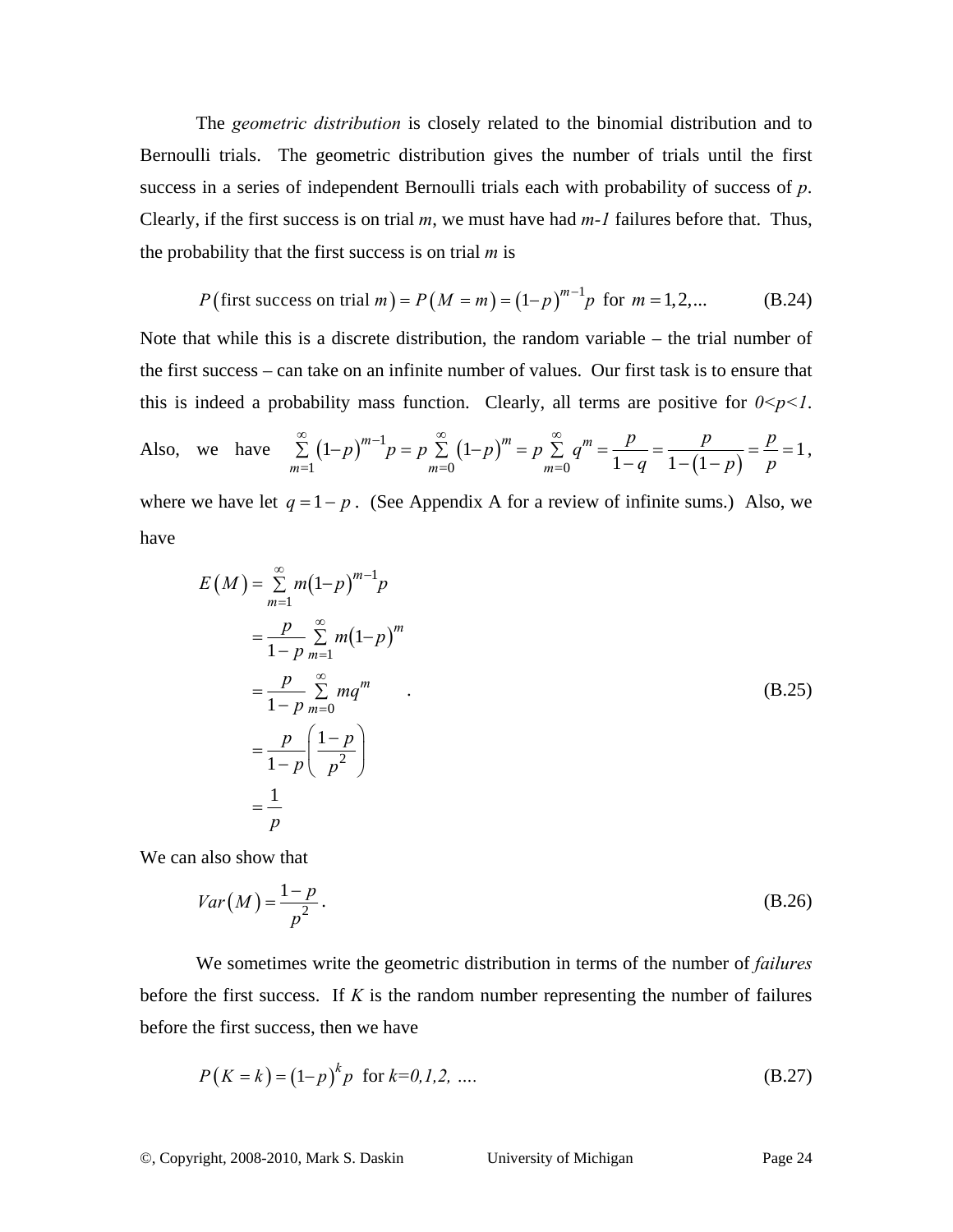The *geometric distribution* is closely related to the binomial distribution and to Bernoulli trials. The geometric distribution gives the number of trials until the first success in a series of independent Bernoulli trials each with probability of success of *p*. Clearly, if the first success is on trial *m*, we must have had *m-1* failures before that. Thus, the probability that the first success is on trial *m* is

$$
P(\text{first success on trial } m) = P(M = m) = (1-p)^{m-1}p \text{ for } m = 1, 2, ...
$$
 (B.24)

Note that while this is a discrete distribution, the random variable – the trial number of the first success – can take on an infinite number of values. Our first task is to ensure that this is indeed a probability mass function. Clearly, all terms are positive for  $0 \le p \le 1$ .

Also, we have 
$$
\sum_{m=1}^{\infty} (1-p)^{m-1} p = p \sum_{m=0}^{\infty} (1-p)^m = p \sum_{m=0}^{\infty} q^m = \frac{p}{1-q} = \frac{p}{1-(1-p)} = \frac{p}{p} = 1,
$$

where we have let  $q = 1 - p$ . (See Appendix A for a review of infinite sums.) Also, we have

$$
E(M) = \sum_{m=1}^{\infty} m(1-p)^{m-1}p
$$
  
= 
$$
\frac{p}{1-p} \sum_{m=1}^{\infty} m(1-p)^m
$$
  
= 
$$
\frac{p}{1-p} \sum_{m=0}^{\infty} mq^m
$$
  
= 
$$
\frac{p}{1-p} \left(\frac{1-p}{p^2}\right)
$$
  
= 
$$
\frac{1}{p}
$$
 (B.25)

We can also show that

$$
Var(M) = \frac{1-p}{p^2}.
$$
\n(B.26)

We sometimes write the geometric distribution in terms of the number of *failures* before the first success. If *K* is the random number representing the number of failures before the first success, then we have

$$
P(K = k) = (1-p)^{k} p \text{ for } k=0,1,2, \dots
$$
 (B.27)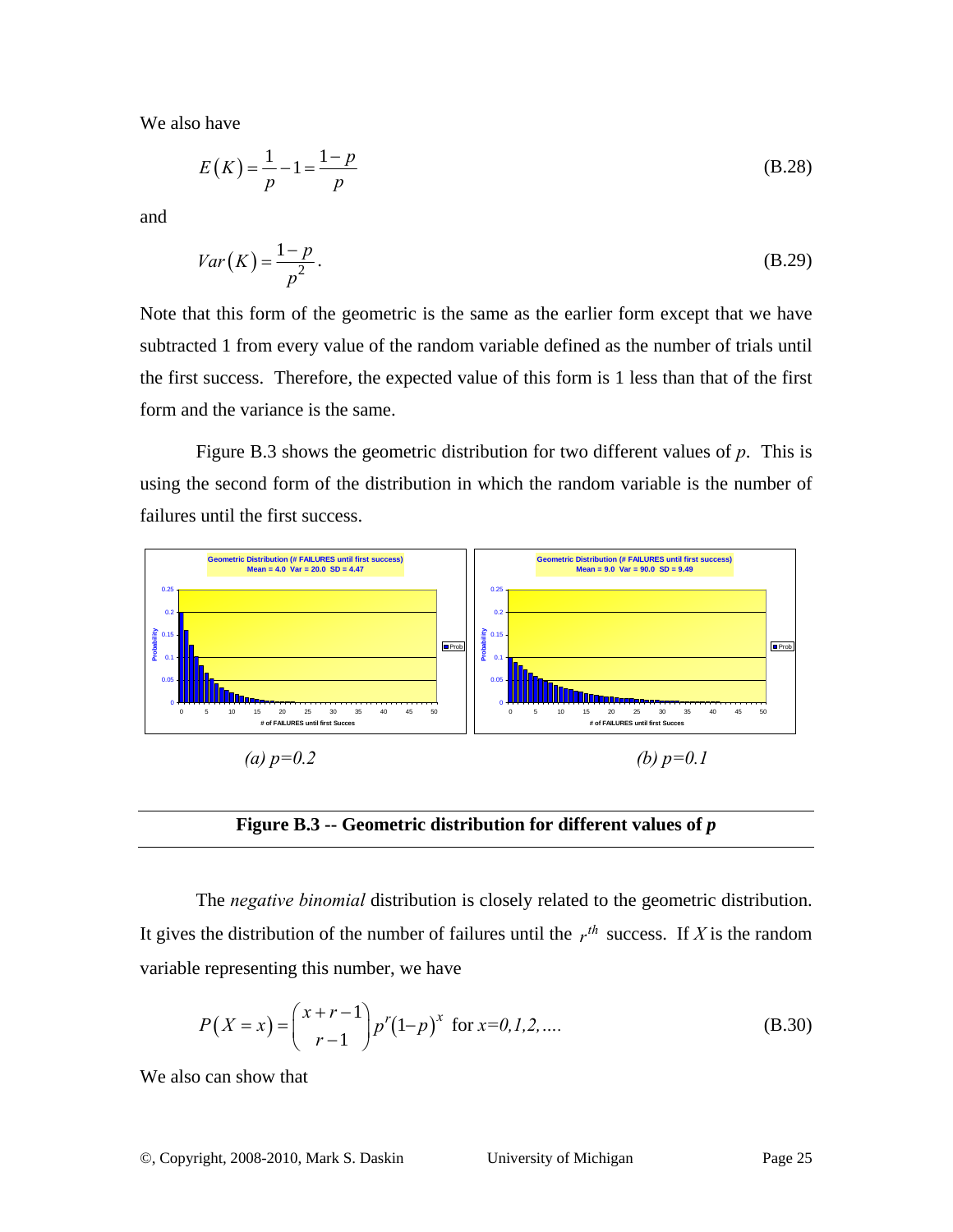We also have

$$
E(K) = \frac{1}{p} - 1 = \frac{1 - p}{p}
$$
 (B.28)

and

$$
Var(K) = \frac{1-p}{p^2}.
$$
\n(B.29)

Note that this form of the geometric is the same as the earlier form except that we have subtracted 1 from every value of the random variable defined as the number of trials until the first success. Therefore, the expected value of this form is 1 less than that of the first form and the variance is the same.

Figure B.3 shows the geometric distribution for two different values of *p*. This is using the second form of the distribution in which the random variable is the number of failures until the first success.



**Figure B.3 -- Geometric distribution for different values of** *p*

The *negative binomial* distribution is closely related to the geometric distribution. It gives the distribution of the number of failures until the  $r^{th}$  success. If *X* is the random variable representing this number, we have

$$
P(X = x) = {x + r - 1 \choose r - 1} p^r (1-p)^x
$$
 for  $x = 0, 1, 2, ...$  (B.30)

We also can show that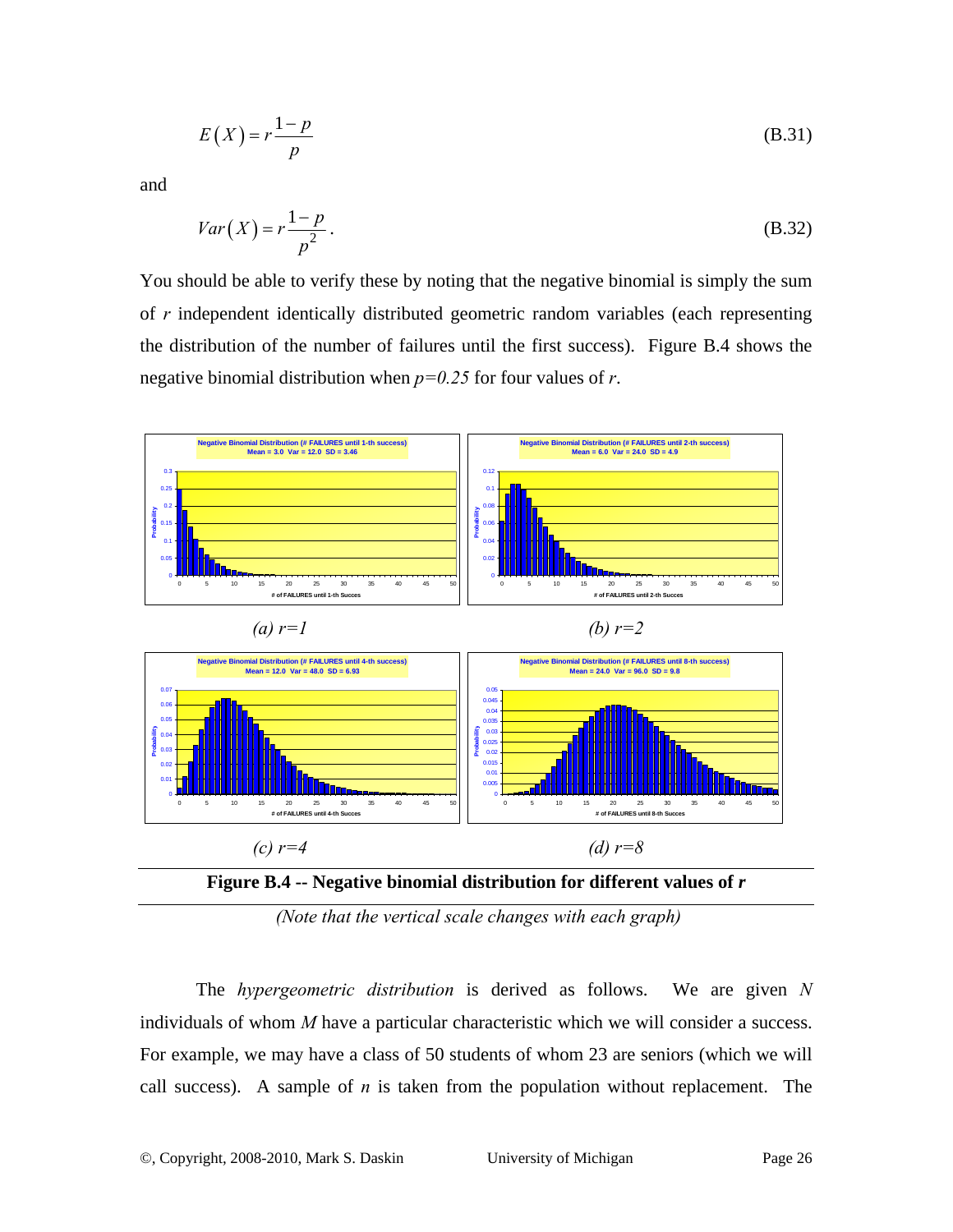$$
E(X) = r \frac{1 - p}{p}
$$
 (B.31)

and

$$
Var(X) = r \frac{1 - p}{p^2}.
$$
 (B.32)

You should be able to verify these by noting that the negative binomial is simply the sum of *r* independent identically distributed geometric random variables (each representing the distribution of the number of failures until the first success). Figure B.4 shows the negative binomial distribution when *p=0.25* for four values of *r*.





 *(Note that the vertical scale changes with each graph)*

The *hypergeometric distribution* is derived as follows. We are given *N* individuals of whom *M* have a particular characteristic which we will consider a success. For example, we may have a class of 50 students of whom 23 are seniors (which we will call success). A sample of *n* is taken from the population without replacement. The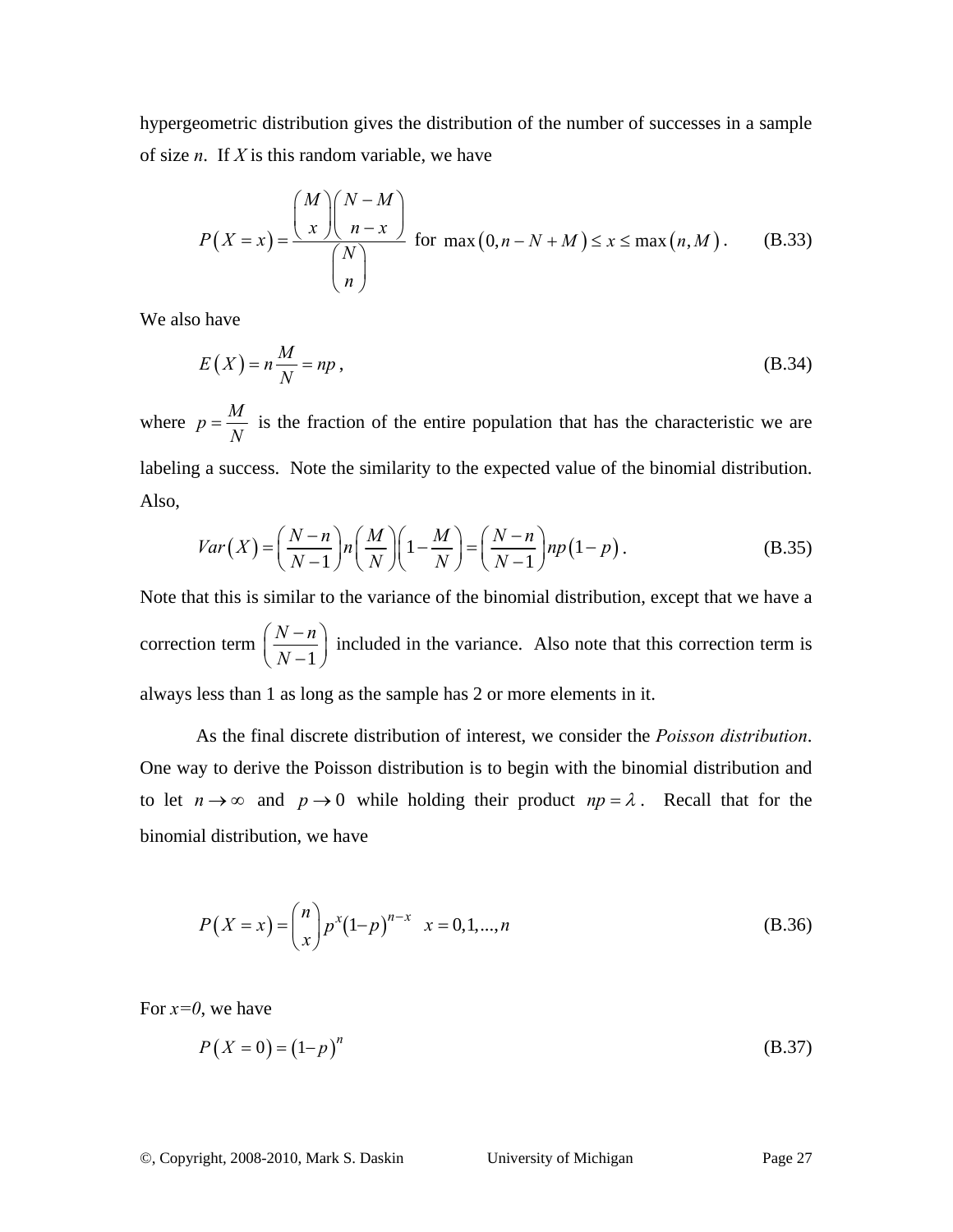hypergeometric distribution gives the distribution of the number of successes in a sample of size *n*. If *X* is this random variable, we have

$$
P(X = x) = \frac{\binom{M}{x} \binom{N-M}{n-x}}{\binom{N}{n}}
$$
 for max  $(0, n - N + M) \le x \le \max(n, M)$ . (B.33)

We also have

$$
E(X) = n\frac{M}{N} = np\,,\tag{B.34}
$$

where  $p = \frac{M}{N}$  is the fraction of the entire population that has the characteristic we are labeling a success. Note the similarity to the expected value of the binomial distribution. Also,

$$
Var(X) = \left(\frac{N-n}{N-1}\right) n \left(\frac{M}{N}\right) \left(1 - \frac{M}{N}\right) = \left(\frac{N-n}{N-1}\right) np \left(1 - p\right). \tag{B.35}
$$

Note that this is similar to the variance of the binomial distribution, except that we have a correction term 1  $N - n$  $\left(\frac{N-n}{N-1}\right)$  included in the variance. Also note that this correction term is always less than 1 as long as the sample has 2 or more elements in it.

As the final discrete distribution of interest, we consider the *Poisson distribution*. One way to derive the Poisson distribution is to begin with the binomial distribution and to let  $n \to \infty$  and  $p \to 0$  while holding their product  $np = \lambda$ . Recall that for the binomial distribution, we have

$$
P(X = x) = {n \choose x} p^{x} (1-p)^{n-x} \quad x = 0, 1, ..., n
$$
 (B.36)

For *x=0*, we have

$$
P(X = 0) = (1-p)^n
$$
 (B.37)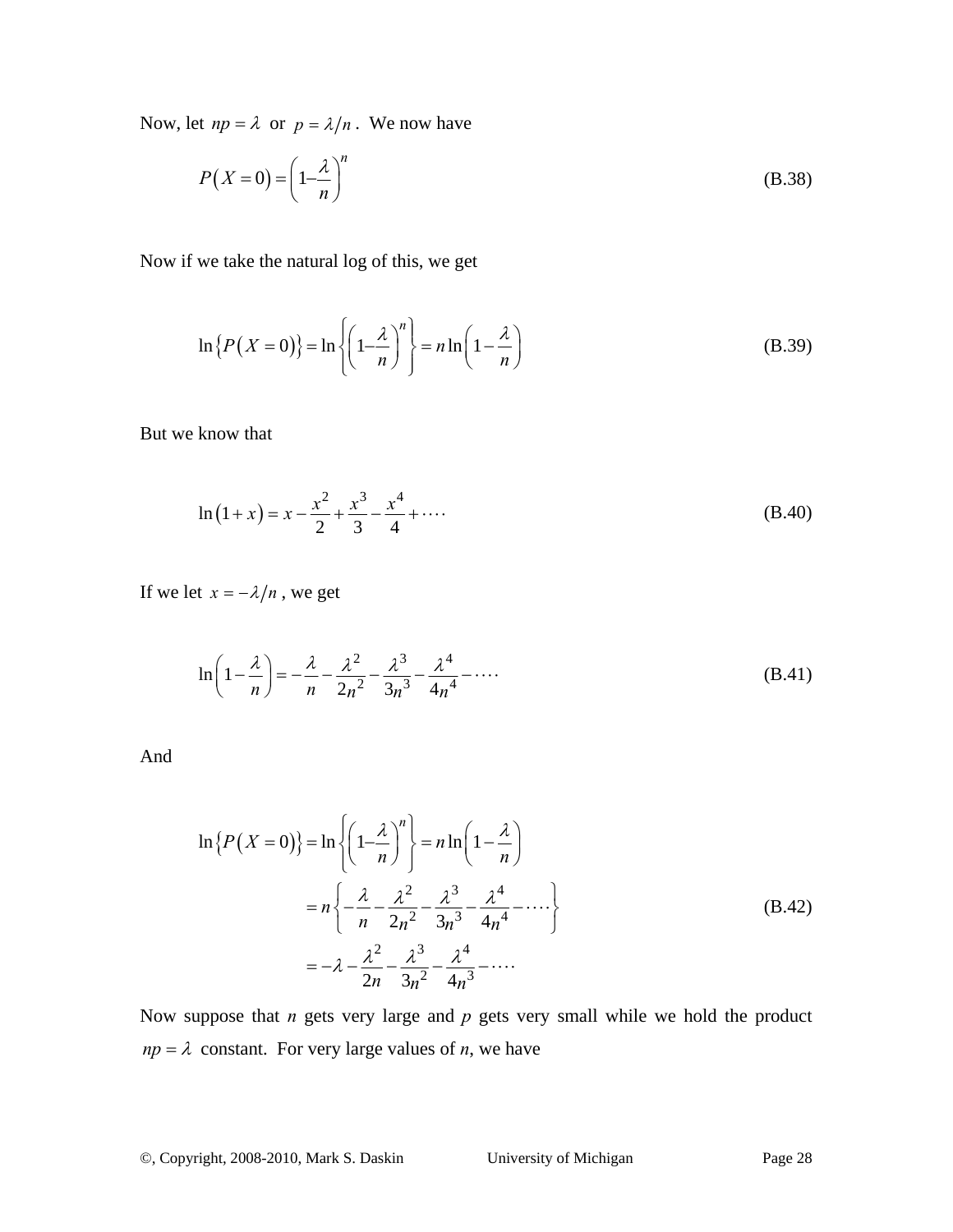Now, let  $np = \lambda$  or  $p = \lambda/n$ . We now have

$$
P(X=0) = \left(1 - \frac{\lambda}{n}\right)^n
$$
 (B.38)

Now if we take the natural log of this, we get

$$
\ln\left\{P(X=0)\right\} = \ln\left\{\left(1 - \frac{\lambda}{n}\right)^n\right\} = n\ln\left(1 - \frac{\lambda}{n}\right) \tag{B.39}
$$

But we know that

$$
\ln(1+x) = x - \frac{x^2}{2} + \frac{x^3}{3} - \frac{x^4}{4} + \dotsb
$$
 (B.40)

If we let  $x = -\lambda/n$ , we get

$$
\ln\left(1 - \frac{\lambda}{n}\right) = -\frac{\lambda}{n} - \frac{\lambda^2}{2n^2} - \frac{\lambda^3}{3n^3} - \frac{\lambda^4}{4n^4} - \dotsb
$$
 (B.41)

And

$$
\ln\left\{P(X=0)\right\} = \ln\left\{\left(1-\frac{\lambda}{n}\right)^n\right\} = n\ln\left(1-\frac{\lambda}{n}\right)
$$

$$
= n\left\{-\frac{\lambda}{n} - \frac{\lambda^2}{2n^2} - \frac{\lambda^3}{3n^3} - \frac{\lambda^4}{4n^4} - \cdots\right\}
$$

$$
= -\lambda - \frac{\lambda^2}{2n} - \frac{\lambda^3}{3n^2} - \frac{\lambda^4}{4n^3} - \cdots
$$
(B.42)

Now suppose that *n* gets very large and *p* gets very small while we hold the product  $np = \lambda$  constant. For very large values of *n*, we have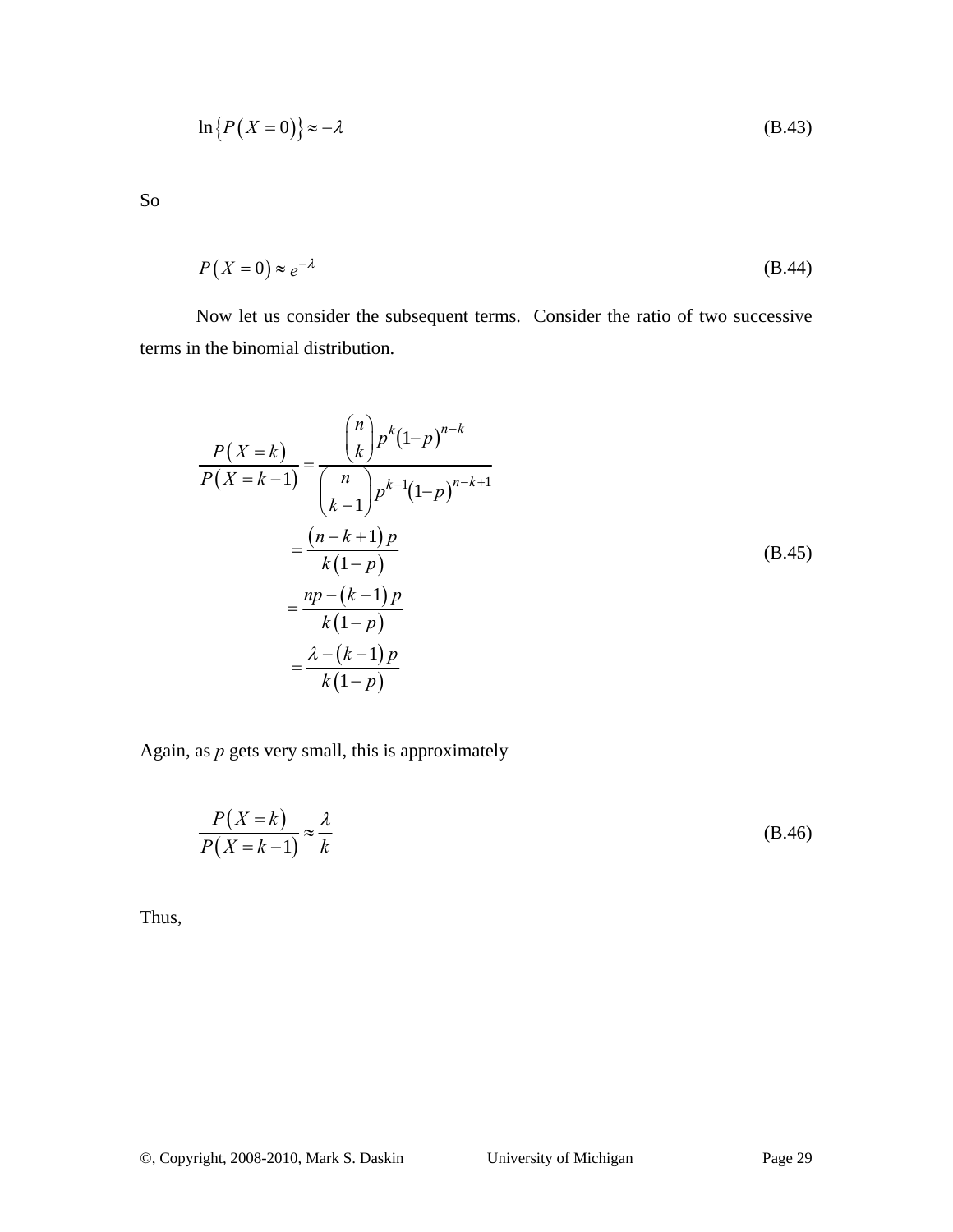$$
\ln\left\{P(X=0)\right\} \approx -\lambda\tag{B.43}
$$

So

$$
P(X=0) \approx e^{-\lambda} \tag{B.44}
$$

Now let us consider the subsequent terms. Consider the ratio of two successive terms in the binomial distribution.

$$
\frac{P(X=k)}{P(X=k-1)} = \frac{{\binom{n}{k}} p^{k} (1-p)^{n-k}}{\binom{n}{k-1} p^{k-1} (1-p)^{n-k+1}}
$$

$$
= \frac{(n-k+1)p}{k(1-p)}
$$
(B.45)
$$
= \frac{np - (k-1)p}{k(1-p)}
$$

$$
= \frac{\lambda - (k-1)p}{k(1-p)}
$$

Again, as *p* gets very small, this is approximately

$$
\frac{P(X=k)}{P(X=k-1)} \approx \frac{\lambda}{k}
$$
 (B.46)

Thus,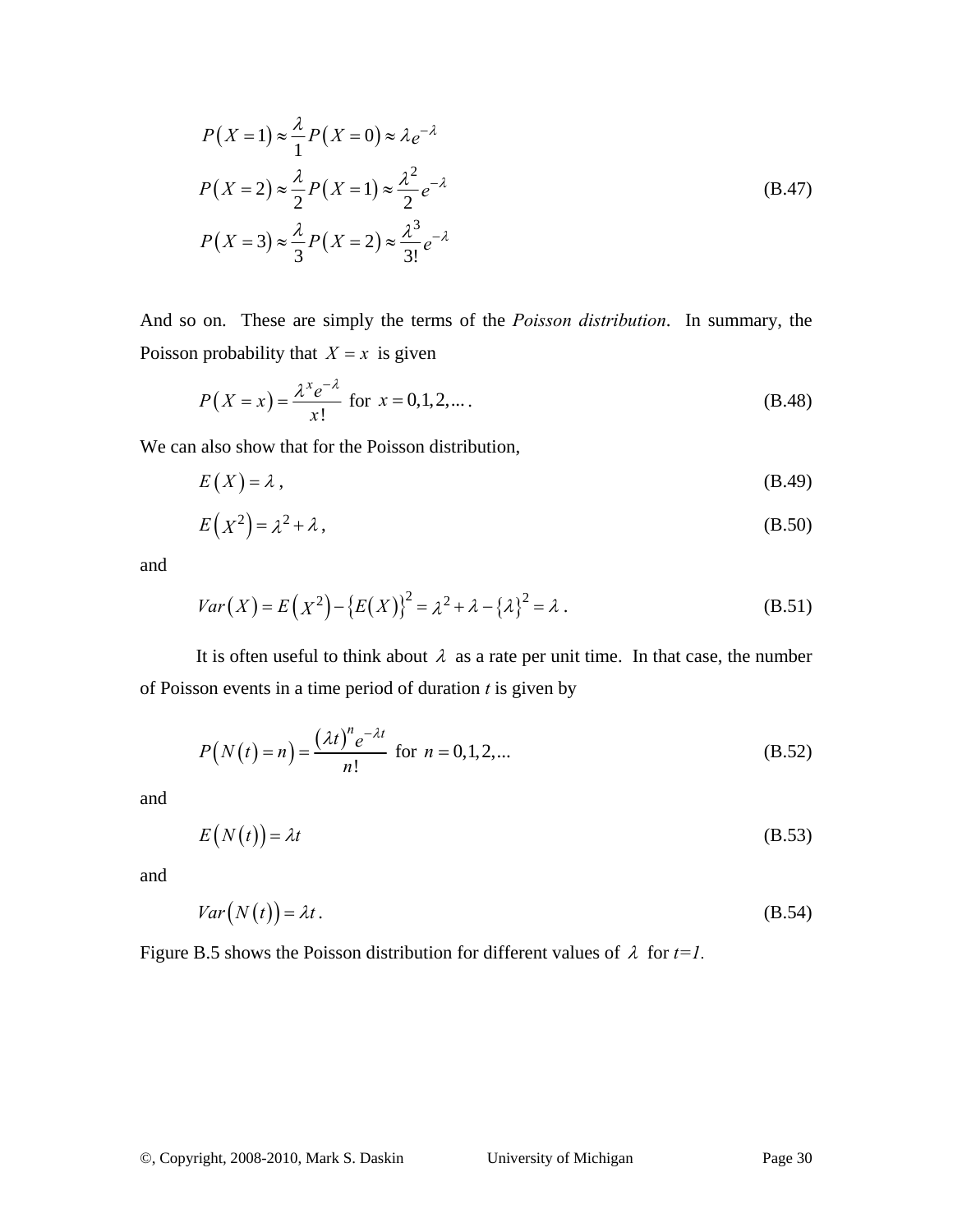$$
P(X=1) \approx \frac{\lambda}{1} P(X=0) \approx \lambda e^{-\lambda}
$$
  

$$
P(X=2) \approx \frac{\lambda}{2} P(X=1) \approx \frac{\lambda^2}{2} e^{-\lambda}
$$
  

$$
P(X=3) \approx \frac{\lambda}{3} P(X=2) \approx \frac{\lambda^3}{3!} e^{-\lambda}
$$
 (B.47)

And so on. These are simply the terms of the *Poisson distribution*. In summary, the Poisson probability that  $X = x$  is given

$$
P(X = x) = \frac{\lambda^x e^{-\lambda}}{x!} \text{ for } x = 0, 1, 2, \dots.
$$
 (B.48)

We can also show that for the Poisson distribution,

$$
E(X) = \lambda, \tag{B.49}
$$

$$
E(X^2) = \lambda^2 + \lambda, \tag{B.50}
$$

and

$$
Var(X) = E(X^{2}) - \{E(X)\}^{2} = \lambda^{2} + \lambda - \{\lambda\}^{2} = \lambda.
$$
 (B.51)

It is often useful to think about  $\lambda$  as a rate per unit time. In that case, the number of Poisson events in a time period of duration *t* is given by

$$
P(N(t) = n) = \frac{(\lambda t)^n e^{-\lambda t}}{n!} \text{ for } n = 0, 1, 2, ...
$$
 (B.52)

and

$$
E(N(t)) = \lambda t
$$
 (B.53)

and

$$
Var(N(t)) = \lambda t. \tag{B.54}
$$

Figure B.5 shows the Poisson distribution for different values of  $\lambda$  for  $t=1$ .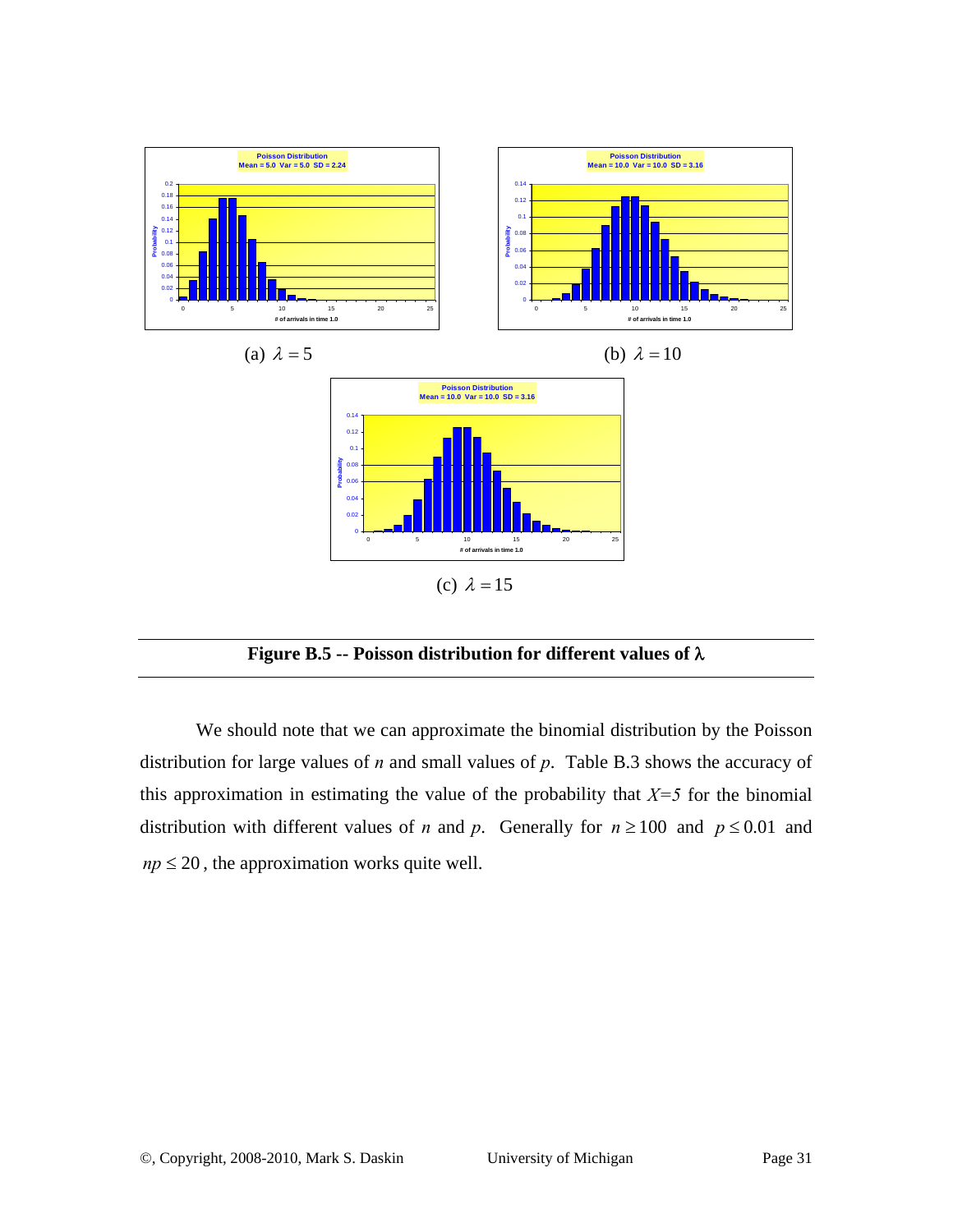



We should note that we can approximate the binomial distribution by the Poisson distribution for large values of *n* and small values of *p*. Table B.3 shows the accuracy of this approximation in estimating the value of the probability that  $X=5$  for the binomial distribution with different values of *n* and *p*. Generally for  $n \ge 100$  and  $p \le 0.01$  and  $np \leq 20$ , the approximation works quite well.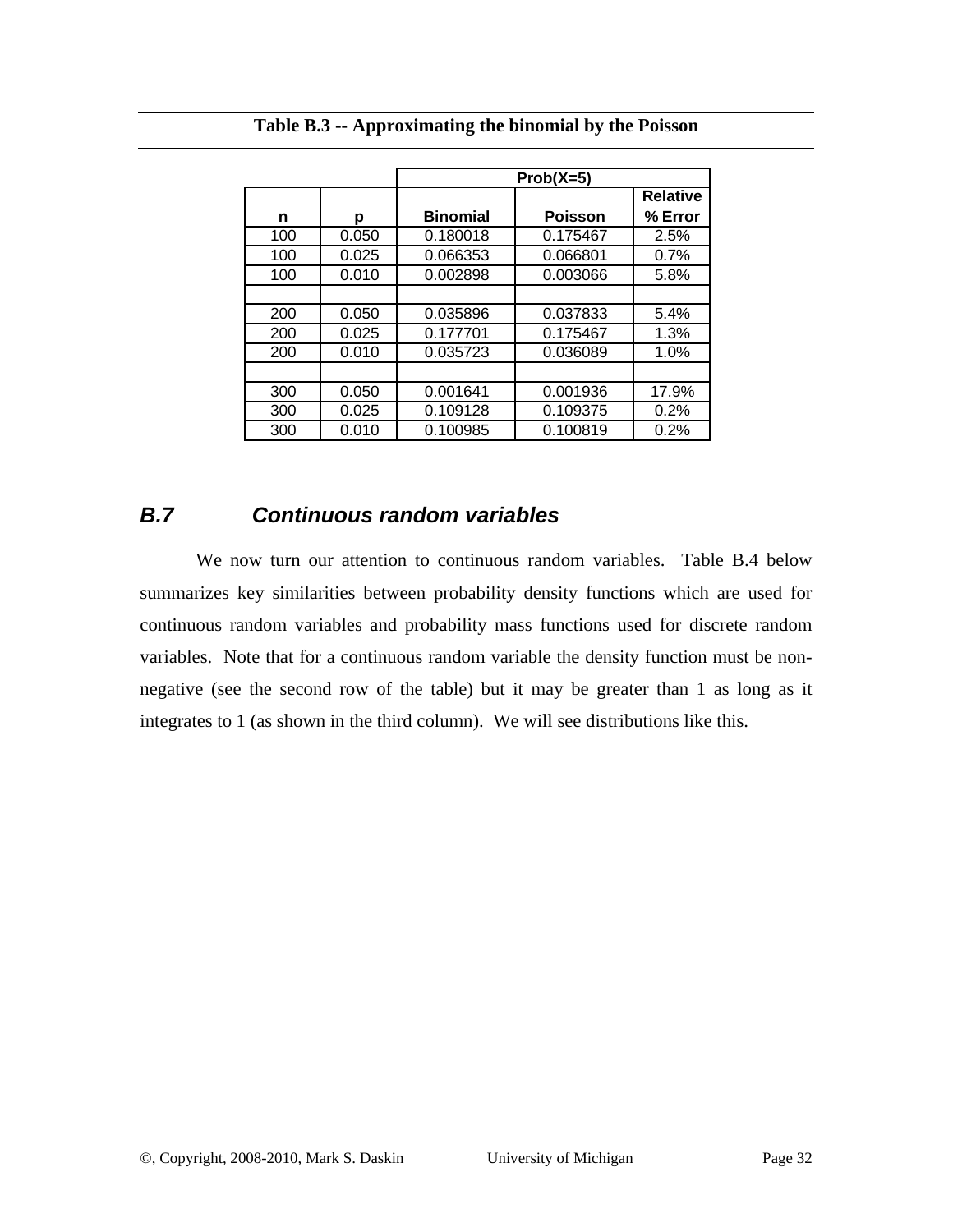|     |       | $Prob(X=5)$     |                |                 |
|-----|-------|-----------------|----------------|-----------------|
|     |       |                 |                | <b>Relative</b> |
| n   | р     | <b>Binomial</b> | <b>Poisson</b> | % Error         |
| 100 | 0.050 | 0.180018        | 0.175467       | 2.5%            |
| 100 | 0.025 | 0.066353        | 0.066801       | 0.7%            |
| 100 | 0.010 | 0.002898        | 0.003066       | 5.8%            |
|     |       |                 |                |                 |
| 200 | 0.050 | 0.035896        | 0.037833       | 5.4%            |
| 200 | 0.025 | 0.177701        | 0.175467       | 1.3%            |
| 200 | 0.010 | 0.035723        | 0.036089       | 1.0%            |
|     |       |                 |                |                 |
| 300 | 0.050 | 0.001641        | 0.001936       | 17.9%           |
| 300 | 0.025 | 0.109128        | 0.109375       | 0.2%            |
| 300 | 0.010 | 0.100985        | 0.100819       | 0.2%            |

**Table B.3 -- Approximating the binomial by the Poisson** 

### *B.7 Continuous random variables*

We now turn our attention to continuous random variables. Table B.4 below summarizes key similarities between probability density functions which are used for continuous random variables and probability mass functions used for discrete random variables. Note that for a continuous random variable the density function must be nonnegative (see the second row of the table) but it may be greater than 1 as long as it integrates to 1 (as shown in the third column). We will see distributions like this.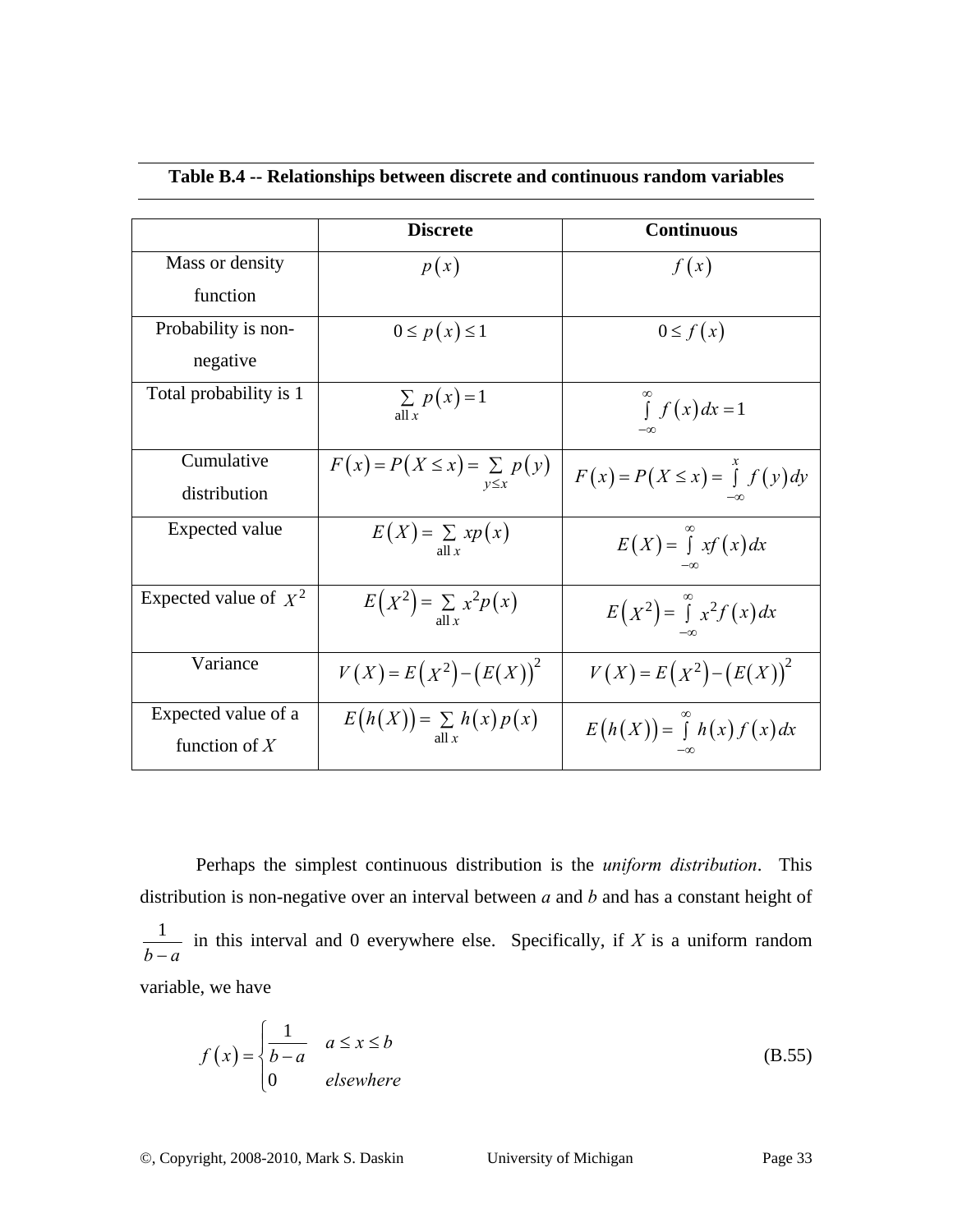|                         | <b>Discrete</b>                           | <b>Continuous</b>                   |
|-------------------------|-------------------------------------------|-------------------------------------|
| Mass or density         | p(x)                                      | f(x)                                |
| function                |                                           |                                     |
| Probability is non-     | $0 \leq p(x) \leq 1$                      | $0 \leq f(x)$                       |
| negative                |                                           |                                     |
| Total probability is 1  | $\sum p(x)=1$<br>all $x$                  | $\int f(x) dx = 1$                  |
| Cumulative              | $F(x) = P(X \le x) = \sum p(y)$           | $F(x) = P(X \le x) = \int f(y) dy$  |
| distribution            |                                           |                                     |
| <b>Expected value</b>   | $E(X) = \sum_{\text{all } x} x p(x)$      | $E(X) = \int_{0}^{\infty} xf(x) dx$ |
| Expected value of $X^2$ | $E(X^2) = \sum_{\text{all }x} x^2 p(x)$   | $E(X^2) = \int x^2 f(x) dx$         |
| Variance                | $V(X) = E(X^2) - (E(X))^2$                | $V(X) = E(X^2) - (E(X))^2$          |
| Expected value of a     | $E(h(X)) = \sum_{\text{all }x} h(x) p(x)$ | $E(h(X)) = \int h(x) f(x) dx$       |
| function of $X$         |                                           |                                     |

#### **Table B.4 -- Relationships between discrete and continuous random variables**

Perhaps the simplest continuous distribution is the *uniform distribution*. This distribution is non-negative over an interval between *a* and *b* and has a constant height of  $\frac{1}{b-a}$  in this interval and 0 everywhere else. Specifically, if *X* is a uniform random variable, we have

$$
f(x) = \begin{cases} \frac{1}{b-a} & a \le x \le b \\ 0 & elsewhere \end{cases}
$$
 (B.55)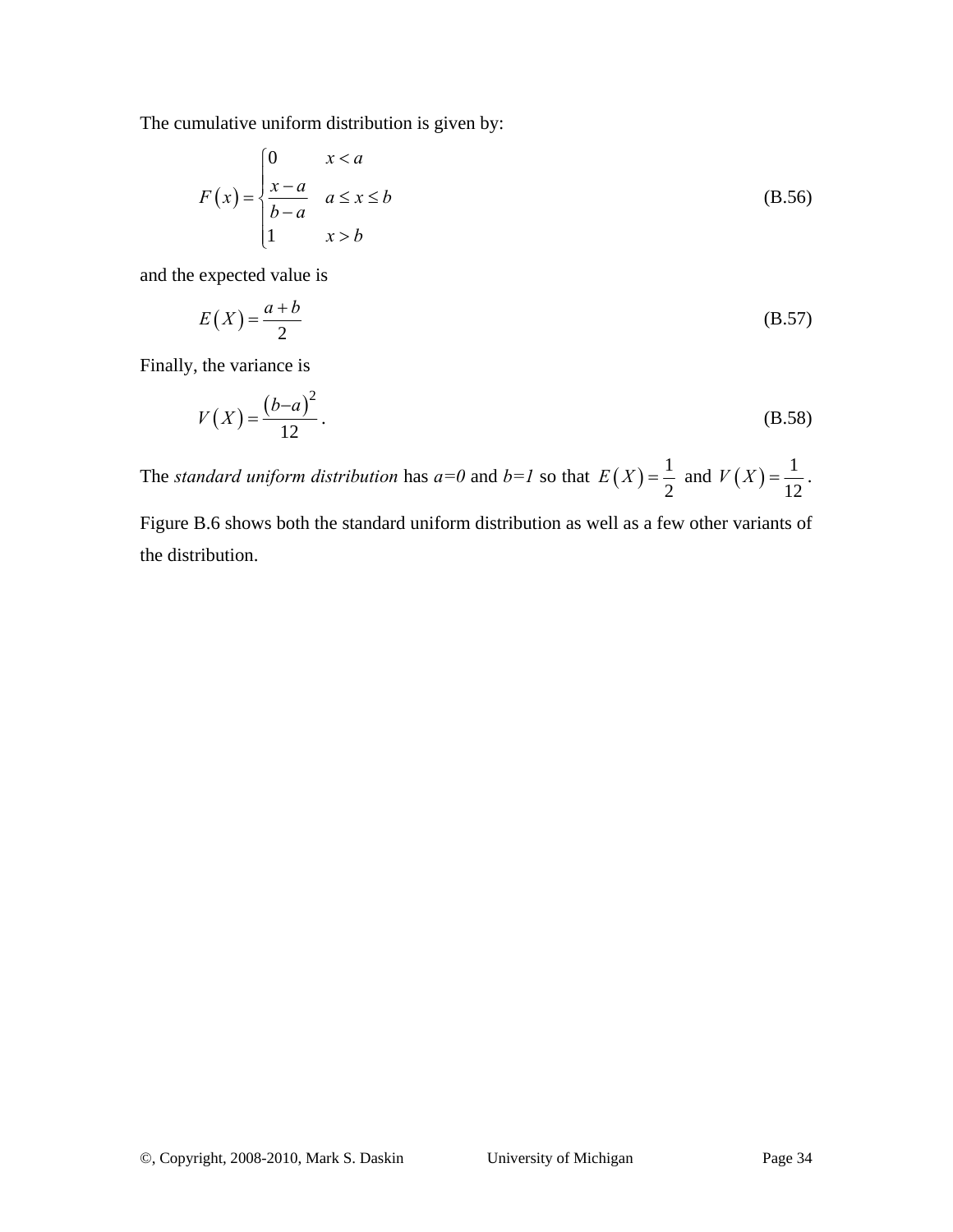The cumulative uniform distribution is given by:

$$
F(x) = \begin{cases} 0 & x < a \\ \frac{x - a}{b - a} & a \le x \le b \\ 1 & x > b \end{cases} \tag{B.56}
$$

and the expected value is

$$
E(X) = \frac{a+b}{2}
$$
 (B.57)

Finally, the variance is

$$
V(X) = \frac{(b-a)^2}{12}.
$$
 (B.58)

The *standard uniform distribution* has  $a=0$  and  $b=1$  so that  $E(X) = \frac{1}{2}$ 2  $E(X) = \frac{1}{2}$  and  $V(X) = \frac{1}{16}$ 12  $V(X) = \frac{1}{12}$ .

Figure B.6 shows both the standard uniform distribution as well as a few other variants of the distribution.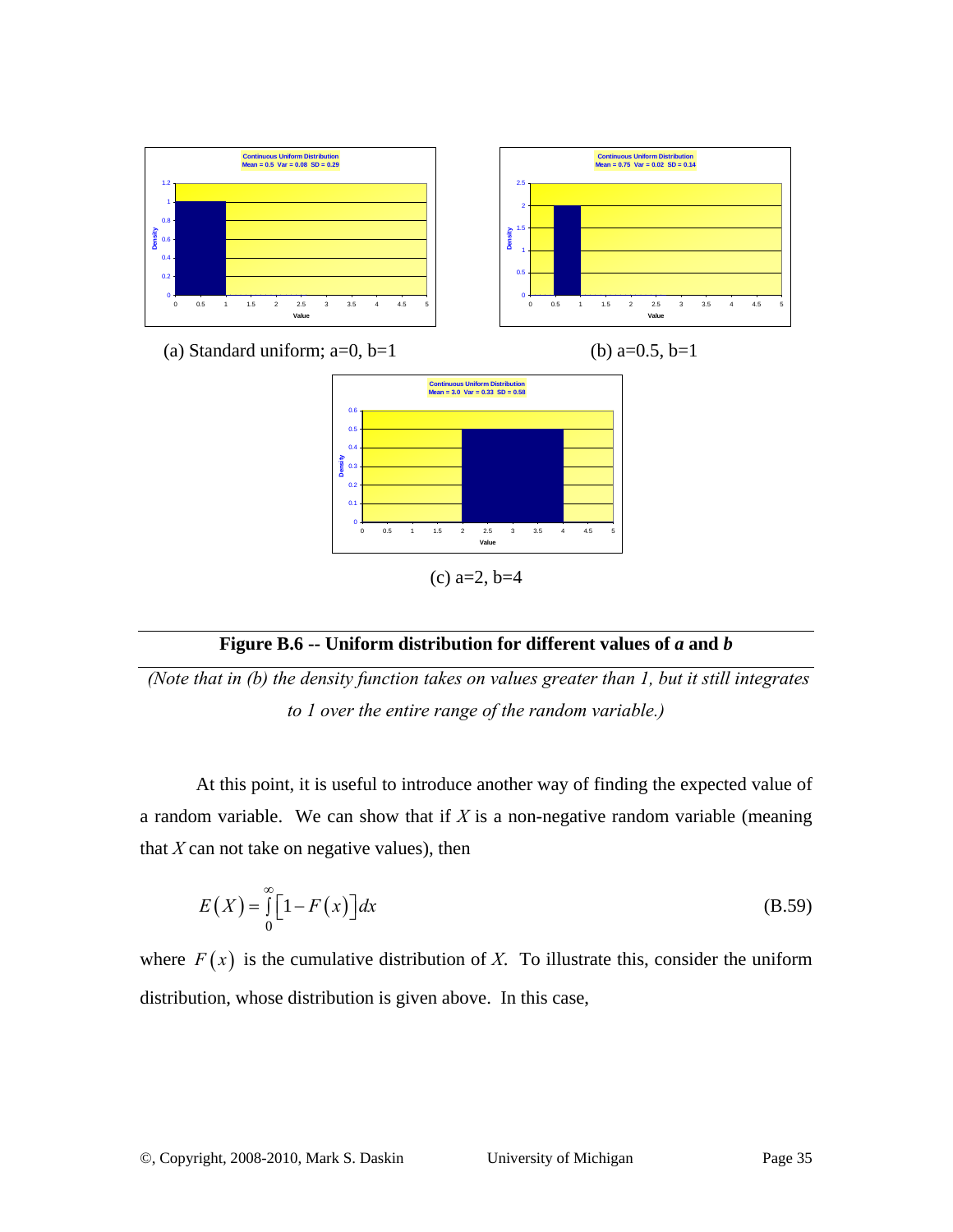

#### **Figure B.6 -- Uniform distribution for different values of** *a* **and** *b*

 *(Note that in (b) the density function takes on values greater than 1, but it still integrates to 1 over the entire range of the random variable.)* 

At this point, it is useful to introduce another way of finding the expected value of a random variable. We can show that if *X* is a non-negative random variable (meaning that  $X$  can not take on negative values), then

$$
E(X) = \int_{0}^{\infty} \left[1 - F(x)\right] dx
$$
 (B.59)

where  $F(x)$  is the cumulative distribution of *X*. To illustrate this, consider the uniform distribution, whose distribution is given above. In this case,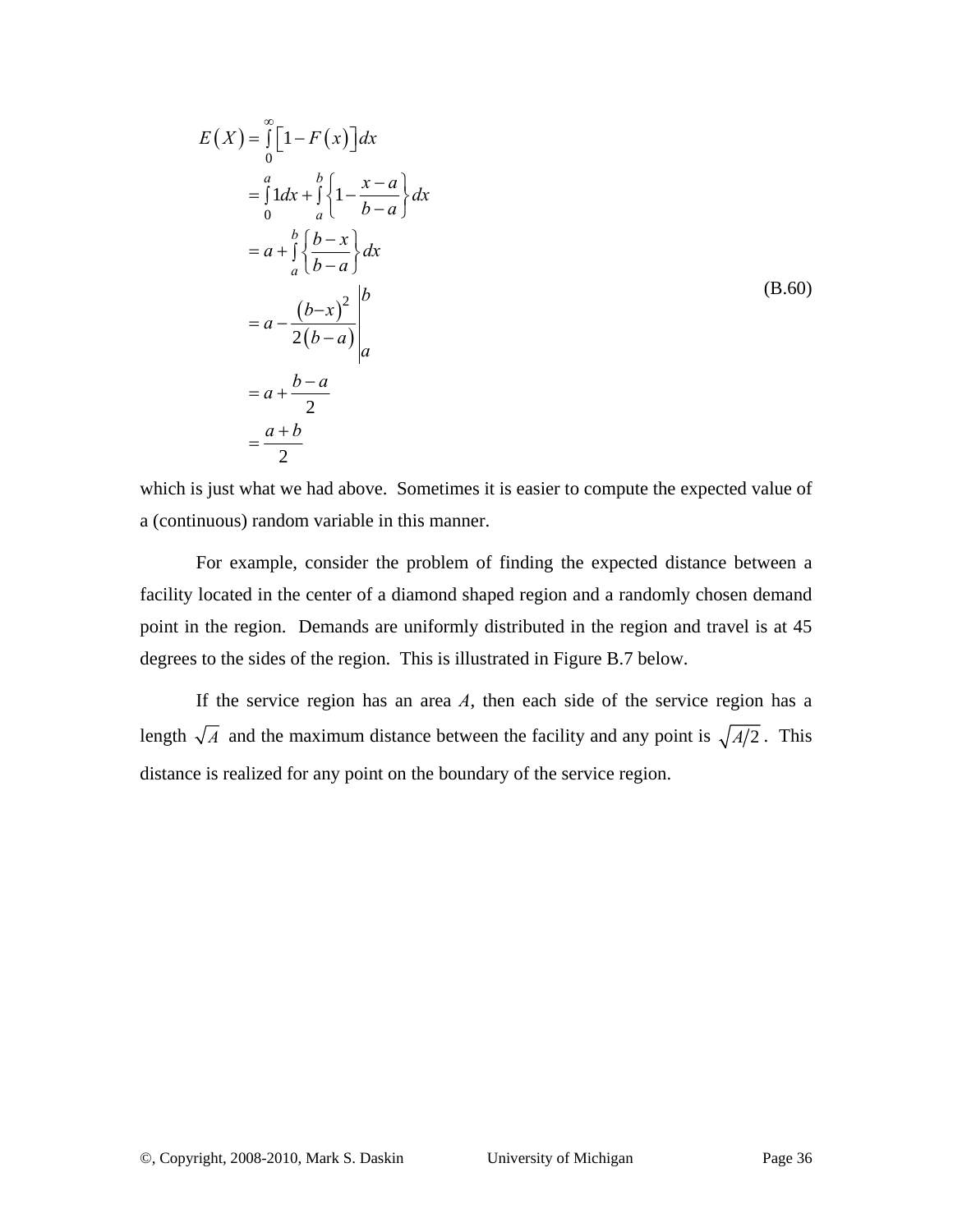$$
E(X) = \int_{0}^{\infty} \left[1 - F(x)\right] dx
$$
  
\n
$$
= \int_{0}^{a} 1 dx + \int_{a}^{b} \left\{1 - \frac{x - a}{b - a}\right\} dx
$$
  
\n
$$
= a + \int_{a}^{b} \left\{\frac{b - x}{b - a}\right\} dx
$$
  
\n
$$
= a - \frac{(b - x)^{2}}{2(b - a)} \Big|_{a}^{b}
$$
  
\n
$$
= a + \frac{b - a}{2}
$$
  
\n
$$
= \frac{a + b}{2}
$$
  
\n(B.60)

which is just what we had above. Sometimes it is easier to compute the expected value of a (continuous) random variable in this manner.

For example, consider the problem of finding the expected distance between a facility located in the center of a diamond shaped region and a randomly chosen demand point in the region. Demands are uniformly distributed in the region and travel is at 45 degrees to the sides of the region. This is illustrated in Figure B.7 below.

If the service region has an area *A*, then each side of the service region has a length  $\sqrt{A}$  and the maximum distance between the facility and any point is  $\sqrt{A/2}$ . This distance is realized for any point on the boundary of the service region.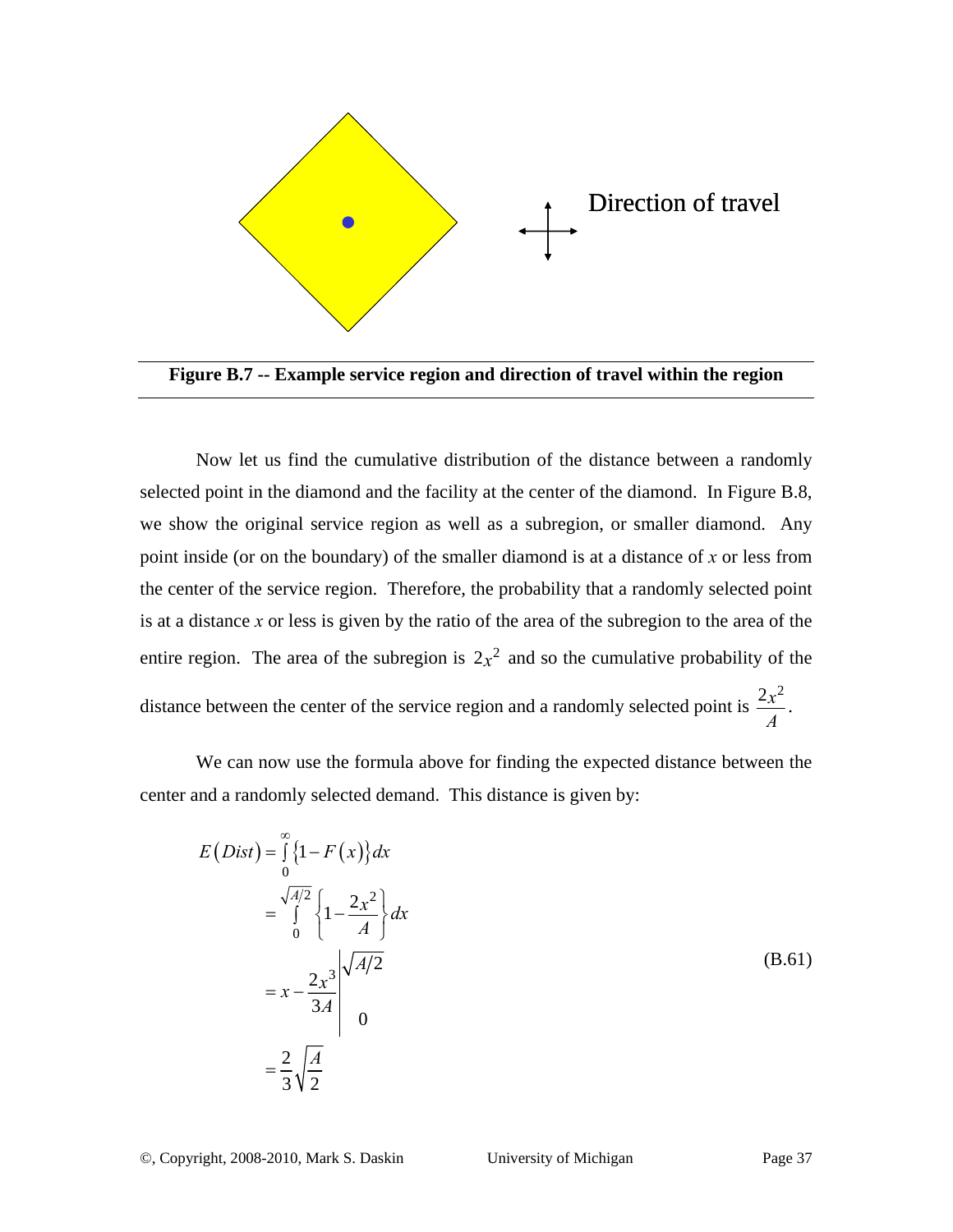

**Figure B.7 -- Example service region and direction of travel within the region** 

Now let us find the cumulative distribution of the distance between a randomly selected point in the diamond and the facility at the center of the diamond. In Figure B.8, we show the original service region as well as a subregion, or smaller diamond. Any point inside (or on the boundary) of the smaller diamond is at a distance of *x* or less from the center of the service region. Therefore, the probability that a randomly selected point is at a distance *x* or less is given by the ratio of the area of the subregion to the area of the entire region. The area of the subregion is  $2x^2$  and so the cumulative probability of the distance between the center of the service region and a randomly selected point is  $\frac{2x^2}{x}$  $\frac{x}{A}$ .

We can now use the formula above for finding the expected distance between the center and a randomly selected demand. This distance is given by:

$$
E(Dist) = \int_{0}^{\infty} \{1 - F(x)\} dx
$$
  
= 
$$
\int_{0}^{\sqrt{A/2}} \{1 - \frac{2x^{2}}{A}\} dx
$$
  
= 
$$
x - \frac{2x^{3}}{3A} \Big|_{0}^{\sqrt{A/2}}
$$
  
= 
$$
\frac{2}{3} \sqrt{\frac{A}{2}}
$$
 (B.61)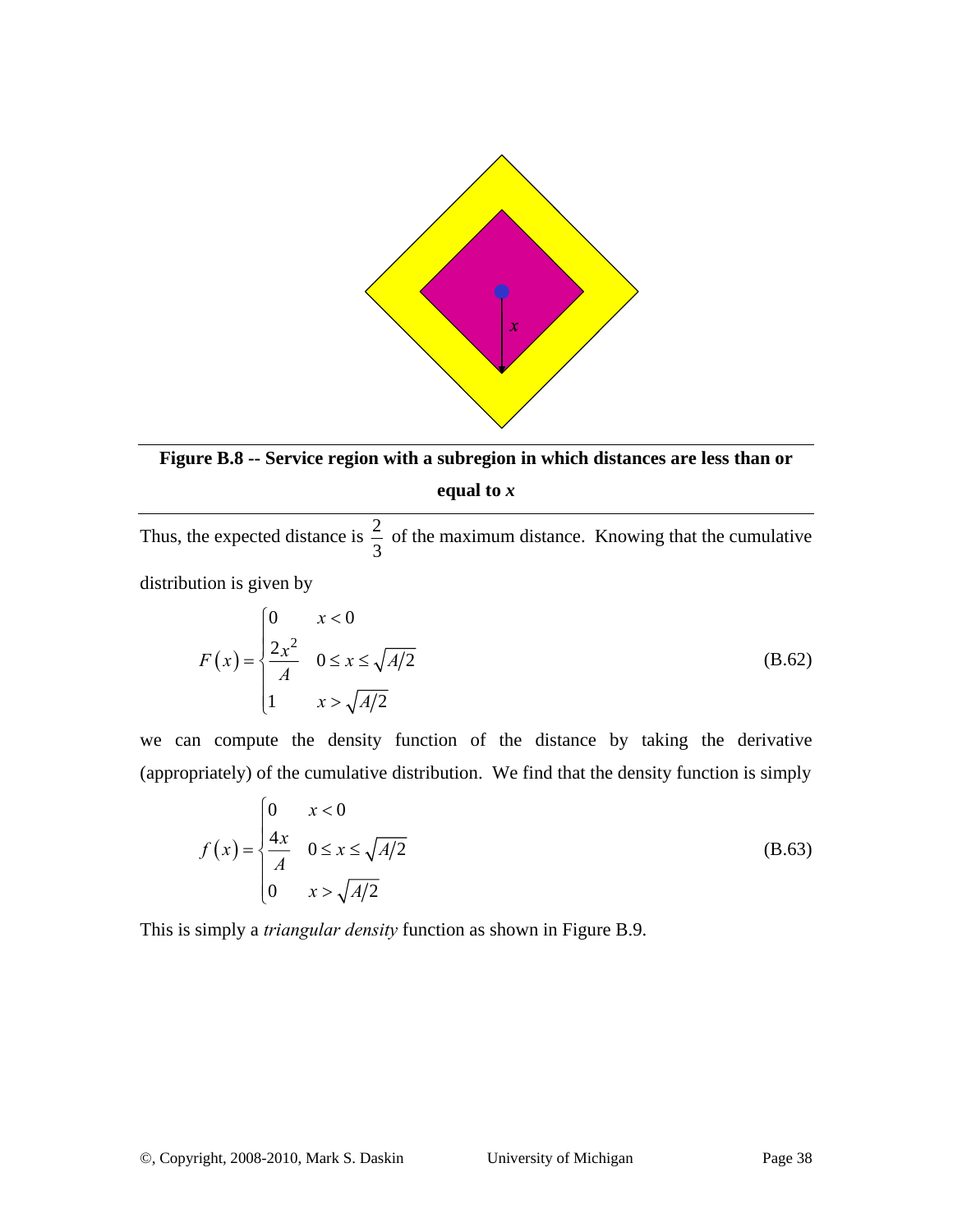

**Figure B.8 -- Service region with a subregion in which distances are less than or** 

#### **equal to** *x*

Thus, the expected distance is  $\frac{2}{3}$ 3 of the maximum distance. Knowing that the cumulative distribution is given by

$$
F(x) = \begin{cases} 0 & x < 0 \\ \frac{2x^2}{A} & 0 \le x \le \sqrt{A/2} \\ 1 & x > \sqrt{A/2} \end{cases}
$$
 (B.62)

we can compute the density function of the distance by taking the derivative (appropriately) of the cumulative distribution. We find that the density function is simply

$$
f(x) = \begin{cases} 0 & x < 0 \\ \frac{4x}{A} & 0 \le x \le \sqrt{A/2} \\ 0 & x > \sqrt{A/2} \end{cases}
$$
 (B.63)

This is simply a *triangular density* function as shown in Figure B.9.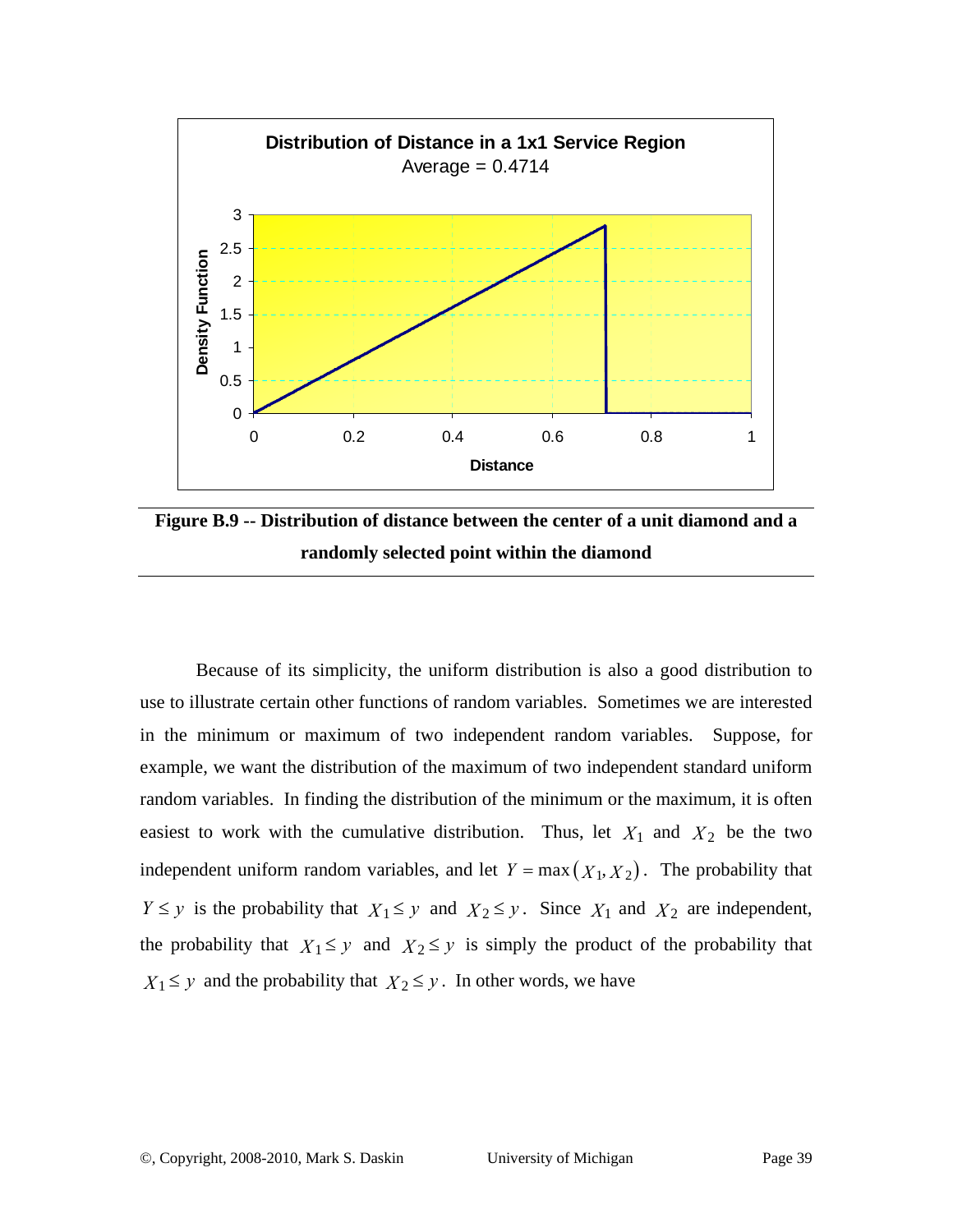

**Figure B.9 -- Distribution of distance between the center of a unit diamond and a randomly selected point within the diamond** 

Because of its simplicity, the uniform distribution is also a good distribution to use to illustrate certain other functions of random variables. Sometimes we are interested in the minimum or maximum of two independent random variables. Suppose, for example, we want the distribution of the maximum of two independent standard uniform random variables. In finding the distribution of the minimum or the maximum, it is often easiest to work with the cumulative distribution. Thus, let  $X_1$  and  $X_2$  be the two independent uniform random variables, and let  $Y = \max(X_1, X_2)$ . The probability that *Y*  $\leq$  *y* is the probability that *X*<sub>1</sub>  $\leq$  *y* and *X*<sub>2</sub>  $\leq$  *y*. Since *X*<sub>1</sub> and *X*<sub>2</sub> are independent, the probability that  $X_1 \leq y$  and  $X_2 \leq y$  is simply the product of the probability that  $X_1 \leq y$  and the probability that  $X_2 \leq y$ . In other words, we have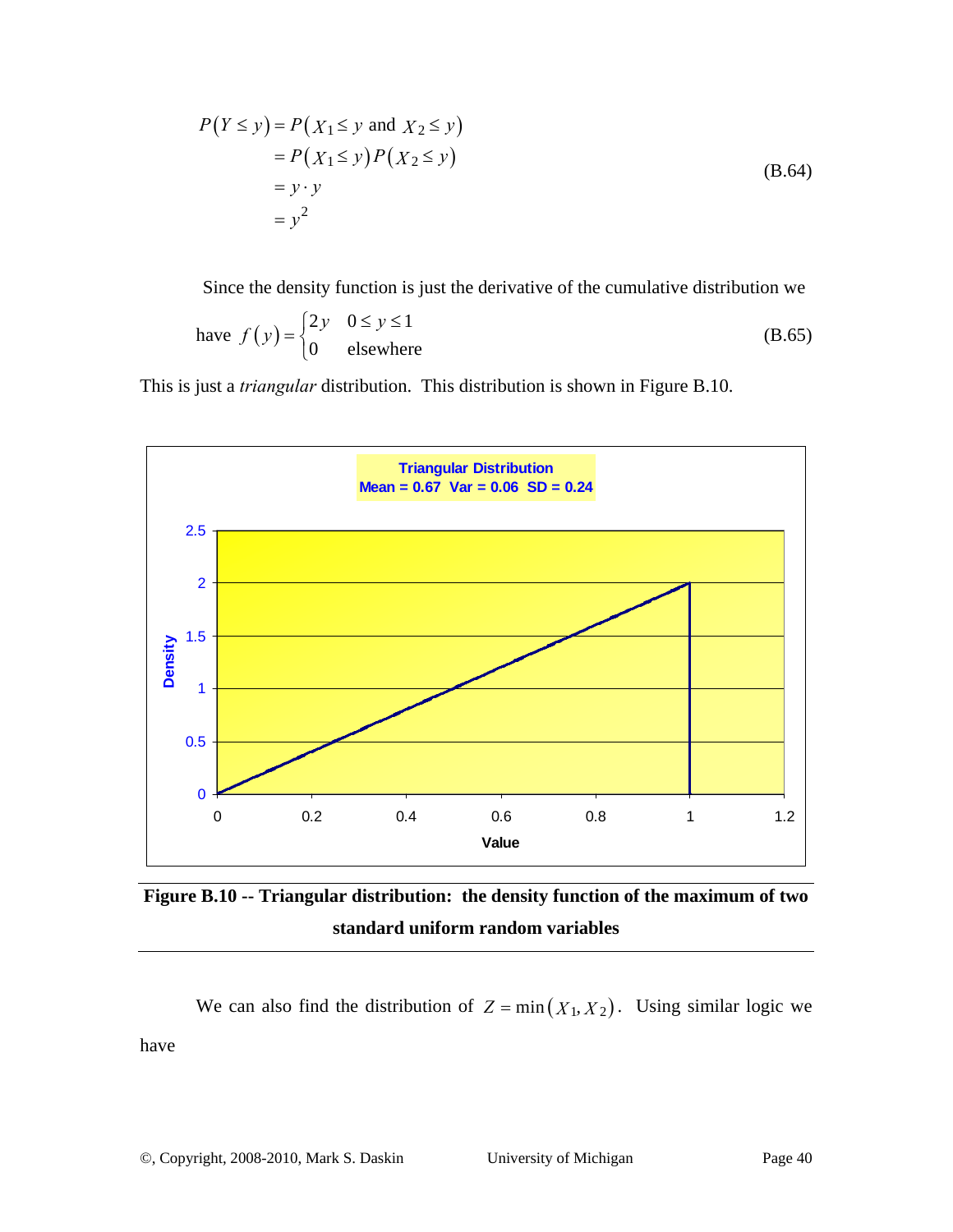$$
P(Y \le y) = P(X_1 \le y \text{ and } X_2 \le y)
$$
  
=  $P(X_1 \le y)P(X_2 \le y)$   
=  $y \cdot y$   
=  $y^2$  (B.64)

Since the density function is just the derivative of the cumulative distribution we

have 
$$
f(y) = \begin{cases} 2y & 0 \le y \le 1 \\ 0 & \text{elsewhere} \end{cases}
$$
 (B.65)

This is just a *triangular* distribution. This distribution is shown in Figure B.10.



**Figure B.10 -- Triangular distribution: the density function of the maximum of two standard uniform random variables** 

We can also find the distribution of  $Z = min(X_1, X_2)$ . Using similar logic we have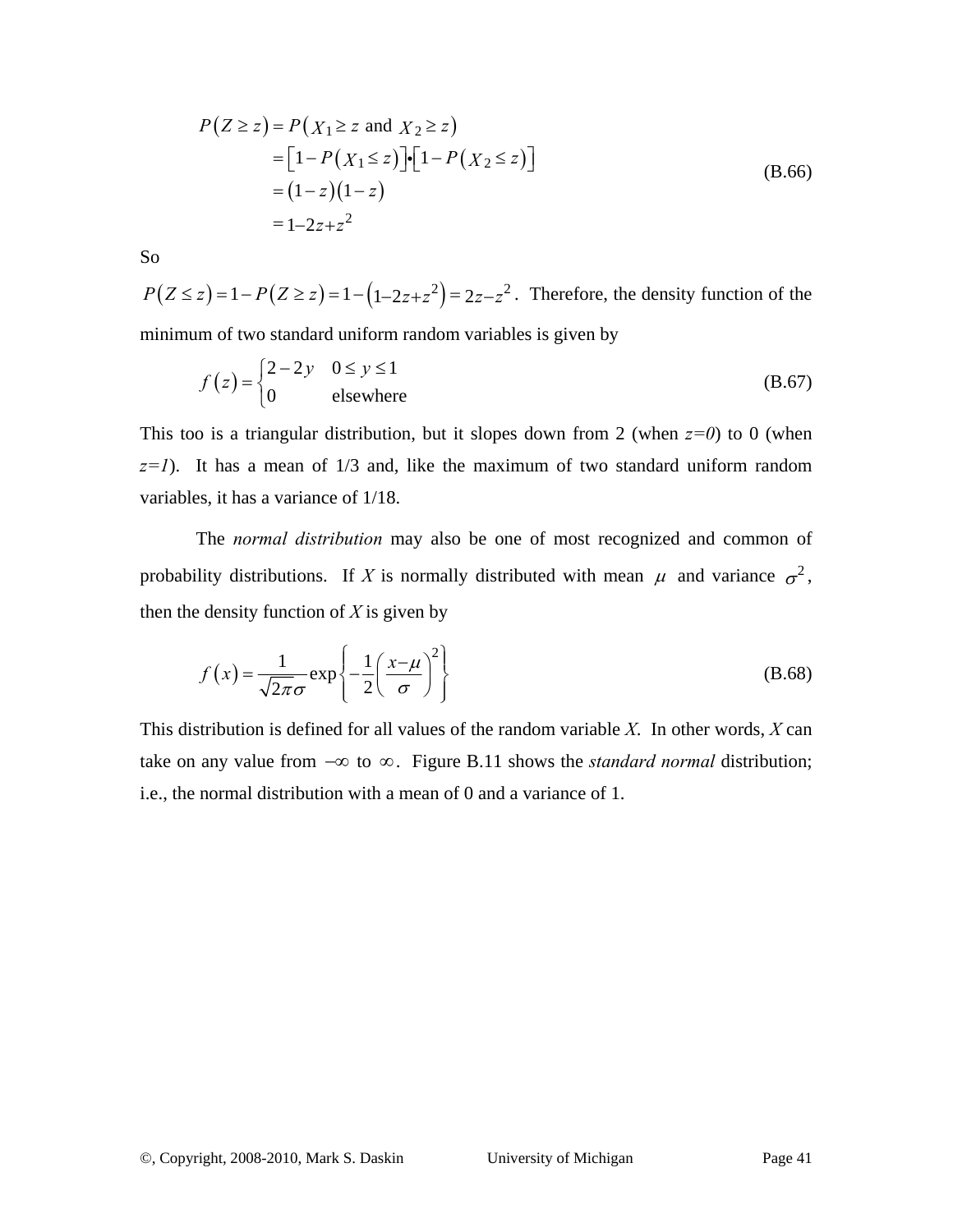$$
P(Z \ge z) = P(X_1 \ge z \text{ and } X_2 \ge z)
$$
  
=  $[1 - P(X_1 \le z)] \cdot [1 - P(X_2 \le z)]$   
=  $(1 - z)(1 - z)$   
=  $1 - 2z + z^2$  (B.66)

So

 $P(Z \le z) = 1 - P(Z \ge z) = 1 - (1 - 2z + z^2) = 2z - z^2$ . Therefore, the density function of the minimum of two standard uniform random variables is given by

$$
f(z) = \begin{cases} 2 - 2y & 0 \le y \le 1 \\ 0 & \text{elsewhere} \end{cases}
$$
 (B.67)

This too is a triangular distribution, but it slopes down from 2 (when  $z=0$ ) to 0 (when *z=1*). It has a mean of 1/3 and, like the maximum of two standard uniform random variables, it has a variance of 1/18.

The *normal distribution* may also be one of most recognized and common of probability distributions. If *X* is normally distributed with mean  $\mu$  and variance  $\sigma^2$ , then the density function of *X* is given by

$$
f(x) = \frac{1}{\sqrt{2\pi}\sigma} \exp\left\{-\frac{1}{2}\left(\frac{x-\mu}{\sigma}\right)^2\right\}
$$
 (B.68)

This distribution is defined for all values of the random variable *X*. In other words, *X* can take on any value from −∞ to ∞. Figure B.11 shows the *standard normal* distribution; i.e., the normal distribution with a mean of 0 and a variance of 1.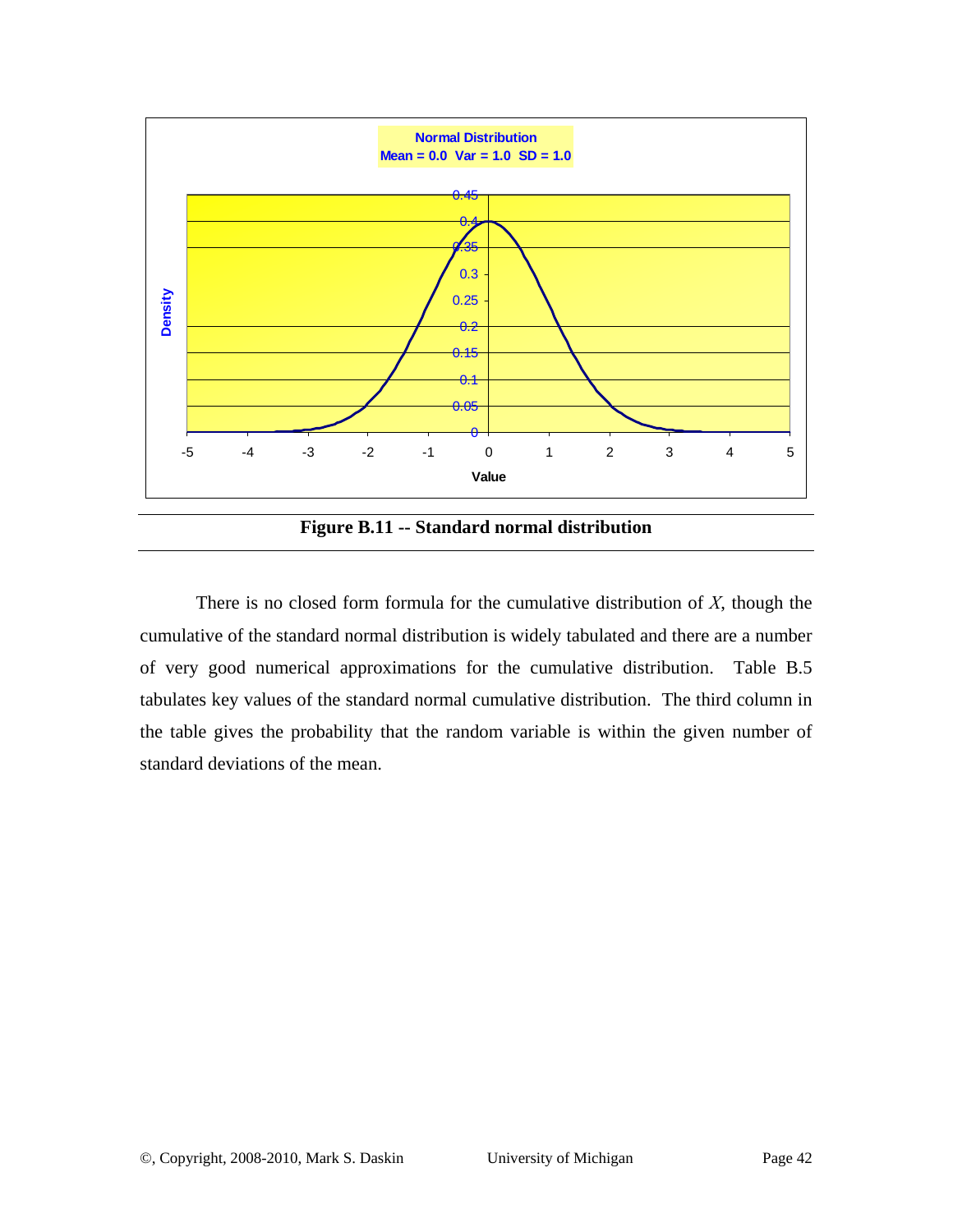

**Figure B.11 -- Standard normal distribution** 

There is no closed form formula for the cumulative distribution of *X*, though the cumulative of the standard normal distribution is widely tabulated and there are a number of very good numerical approximations for the cumulative distribution. Table B.5 tabulates key values of the standard normal cumulative distribution. The third column in the table gives the probability that the random variable is within the given number of standard deviations of the mean.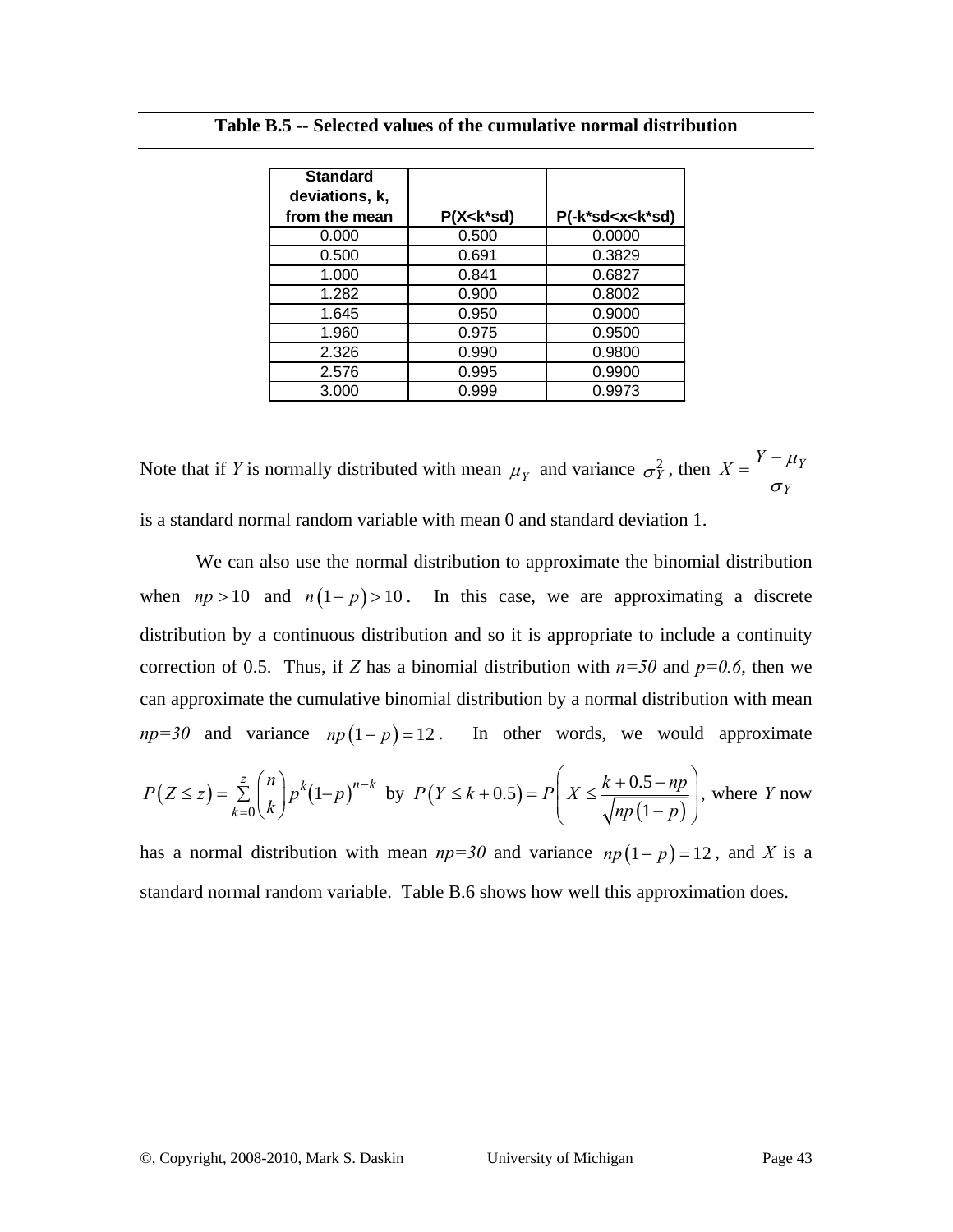| <b>Standard</b><br>deviations, k, |                  |                                     |
|-----------------------------------|------------------|-------------------------------------|
| from the mean                     | $P(X < k^* s d)$ | P(-k*sd <x<k*sd)< th=""></x<k*sd)<> |
| 0.000                             | 0.500            | 0.0000                              |
| 0.500                             | 0.691            | 0.3829                              |
| 1.000                             | 0.841            | 0.6827                              |
| 1.282                             | 0.900            | 0.8002                              |
| 1.645                             | 0.950            | 0.9000                              |
| 1.960                             | 0.975            | 0.9500                              |
| 2.326                             | 0.990            | 0.9800                              |
| 2.576                             | 0.995            | 0.9900                              |
| 3.000                             | 0.999            | 0.9973                              |

Note that if *Y* is normally distributed with mean  $\mu_Y$  and variance  $\sigma_Y^2$ , then  $X = \frac{I - \mu_Y}{I}$ *Y*  $X = \frac{Y - \mu}{\sigma}$ σ  $=\frac{Y-}{Y}$ 

is a standard normal random variable with mean 0 and standard deviation 1.

We can also use the normal distribution to approximate the binomial distribution when  $np > 10$  and  $n(1-p) > 10$ . In this case, we are approximating a discrete distribution by a continuous distribution and so it is appropriate to include a continuity correction of 0.5. Thus, if *Z* has a binomial distribution with  $n=50$  and  $p=0.6$ , then we can approximate the cumulative binomial distribution by a normal distribution with mean  $np=30$  and variance  $np(1-p)=12$ . In other words, we would approximate

$$
P(Z \le z) = \sum_{k=0}^{z} {n \choose k} p^k (1-p)^{n-k} \text{ by } P(Y \le k+0.5) = P\left(X \le \frac{k+0.5-np}{\sqrt{np(1-p)}}\right), \text{ where } Y \text{ now}
$$

has a normal distribution with mean  $np=30$  and variance  $np(1-p)=12$ , and X is a standard normal random variable. Table B.6 shows how well this approximation does.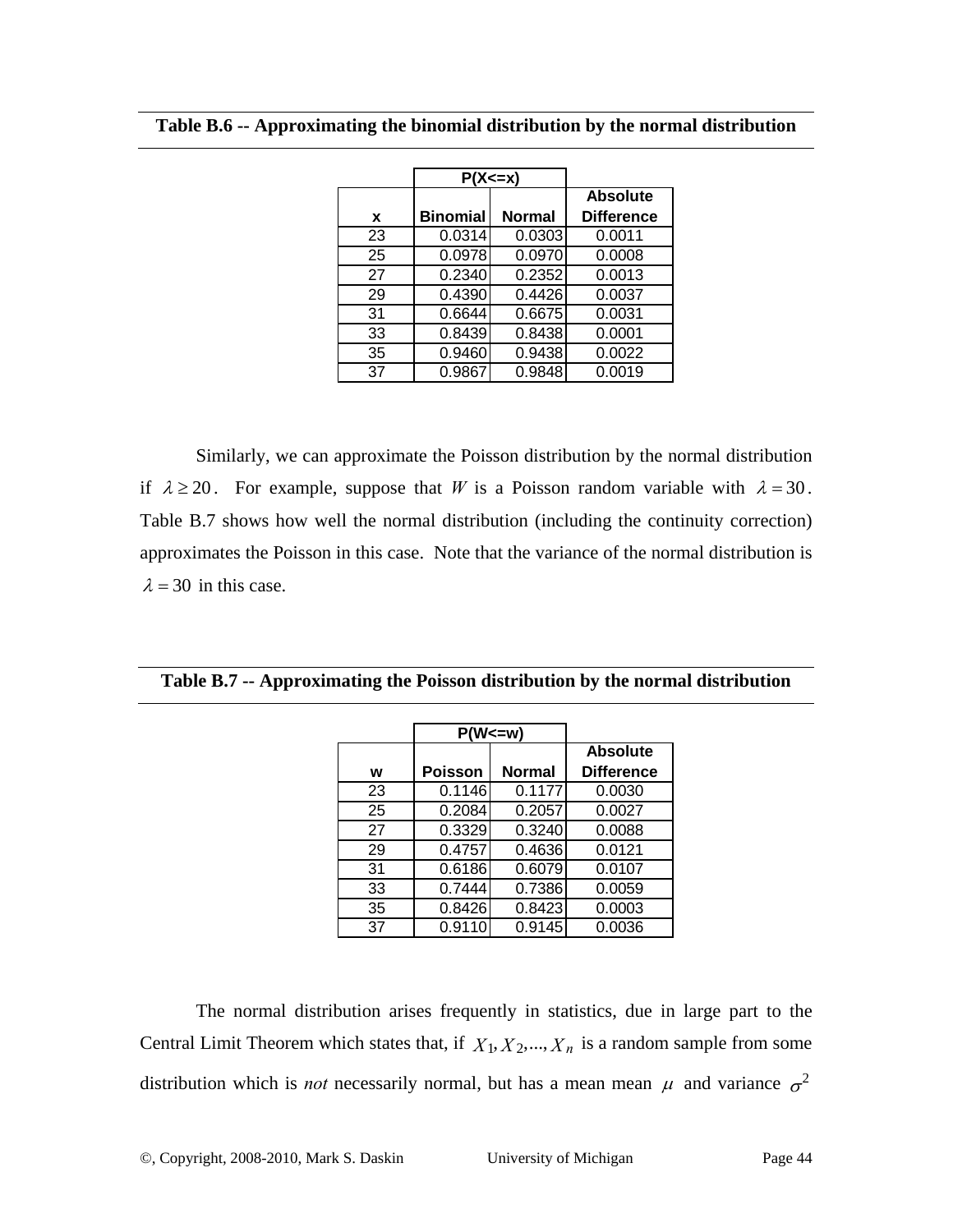|    | $P(X \le x)$    |               |                   |
|----|-----------------|---------------|-------------------|
|    |                 |               | <b>Absolute</b>   |
| X  | <b>Binomial</b> | <b>Normal</b> | <b>Difference</b> |
| 23 | 0.0314          | 0.0303        | 0.0011            |
| 25 | 0.0978          | 0.0970        | 0.0008            |
| 27 | 0.2340          | 0.2352        | 0.0013            |
| 29 | 0.4390          | 0.4426        | 0.0037            |
| 31 | 0.6644          | 0.6675        | 0.0031            |
| 33 | 0.8439          | 0.8438        | 0.0001            |
| 35 | 0.9460          | 0.9438        | 0.0022            |
| 37 | 0.9867          | 0.9848        | 0.0019            |

Similarly, we can approximate the Poisson distribution by the normal distribution if  $\lambda \ge 20$ . For example, suppose that *W* is a Poisson random variable with  $\lambda = 30$ . Table B.7 shows how well the normal distribution (including the continuity correction) approximates the Poisson in this case. Note that the variance of the normal distribution is  $\lambda = 30$  in this case.

|    | $P(W<=w)$ |               |                   |
|----|-----------|---------------|-------------------|
|    |           |               | <b>Absolute</b>   |
| w  | Poisson   | <b>Normal</b> | <b>Difference</b> |
| 23 | 0.1146    | 0.1177        | 0.0030            |
| 25 | 0.2084    | 0.2057        | 0.0027            |
| 27 | 0.3329    | 0.3240        | 0.0088            |
| 29 | 0.4757    | 0.4636        | 0.0121            |
| 31 | 0.6186    | 0.6079        | 0.0107            |
| 33 | 0.7444    | 0.7386        | 0.0059            |
| 35 | 0.8426    | 0.8423        | 0.0003            |
| 37 | 0.9110    | 0.9145        | 0.0036            |

**Table B.7 -- Approximating the Poisson distribution by the normal distribution** 

The normal distribution arises frequently in statistics, due in large part to the Central Limit Theorem which states that, if  $X_1, X_2, ..., X_n$  is a random sample from some distribution which is *not* necessarily normal, but has a mean mean  $\mu$  and variance  $\sigma^2$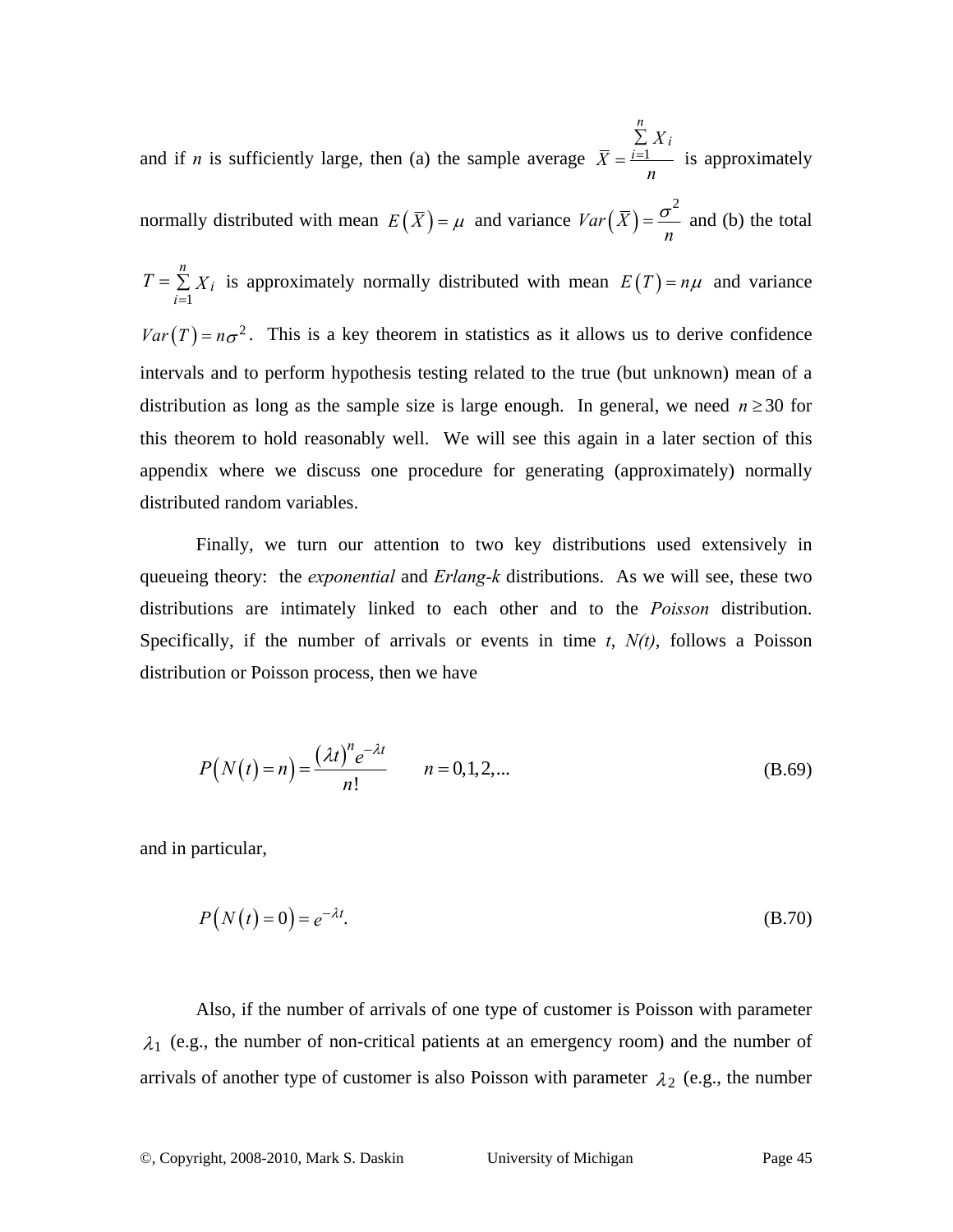and if *n* is sufficiently large, then (a) the sample average  $\bar{X} = \frac{i-1}{2}$ *n i i X X n* = ∑  $=\frac{i=1}{i=1}$  is approximately normally distributed with mean  $E(\bar{X}) = \mu$  and variance  $Var(\bar{X})$ 2  $Var(\bar{X})$ *n*  $=\frac{\sigma}{\sigma}$  and (b) the total 1 *n i*  $T = \sum_{i=1}^{n} X_i$  is approximately normally distributed with mean  $E(T) = n\mu$  and variance  $Var(T) = n\sigma^2$ . This is a key theorem in statistics as it allows us to derive confidence intervals and to perform hypothesis testing related to the true (but unknown) mean of a distribution as long as the sample size is large enough. In general, we need  $n \ge 30$  for this theorem to hold reasonably well. We will see this again in a later section of this appendix where we discuss one procedure for generating (approximately) normally distributed random variables.

Finally, we turn our attention to two key distributions used extensively in queueing theory: the *exponential* and *Erlang-k* distributions. As we will see, these two distributions are intimately linked to each other and to the *Poisson* distribution. Specifically, if the number of arrivals or events in time *t*, *N(t)*, follows a Poisson distribution or Poisson process, then we have

$$
P(N(t) = n) = \frac{(\lambda t)^n e^{-\lambda t}}{n!}
$$
  $n = 0, 1, 2, ...$  (B.69)

and in particular,

$$
P(N(t) = 0) = e^{-\lambda t}.\tag{B.70}
$$

Also, if the number of arrivals of one type of customer is Poisson with parameter  $\lambda_1$  (e.g., the number of non-critical patients at an emergency room) and the number of arrivals of another type of customer is also Poisson with parameter  $\lambda_2$  (e.g., the number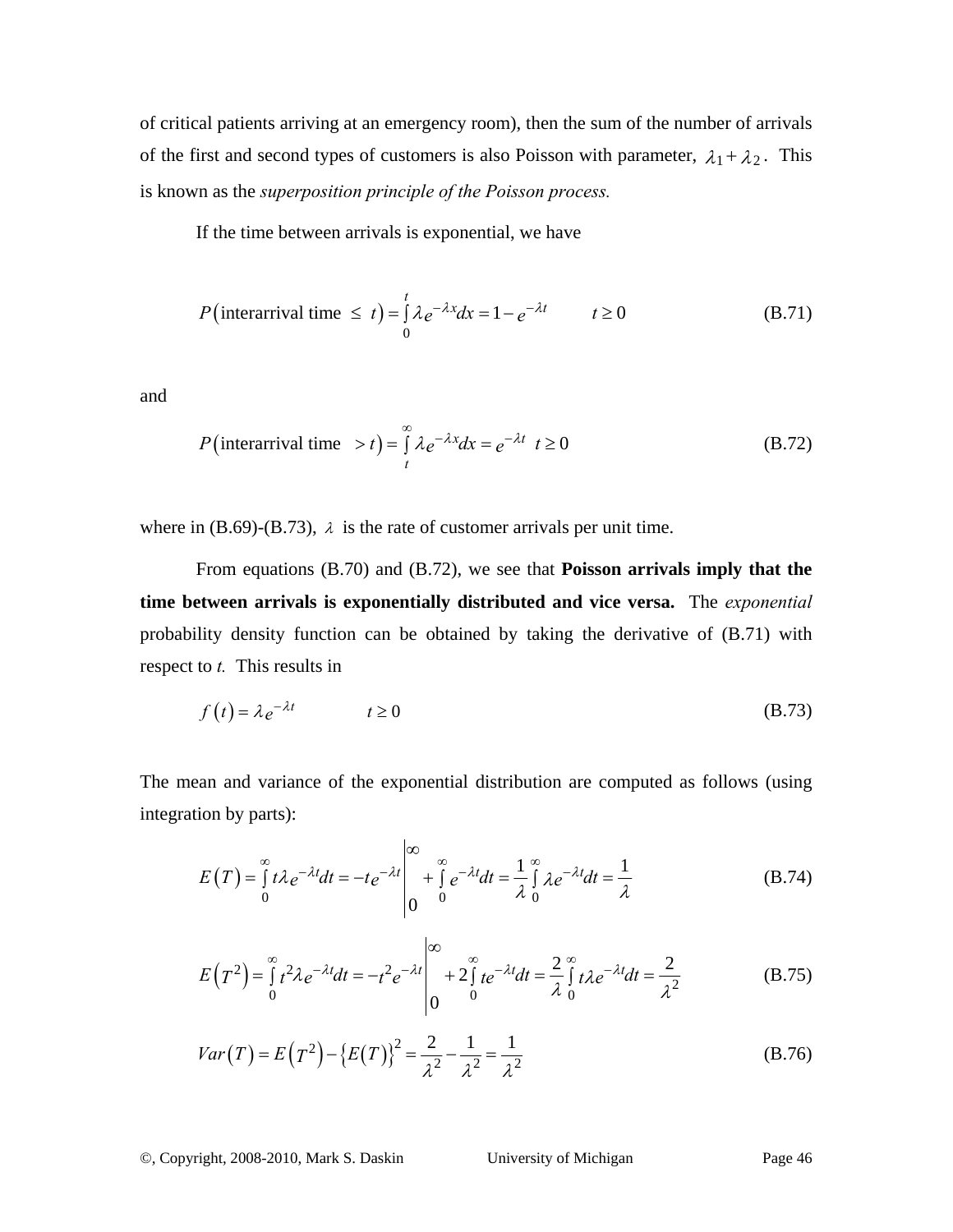of critical patients arriving at an emergency room), then the sum of the number of arrivals of the first and second types of customers is also Poisson with parameter,  $\lambda_1 + \lambda_2$ . This is known as the *superposition principle of the Poisson process.*

If the time between arrivals is exponential, we have

$$
P(\text{interarrival time} \le t) = \int_{0}^{t} \lambda e^{-\lambda x} dx = 1 - e^{-\lambda t} \qquad t \ge 0 \tag{B.71}
$$

and

$$
P(\text{interarrival time } > t) = \int_{t}^{\infty} \lambda e^{-\lambda x} dx = e^{-\lambda t} \quad t \ge 0
$$
 (B.72)

where in  $(B.69)$ - $(B.73)$ ,  $\lambda$  is the rate of customer arrivals per unit time.

From equations (B.70) and (B.72), we see that **Poisson arrivals imply that the time between arrivals is exponentially distributed and vice versa.** The *exponential*  probability density function can be obtained by taking the derivative of (B.71) with respect to *t.* This results in

$$
f(t) = \lambda e^{-\lambda t} \qquad t \ge 0 \tag{B.73}
$$

The mean and variance of the exponential distribution are computed as follows (using integration by parts):

$$
E(T) = \int_{0}^{\infty} t \lambda e^{-\lambda t} dt = -te^{-\lambda t} \Big|_{0}^{\infty} + \int_{0}^{\infty} e^{-\lambda t} dt = \frac{1}{\lambda} \int_{0}^{\infty} \lambda e^{-\lambda t} dt = \frac{1}{\lambda}
$$
 (B.74)

$$
E(T^2) = \int_0^\infty t^2 \lambda e^{-\lambda t} dt = -t^2 e^{-\lambda t} \Big|_0^\infty + 2 \int_0^\infty t e^{-\lambda t} dt = \frac{2}{\lambda} \int_0^\infty t \lambda e^{-\lambda t} dt = \frac{2}{\lambda^2}
$$
 (B.75)

$$
Var(T) = E(T^{2}) - \{E(T)\}^{2} = \frac{2}{\lambda^{2}} - \frac{1}{\lambda^{2}} = \frac{1}{\lambda^{2}}
$$
(B.76)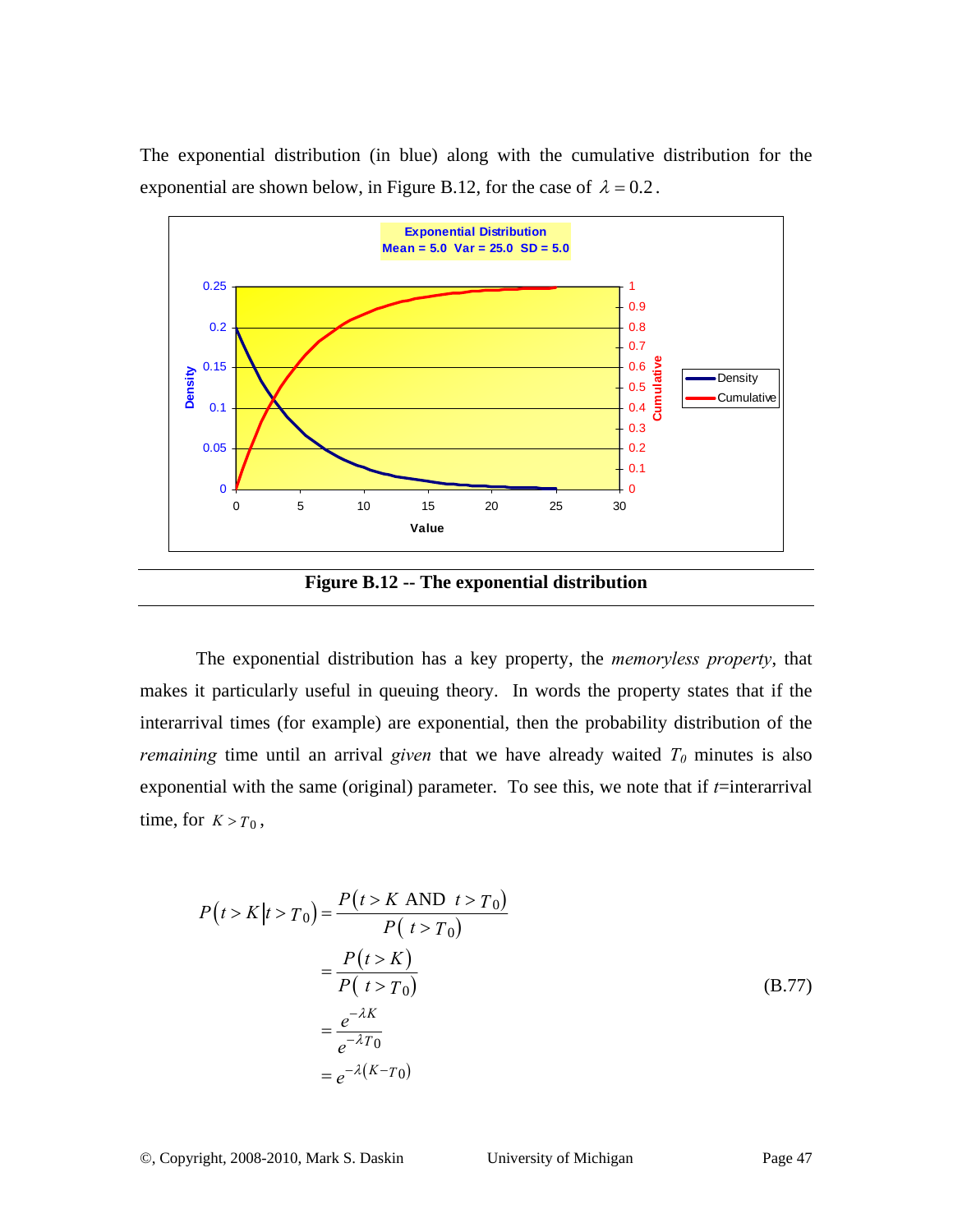The exponential distribution (in blue) along with the cumulative distribution for the exponential are shown below, in Figure B.12, for the case of  $\lambda = 0.2$ .



**Figure B.12 -- The exponential distribution** 

The exponential distribution has a key property, the *memoryless property*, that makes it particularly useful in queuing theory. In words the property states that if the interarrival times (for example) are exponential, then the probability distribution of the *remaining* time until an arrival *given* that we have already waited  $T_0$  minutes is also exponential with the same (original) parameter. To see this, we note that if  $t$ =interarrival time, for  $K > T_0$ ,

$$
P(t > K | t > T_0) = \frac{P(t > K \text{ AND } t > T_0)}{P(t > T_0)}
$$
  
= 
$$
\frac{P(t > K)}{P(t > T_0)}
$$
  
= 
$$
\frac{e^{-\lambda K}}{e^{-\lambda T_0}}
$$
  
= 
$$
e^{-\lambda (K - T_0)}
$$
 (B.77)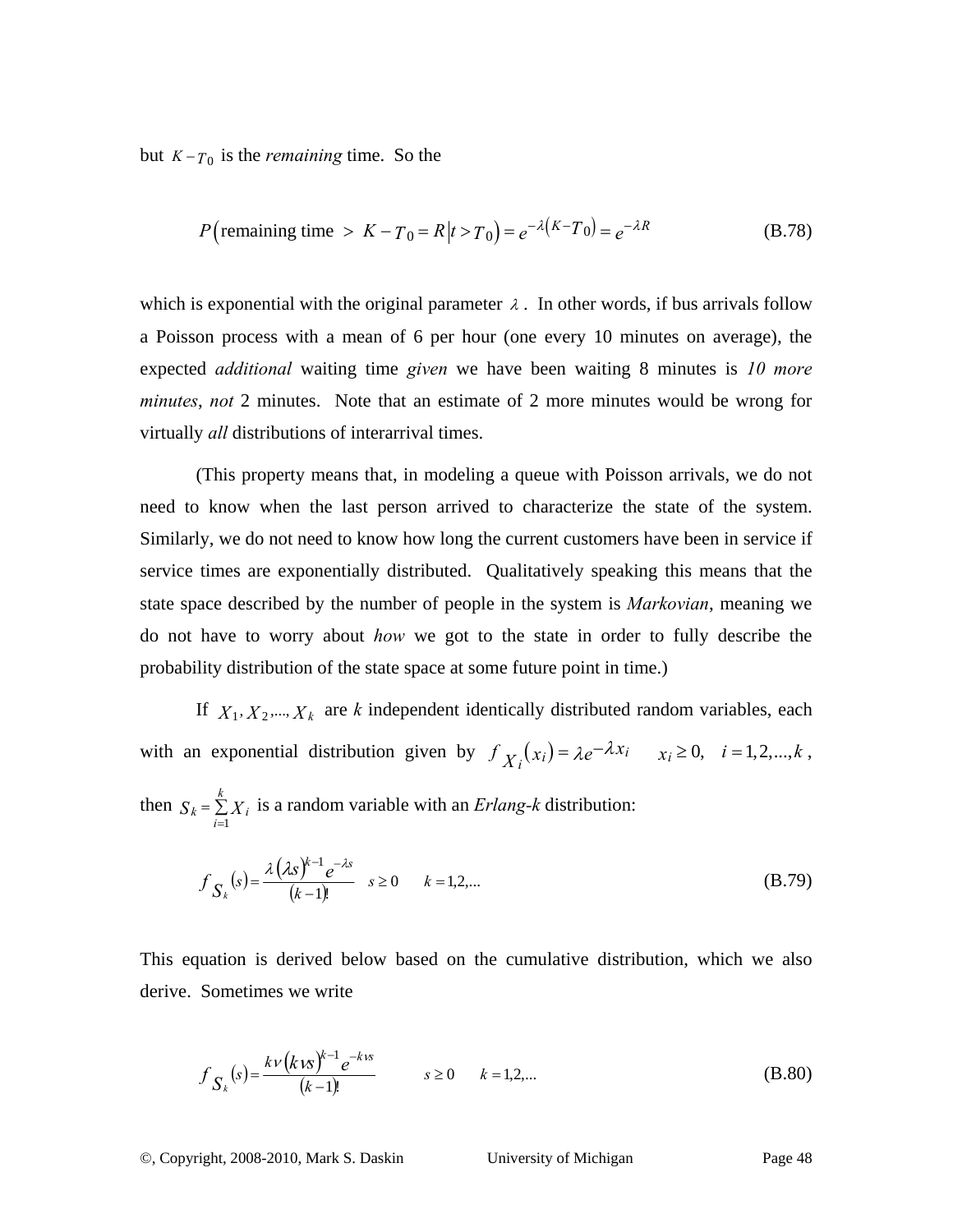but  $K - T_0$  is the *remaining* time. So the

$$
P(\text{remaining time} > K - T_0 = R | t > T_0) = e^{-\lambda (K - T_0)} = e^{-\lambda R}
$$
 (B.78)

which is exponential with the original parameter  $\lambda$ . In other words, if bus arrivals follow a Poisson process with a mean of 6 per hour (one every 10 minutes on average), the expected *additional* waiting time *given* we have been waiting 8 minutes is *10 more minutes*, *not* 2 minutes. Note that an estimate of 2 more minutes would be wrong for virtually *all* distributions of interarrival times.

(This property means that, in modeling a queue with Poisson arrivals, we do not need to know when the last person arrived to characterize the state of the system. Similarly, we do not need to know how long the current customers have been in service if service times are exponentially distributed. Qualitatively speaking this means that the state space described by the number of people in the system is *Markovian*, meaning we do not have to worry about *how* we got to the state in order to fully describe the probability distribution of the state space at some future point in time.)

If  $X_1, X_2, \ldots, X_k$  are *k* independent identically distributed random variables, each with an exponential distribution given by  $f_{X_i}(x_i) = \lambda e^{-\lambda x_i}$   $x_i \ge 0$ ,  $i = 1, 2, ..., k$ , then  $S_k = \sum_{k=1}^{n}$ =  $=\frac{k}{2}$  $S_k = \sum_{i=1}^k X_i$ is a random variable with an *Erlang-k* distribution:

$$
f_{S_k}(s) = \frac{\lambda (\lambda s)^{k-1} e^{-\lambda s}}{(k-1)!} \quad s \ge 0 \qquad k = 1, 2, ... \tag{B.79}
$$

This equation is derived below based on the cumulative distribution, which we also derive. Sometimes we write

$$
f_{S_k}(s) = \frac{k\nu(k\kappa)^{k-1}e^{-k\kappa s}}{(k-1)!} \qquad s \ge 0 \qquad k = 1, 2, ... \tag{B.80}
$$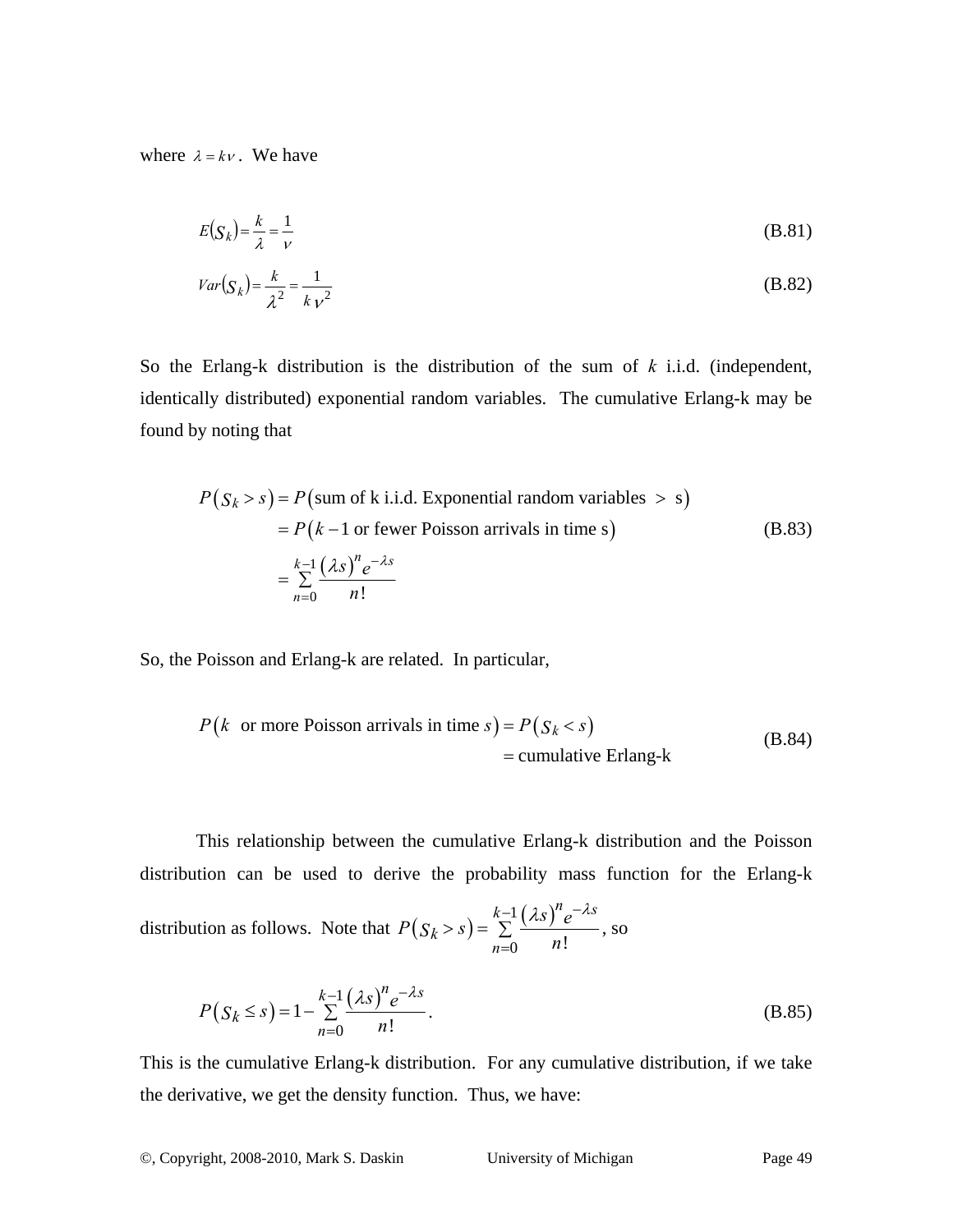where  $\lambda = k v$ . We have

$$
E(S_k) = \frac{k}{\lambda} = \frac{1}{\nu}
$$
 (B.81)

$$
Var(S_k) = \frac{k}{\lambda^2} = \frac{1}{kV^2}
$$
\n(B.82)

So the Erlang-k distribution is the distribution of the sum of *k* i.i.d. (independent, identically distributed) exponential random variables. The cumulative Erlang-k may be found by noting that

$$
P(S_k > s) = P(\text{sum of k i.i.d. Exponential random variables} > s)
$$
  
=  $P(k-1 \text{ or fewer Poisson arrivals in time s})$  (B.83)  
=  $\sum_{n=0}^{k-1} \frac{(\lambda s)^n e^{-\lambda s}}{n!}$ 

So, the Poisson and Erlang-k are related. In particular,

$$
P(k \text{ or more Poisson arrivals in time } s) = P(S_k < s)
$$
  
= cumulative Erlang-k (B.84)

This relationship between the cumulative Erlang-k distribution and the Poisson distribution can be used to derive the probability mass function for the Erlang-k

distribution as follows. Note that  $P(S_k > s) = \sum_{k=1}^{k-1} (\lambda s)$  $\int_0^n$  n!  $k-1\left(\lambda s\right)^n e^{-\lambda s}$ *k n*  $P(S_k > s) = \sum_{n=0}^{k-1} \frac{(\lambda s)^n e}{n!}$  $-1(\lambda s)^n e^{-\lambda s}$ =  $> s$ ) =  $\sum \frac{(1.5) e}{1.5}$ , so

$$
P(S_k \le s) = 1 - \sum_{n=0}^{k-1} \frac{(\lambda s)^n e^{-\lambda s}}{n!}.
$$
 (B.85)

This is the cumulative Erlang-k distribution. For any cumulative distribution, if we take the derivative, we get the density function. Thus, we have: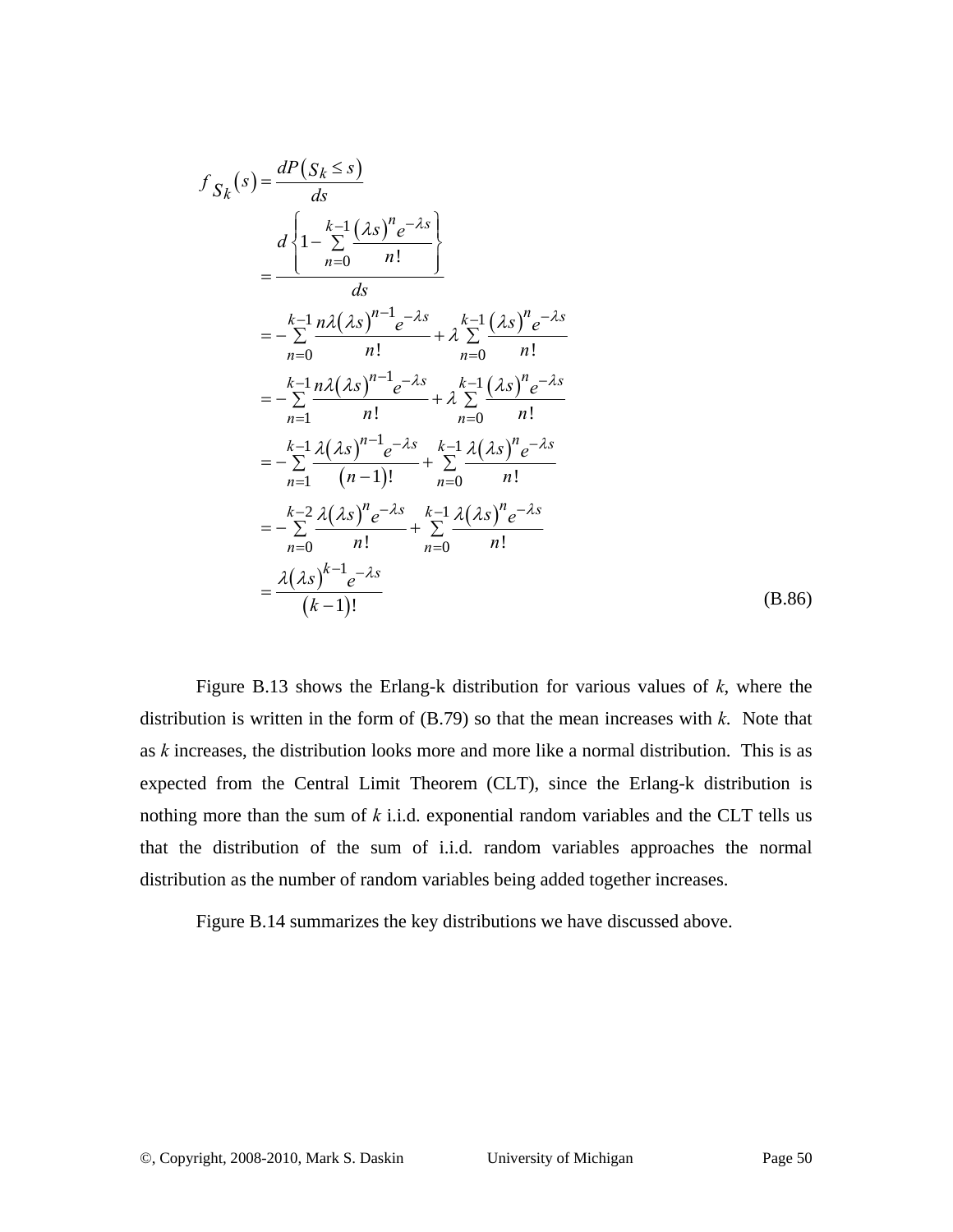$$
f_{S_k}(s) = \frac{dP(S_k \le s)}{ds}
$$
  
= 
$$
\frac{d}{1 - \sum_{n=0}^{k-1} \frac{(\lambda s)^n e^{-\lambda s}}{n!}}{ds}
$$
  
= 
$$
-\sum_{n=0}^{k-1} \frac{n\lambda(\lambda s)^{n-1} e^{-\lambda s}}{n!} + \lambda \sum_{n=0}^{k-1} \frac{(\lambda s)^n e^{-\lambda s}}{n!}
$$
  
= 
$$
-\sum_{n=1}^{k-1} \frac{n\lambda(\lambda s)^{n-1} e^{-\lambda s}}{n!} + \lambda \sum_{n=0}^{k-1} \frac{(\lambda s)^n e^{-\lambda s}}{n!}
$$
  
= 
$$
-\sum_{n=1}^{k-1} \frac{\lambda(\lambda s)^{n-1} e^{-\lambda s}}{(n-1)!} + \sum_{n=0}^{k-1} \frac{\lambda(\lambda s)^n e^{-\lambda s}}{n!}
$$
  
= 
$$
-\sum_{n=0}^{k-2} \frac{\lambda(\lambda s)^n e^{-\lambda s}}{n!} + \sum_{n=0}^{k-1} \frac{\lambda(\lambda s)^n e^{-\lambda s}}{n!}
$$
  
= 
$$
\frac{\lambda(\lambda s)^{k-1} e^{-\lambda s}}{(k-1)!}
$$
 (B.86)

Figure B.13 shows the Erlang-k distribution for various values of *k*, where the distribution is written in the form of (B.79) so that the mean increases with *k*. Note that as *k* increases, the distribution looks more and more like a normal distribution. This is as expected from the Central Limit Theorem (CLT), since the Erlang-k distribution is nothing more than the sum of *k* i.i.d. exponential random variables and the CLT tells us that the distribution of the sum of i.i.d. random variables approaches the normal distribution as the number of random variables being added together increases.

Figure B.14 summarizes the key distributions we have discussed above.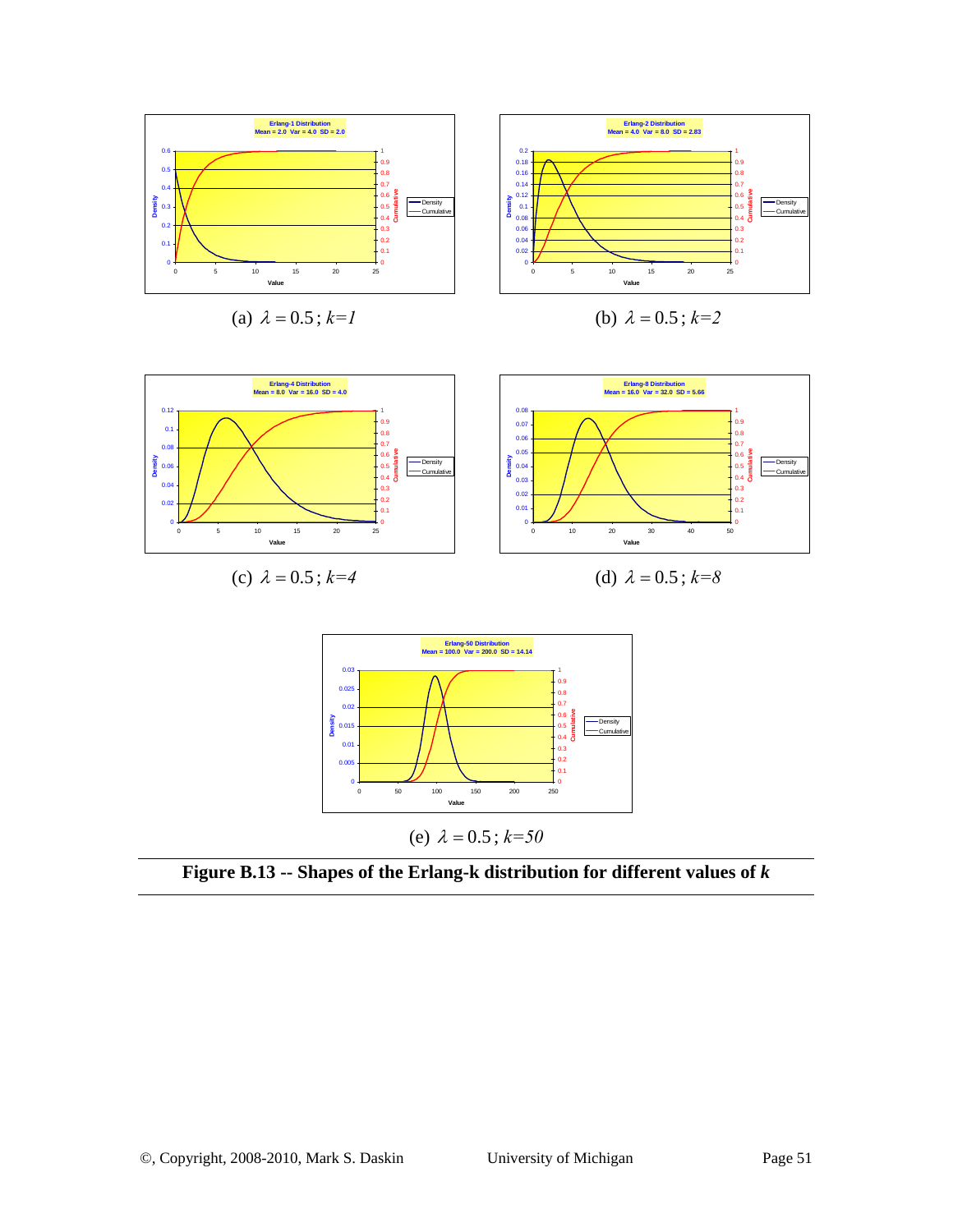

(a)  $\lambda = 0.5$ ;  $k=1$ 

(b) 
$$
\lambda = 0.5
$$
;  $k=2$ 





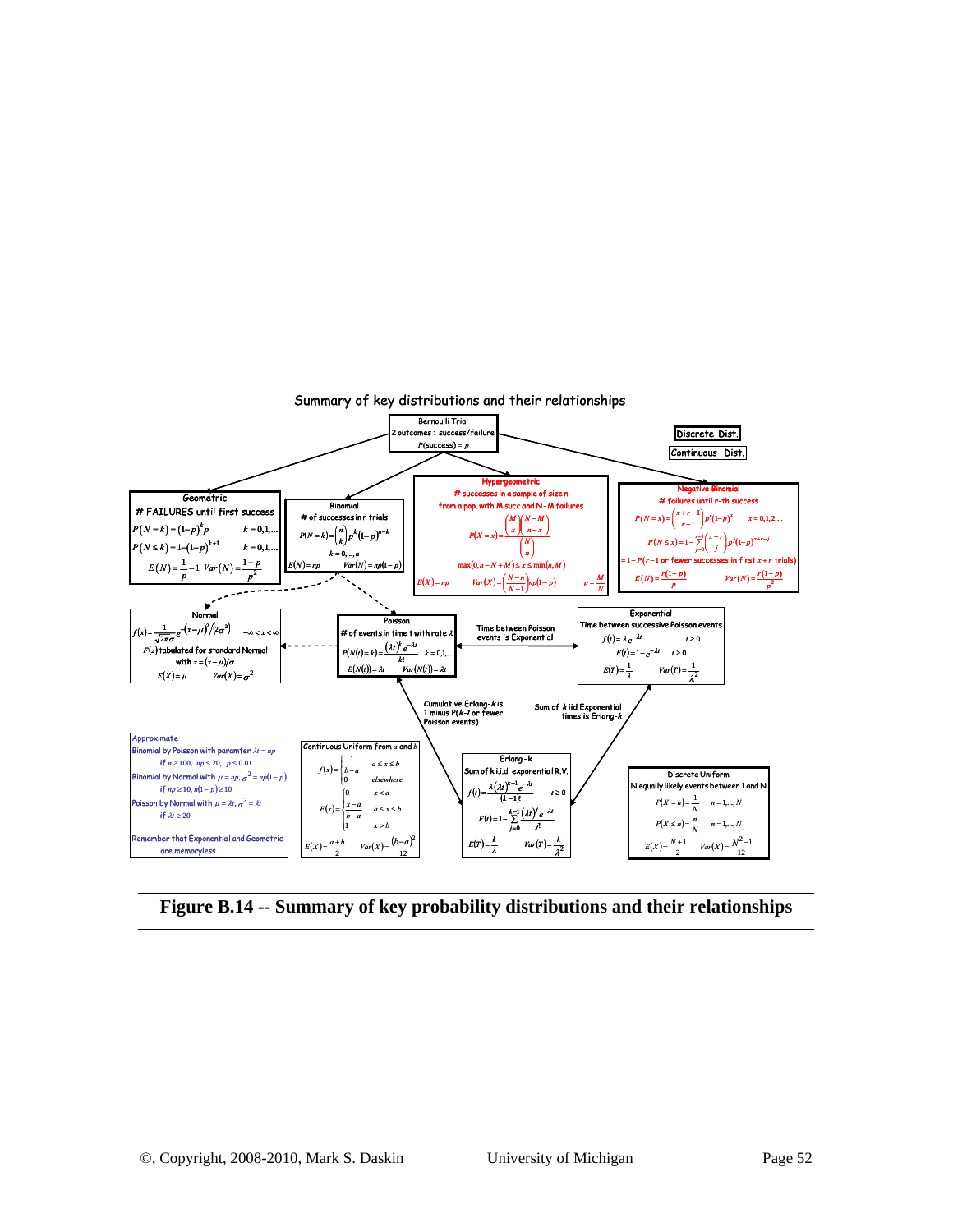

**Figure B.14 -- Summary of key probability distributions and their relationships**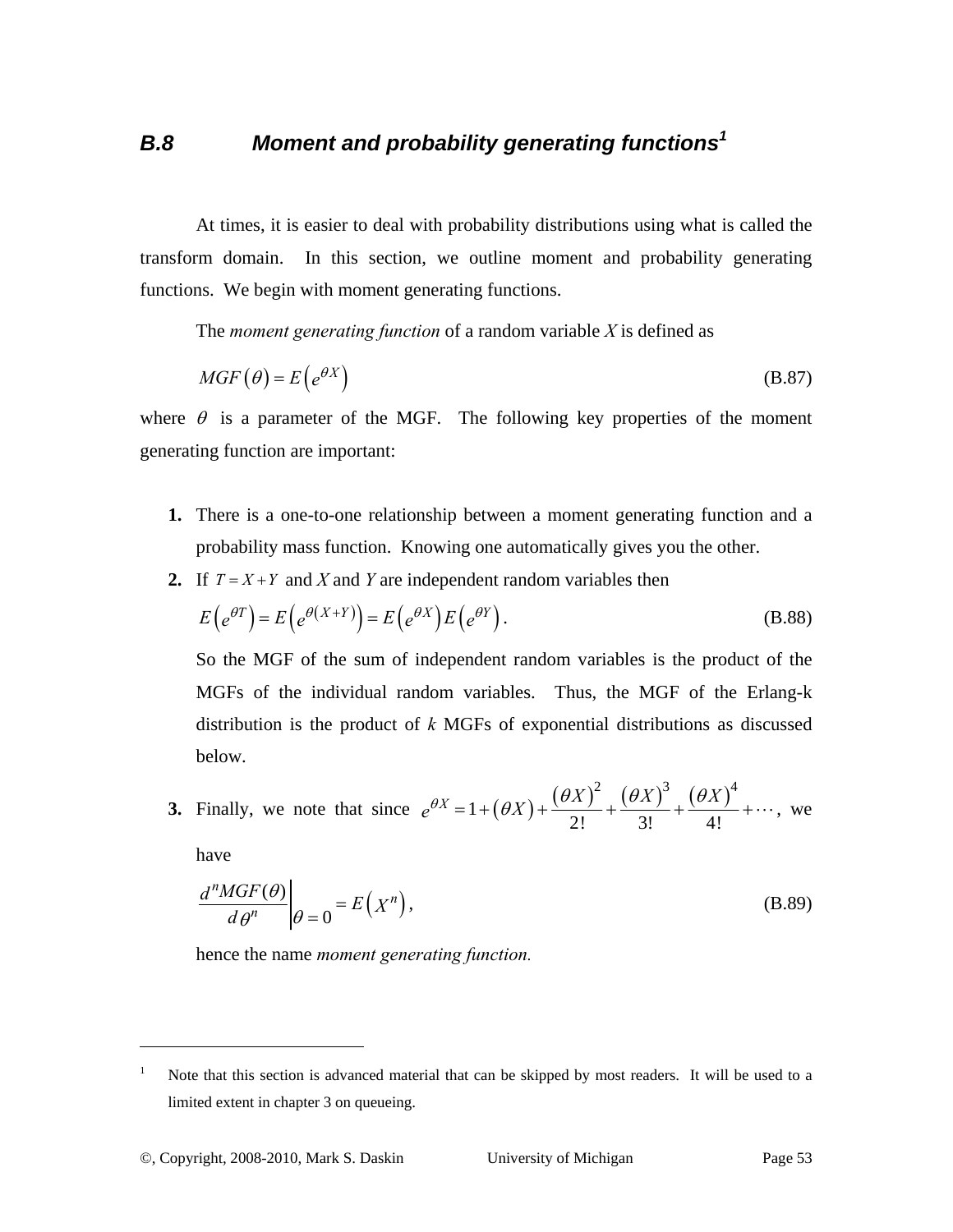## *B.8 Moment and probability generating functions<sup>1</sup>*

At times, it is easier to deal with probability distributions using what is called the transform domain. In this section, we outline moment and probability generating functions. We begin with moment generating functions.

The *moment generating function* of a random variable *X* is defined as

$$
MGF(\theta) = E(e^{\theta X})
$$
 (B.87)

where  $\theta$  is a parameter of the MGF. The following key properties of the moment generating function are important:

- **1.** There is a one-to-one relationship between a moment generating function and a probability mass function. Knowing one automatically gives you the other.
- **2.** If  $T = X + Y$  and *X* and *Y* are independent random variables then

$$
E\left(e^{\theta T}\right) = E\left(e^{\theta \left(X+Y\right)}\right) = E\left(e^{\theta X}\right)E\left(e^{\theta Y}\right).
$$
\n(B.88)

So the MGF of the sum of independent random variables is the product of the MGFs of the individual random variables. Thus, the MGF of the Erlang-k distribution is the product of *k* MGFs of exponential distributions as discussed below.

3. Finally, we note that since 
$$
e^{\theta X} = 1 + (\theta X) + \frac{(\theta X)^2}{2!} + \frac{(\theta X)^3}{3!} + \frac{(\theta X)^4}{4!} + \cdots
$$
, we

have

 $\overline{a}$ 

$$
\left. \frac{d^n MGF(\theta)}{d\theta^n} \right|_{\theta=0} = E\left(X^n\right),\tag{B.89}
$$

hence the name *moment generating function.*

<sup>1</sup> Note that this section is advanced material that can be skipped by most readers. It will be used to a limited extent in chapter 3 on queueing.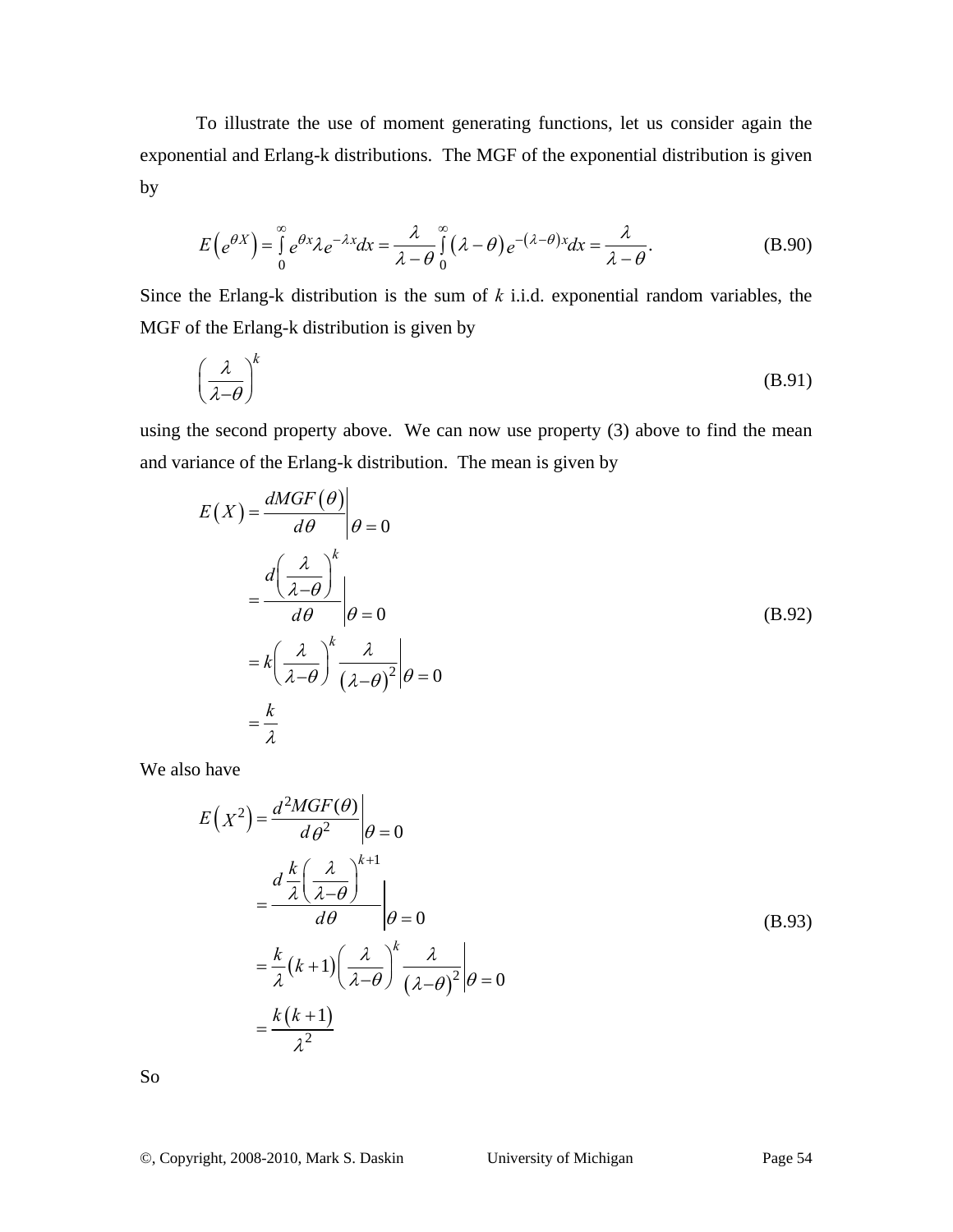To illustrate the use of moment generating functions, let us consider again the exponential and Erlang-k distributions. The MGF of the exponential distribution is given by

$$
E\left(e^{\theta X}\right) = \int_{0}^{\infty} e^{\theta x} \lambda e^{-\lambda x} dx = \frac{\lambda}{\lambda - \theta} \int_{0}^{\infty} (\lambda - \theta) e^{-(\lambda - \theta)x} dx = \frac{\lambda}{\lambda - \theta}.
$$
 (B.90)

Since the Erlang-k distribution is the sum of *k* i.i.d. exponential random variables, the MGF of the Erlang-k distribution is given by

$$
\left(\frac{\lambda}{\lambda - \theta}\right)^k \tag{B.91}
$$

using the second property above. We can now use property (3) above to find the mean and variance of the Erlang-k distribution. The mean is given by

$$
E(X) = \frac{dMGF(\theta)}{d\theta} \Big|_{\theta=0}
$$
  
=  $\frac{d\left(\frac{\lambda}{\lambda-\theta}\right)^k}{d\theta} \Big|_{\theta=0}$   
=  $k\left(\frac{\lambda}{\lambda-\theta}\right)^k \frac{\lambda}{\left(\lambda-\theta\right)^2} \Big|_{\theta=0}$   
=  $\frac{k}{\lambda}$  (B.92)

We also have

$$
E(X^{2}) = \frac{d^{2}MGF(\theta)}{d\theta^{2}}\Big|_{\theta=0}
$$
  
= 
$$
\frac{d \frac{k}{\lambda} \left(\frac{\lambda}{\lambda - \theta}\right)^{k+1}}{d\theta} \Big|_{\theta=0}
$$
  
= 
$$
\frac{k}{\lambda} (k+1) \left(\frac{\lambda}{\lambda - \theta}\right)^{k} \frac{\lambda}{(\lambda - \theta)^{2}} \Big|_{\theta=0}
$$
  
= 
$$
\frac{k(k+1)}{\lambda^{2}}
$$
 (B.93)

So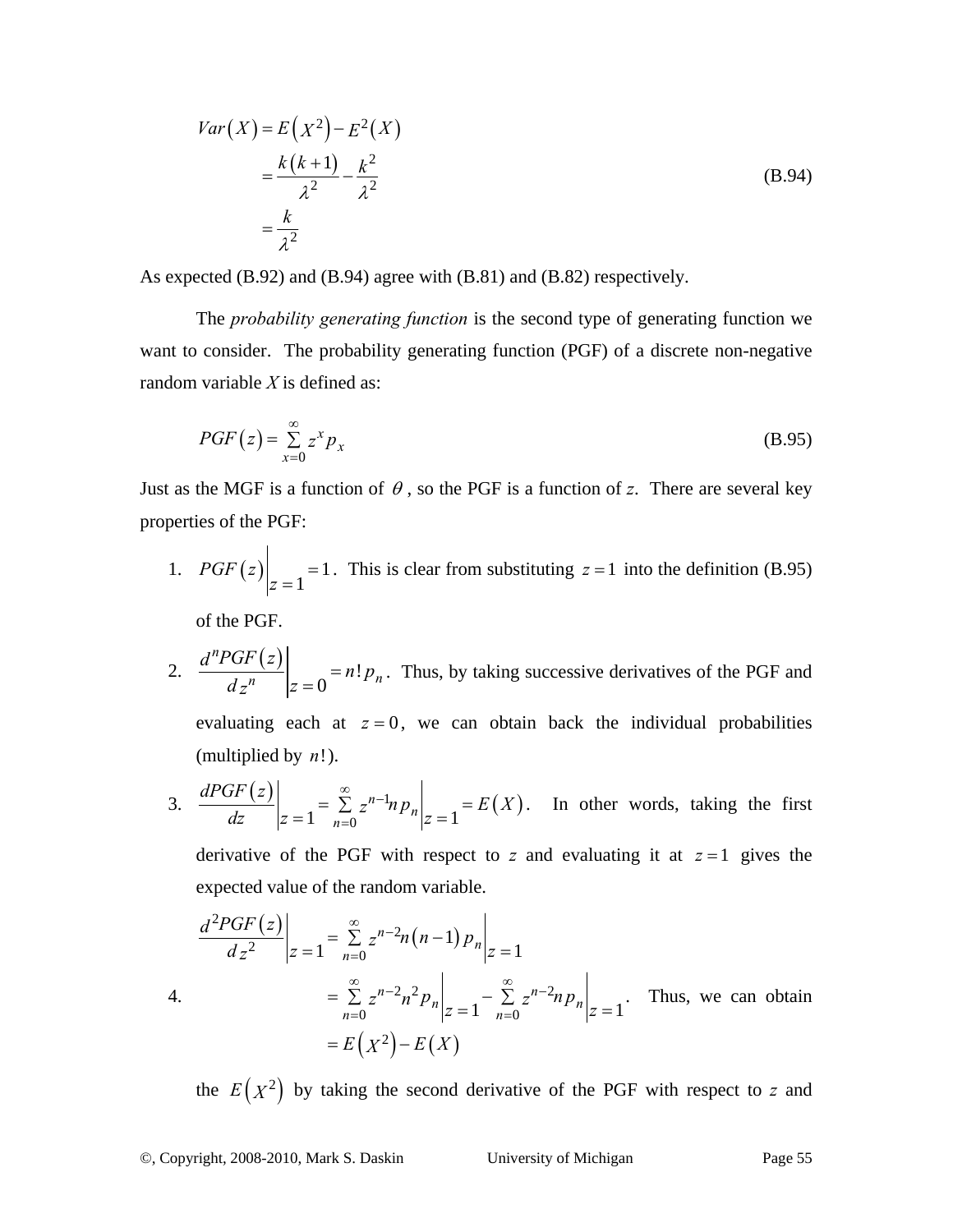$$
Var(X) = E(X^2) - E^2(X)
$$
  
=  $\frac{k(k+1)}{\lambda^2} - \frac{k^2}{\lambda^2}$   
=  $\frac{k}{\lambda^2}$  (B.94)

As expected (B.92) and (B.94) agree with (B.81) and (B.82) respectively.

The *probability generating function* is the second type of generating function we want to consider. The probability generating function (PGF) of a discrete non-negative random variable *X* is defined as:

$$
PGF(z) = \sum_{x=0}^{\infty} z^x p_x \tag{B.95}
$$

Just as the MGF is a function of  $\theta$ , so the PGF is a function of *z*. There are several key properties of the PGF:

1.  $PGF(z)$  = 1 1  $PGF(z)|_{z=1}$  = 1. This is clear from substituting  $z=1$  into the definition (B.95)

of the PGF.

2.  $\frac{d^nPGF(z)}{dx^n} = n!$ 0 *n*  $\overline{n}$   $\vert_{z=0}$   $\overline{\phantom{a}}^{n+p}$ *d PGF z*  $\frac{d^2 u}{dx^n}$   $\left| z = 0 \right| = n! p_n$ . Thus, by taking successive derivatives of the PGF and evaluating each at  $z = 0$ , we can obtain back the individual probabilities (multiplied by *n*!).

3. 
$$
\frac{dPGF(z)}{dz}\bigg|_{z=1} = \sum_{n=0}^{\infty} z^{n-1} n p_n \bigg|_{z=1} = E(X).
$$
 In other words, taking the first

derivative of the PGF with respect to  $z$  and evaluating it at  $z = 1$  gives the expected value of the random variable.

$$
\frac{d^2 PGF(z)}{dz^2}\Big|_{z=1} = \sum_{n=0}^{\infty} z^{n-2} n(n-1) p_n \Big|_{z=1}
$$
  
4.  

$$
= \sum_{n=0}^{\infty} z^{n-2} n^2 p_n \Big|_{z=1} - \sum_{n=0}^{\infty} z^{n-2} n p_n \Big|_{z=1}.
$$
 Thus, we can obtain  

$$
= E(X^2) - E(X)
$$

the  $E(X^2)$  by taking the second derivative of the PGF with respect to *z* and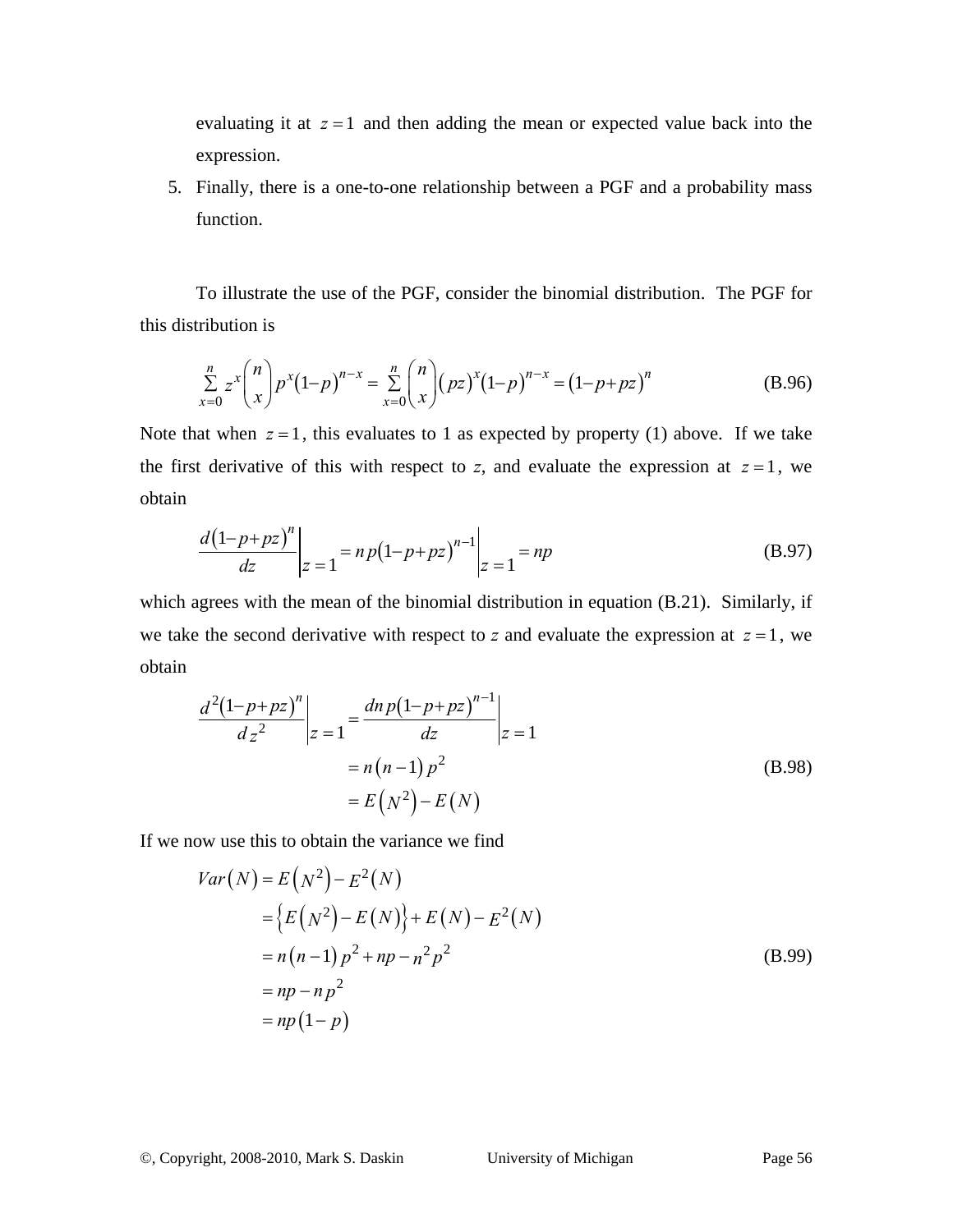evaluating it at  $z = 1$  and then adding the mean or expected value back into the expression.

5. Finally, there is a one-to-one relationship between a PGF and a probability mass function.

To illustrate the use of the PGF, consider the binomial distribution. The PGF for this distribution is

$$
\sum_{x=0}^{n} z^{x} {n \choose x} p^{x} (1-p)^{n-x} = \sum_{x=0}^{n} {n \choose x} (pz)^{x} (1-p)^{n-x} = (1-p+pz)^{n}
$$
 (B.96)

Note that when  $z = 1$ , this evaluates to 1 as expected by property (1) above. If we take the first derivative of this with respect to *z*, and evaluate the expression at  $z = 1$ , we obtain

$$
\left. \frac{d(1-p+pz)^n}{dz} \right|_{z=1} = np(1-p+pz)^{n-1} \bigg|_{z=1} = np \tag{B.97}
$$

which agrees with the mean of the binomial distribution in equation (B.21). Similarly, if we take the second derivative with respect to *z* and evaluate the expression at  $z = 1$ , we obtain

$$
\frac{d^{2}(1-p+pz)^{n}}{dz^{2}}\bigg|_{z=1} = \frac{dn p(1-p+pz)^{n-1}}{dz}\bigg|_{z=1}
$$
\n
$$
= n(n-1)p^{2}
$$
\n
$$
= E(N^{2}) - E(N)
$$
\n(B.98)

If we now use this to obtain the variance we find

$$
Var(N) = E(N^{2}) - E^{2}(N)
$$
  
=  $\{E(N^{2}) - E(N)\} + E(N) - E^{2}(N)$   
=  $n(n-1)p^{2} + np - n^{2}p^{2}$   
=  $np - np^{2}$   
=  $np(1-p)$  (B.99)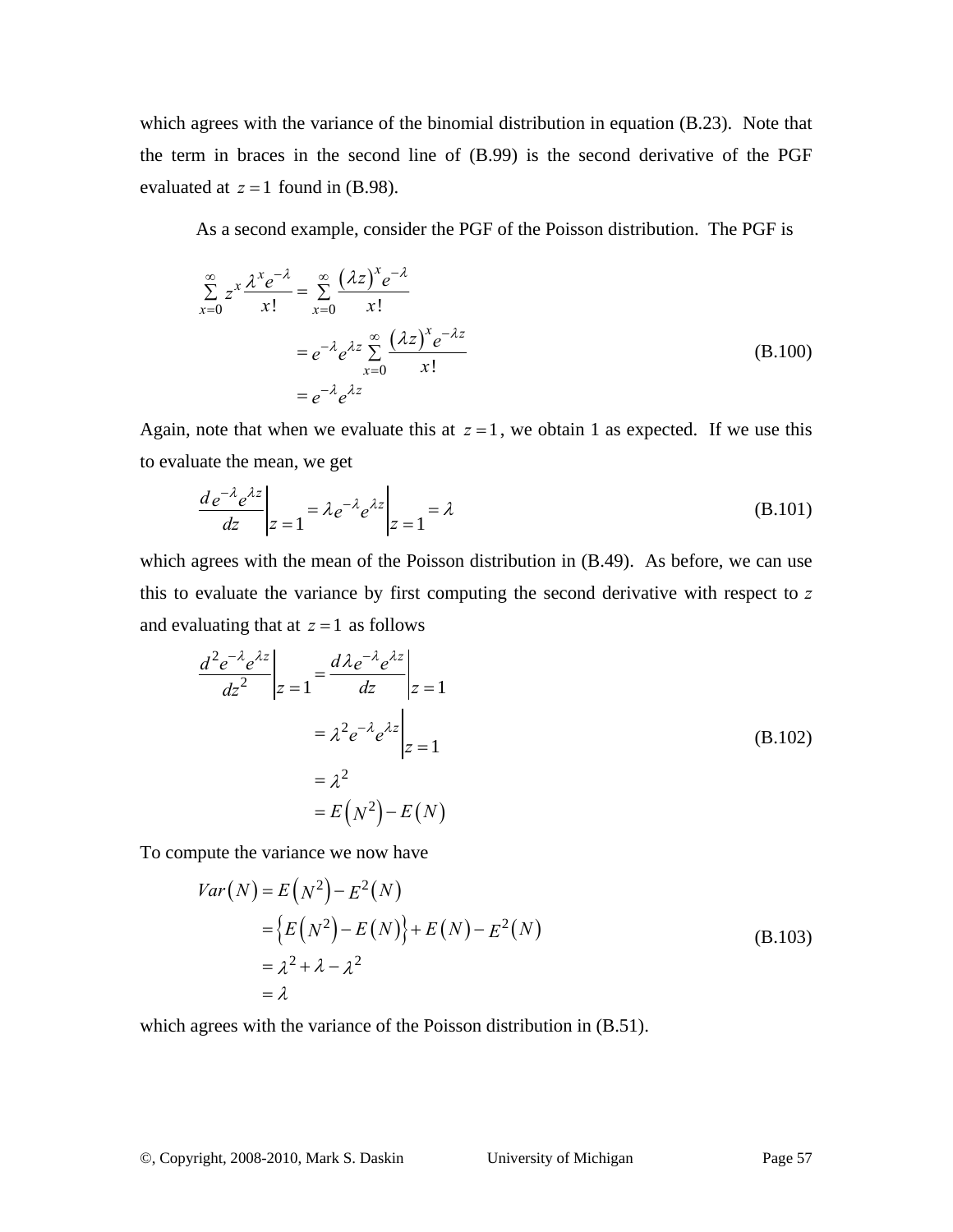which agrees with the variance of the binomial distribution in equation (B.23). Note that the term in braces in the second line of (B.99) is the second derivative of the PGF evaluated at  $z = 1$  found in (B.98).

As a second example, consider the PGF of the Poisson distribution. The PGF is

$$
\sum_{x=0}^{\infty} z^x \frac{\lambda^x e^{-\lambda}}{x!} = \sum_{x=0}^{\infty} \frac{(\lambda z)^x e^{-\lambda}}{x!}
$$

$$
= e^{-\lambda} e^{\lambda z} \sum_{x=0}^{\infty} \frac{(\lambda z)^x e^{-\lambda z}}{x!}
$$
(B.100)
$$
= e^{-\lambda} e^{\lambda z}
$$

Again, note that when we evaluate this at  $z = 1$ , we obtain 1 as expected. If we use this to evaluate the mean, we get

$$
\left. \frac{d e^{-\lambda} e^{\lambda z}}{dz} \right|_{z=1} = \lambda e^{-\lambda} e^{\lambda z} \bigg|_{z=1} = \lambda \tag{B.101}
$$

which agrees with the mean of the Poisson distribution in  $(B.49)$ . As before, we can use this to evaluate the variance by first computing the second derivative with respect to *z* and evaluating that at  $z = 1$  as follows

$$
\frac{d^2e^{-\lambda}e^{\lambda z}}{dz^2}\Big|_{z=1} = \frac{d\lambda e^{-\lambda}e^{\lambda z}}{dz}\Big|_{z=1}
$$
\n
$$
= \lambda^2 e^{-\lambda}e^{\lambda z}\Big|_{z=1}
$$
\n
$$
= \lambda^2
$$
\n
$$
= E(N^2) - E(N)
$$
\n(B.102)

To compute the variance we now have

$$
Var(N) = E(N2) - E2(N)
$$
  
=  $\{E(N2) - E(N)\} + E(N) - E2(N)$   
=  $\lambda2 + \lambda - \lambda2$   
=  $\lambda$  (B.103)

which agrees with the variance of the Poisson distribution in  $(B.51)$ .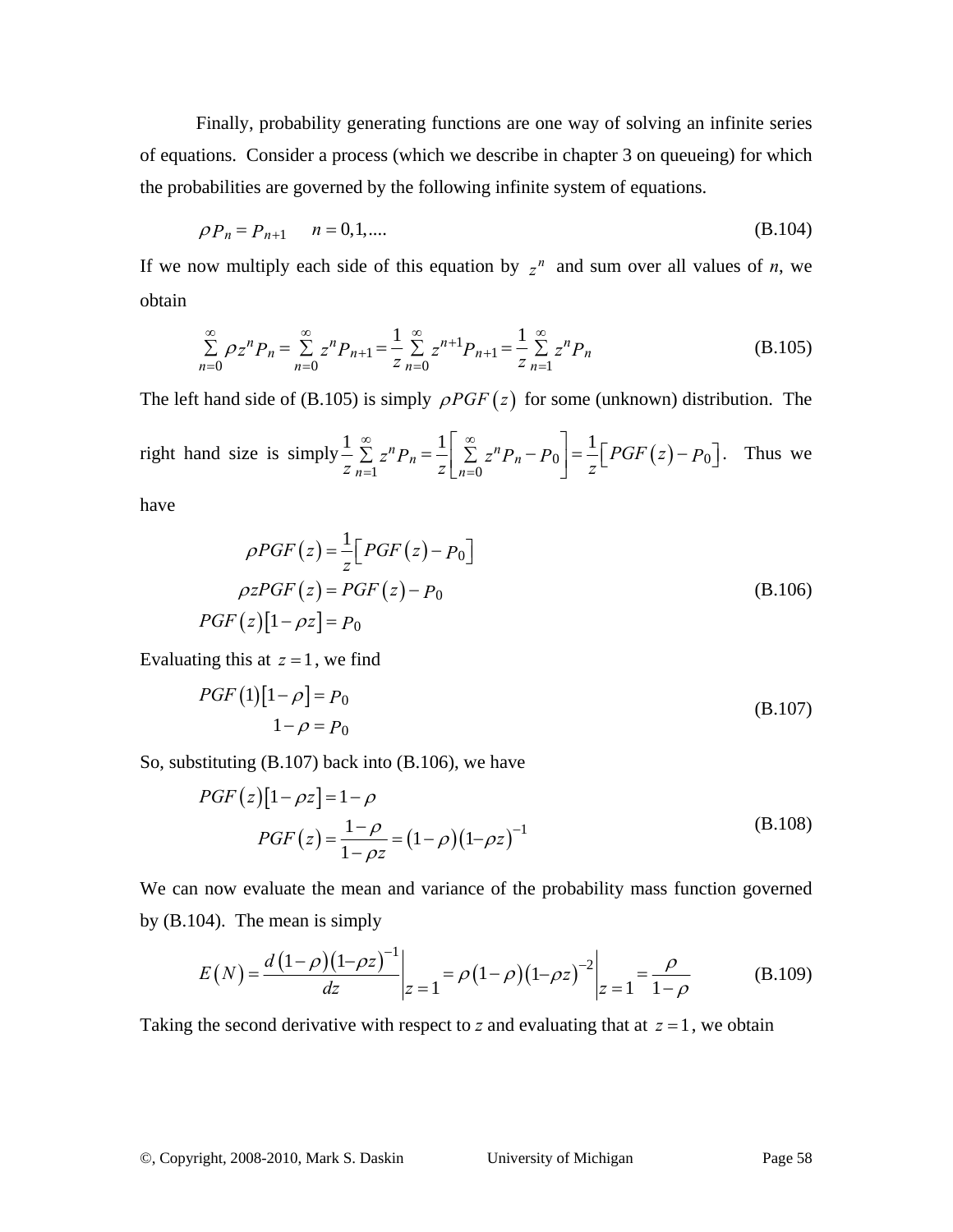Finally, probability generating functions are one way of solving an infinite series of equations. Consider a process (which we describe in chapter 3 on queueing) for which the probabilities are governed by the following infinite system of equations.

$$
\rho P_n = P_{n+1} \qquad n = 0, 1, \dots \tag{B.104}
$$

If we now multiply each side of this equation by  $z^n$  and sum over all values of *n*, we obtain

$$
\sum_{n=0}^{\infty} \rho_z^n P_n = \sum_{n=0}^{\infty} z^n P_{n+1} = \frac{1}{z} \sum_{n=0}^{\infty} z^{n+1} P_{n+1} = \frac{1}{z} \sum_{n=1}^{\infty} z^n P_n
$$
(B.105)

The left hand side of (B.105) is simply  $\rho PGF(z)$  for some (unknown) distribution. The

right hand size is simply 
$$
\frac{1}{z} \sum_{n=1}^{\infty} z^n P_n = \frac{1}{z} \left[ \sum_{n=0}^{\infty} z^n P_n - P_0 \right] = \frac{1}{z} \left[ PGF(z) - P_0 \right]
$$
. Thus we

have

$$
\rho PGF(z) = \frac{1}{z} \Big[ PGF(z) - P_0 \Big]
$$
  
\n
$$
\rho zPGF(z) = PGF(z) - P_0
$$
  
\n
$$
PGF(z)[1 - \rho z] = P_0
$$
 (B.106)

Evaluating this at  $z = 1$ , we find

$$
PGF(1)[1 - \rho] = P_0
$$
  
1 - \rho = P\_0 (B.107)

So, substituting (B.107) back into (B.106), we have

$$
PGF(z)[1 - \rho z] = 1 - \rho
$$
  
\n
$$
PGF(z) = \frac{1 - \rho}{1 - \rho z} = (1 - \rho)(1 - \rho z)^{-1}
$$
\n(B.108)

We can now evaluate the mean and variance of the probability mass function governed by (B.104). The mean is simply

$$
E(N) = \frac{d(1-\rho)(1-\rho z)^{-1}}{dz}\bigg|_{z=1} = \rho(1-\rho)(1-\rho z)^{-2}\bigg|_{z=1} = \frac{\rho}{1-\rho}
$$
(B.109)

Taking the second derivative with respect to *z* and evaluating that at  $z = 1$ , we obtain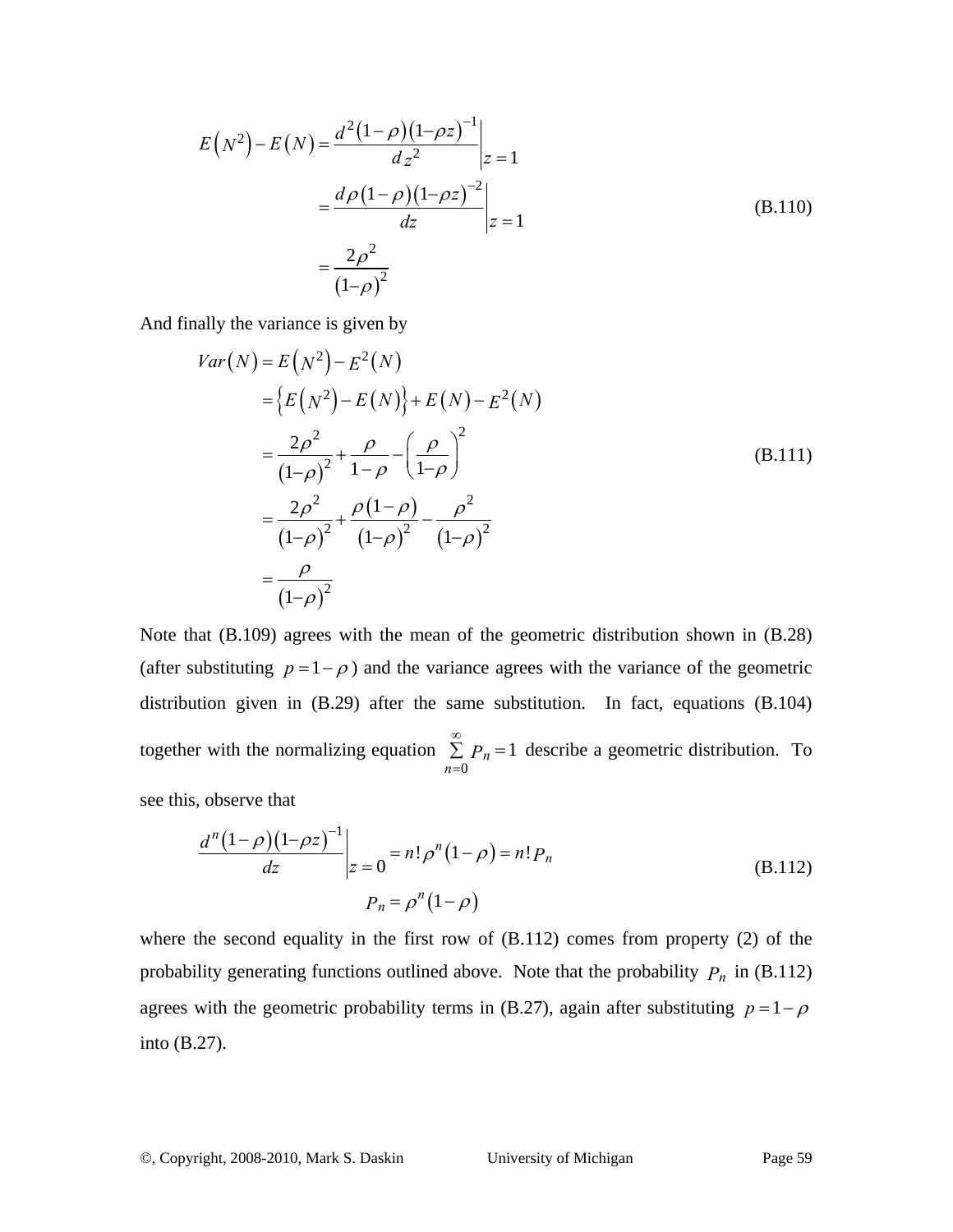$$
E(N^{2}) - E(N) = \frac{d^{2}(1-\rho)(1-\rho z)^{-1}}{dz^{2}}\bigg|_{z=1}
$$
  
= 
$$
\frac{d\rho(1-\rho)(1-\rho z)^{-2}}{dz}\bigg|_{z=1}
$$
  
= 
$$
\frac{2\rho^{2}}{(1-\rho)^{2}}
$$
(B.110)

And finally the variance is given by

$$
Var(N) = E(N^{2}) - E^{2}(N)
$$
  
=  $\{E(N^{2}) - E(N)\} + E(N) - E^{2}(N)$   
=  $\frac{2\rho^{2}}{(1-\rho)^{2}} + \frac{\rho}{1-\rho} - \left(\frac{\rho}{1-\rho}\right)^{2}$   
=  $\frac{2\rho^{2}}{(1-\rho)^{2}} + \frac{\rho(1-\rho)}{(1-\rho)^{2}} - \frac{\rho^{2}}{(1-\rho)^{2}}$   
=  $\frac{\rho}{(1-\rho)^{2}}$  (1- $\rho$ )<sup>2</sup>

Note that (B.109) agrees with the mean of the geometric distribution shown in (B.28) (after substituting  $p = 1 - \rho$ ) and the variance agrees with the variance of the geometric distribution given in (B.29) after the same substitution. In fact, equations (B.104) together with the normalizing equation  $\sum_{n=0} P_n = 1$ *P* ∞ =  $\sum P_n = 1$  describe a geometric distribution. To

see this, observe that

$$
\frac{d^{n}(1-\rho)(1-\rho z)^{-1}}{dz}\bigg|_{z=0} = n! \rho^{n}(1-\rho) = n! P_{n}
$$
\n(B.112)\n
$$
P_{n} = \rho^{n}(1-\rho)
$$

where the second equality in the first row of (B.112) comes from property (2) of the probability generating functions outlined above. Note that the probability  $P_n$  in (B.112) agrees with the geometric probability terms in (B.27), again after substituting  $p = 1 - \rho$ into (B.27).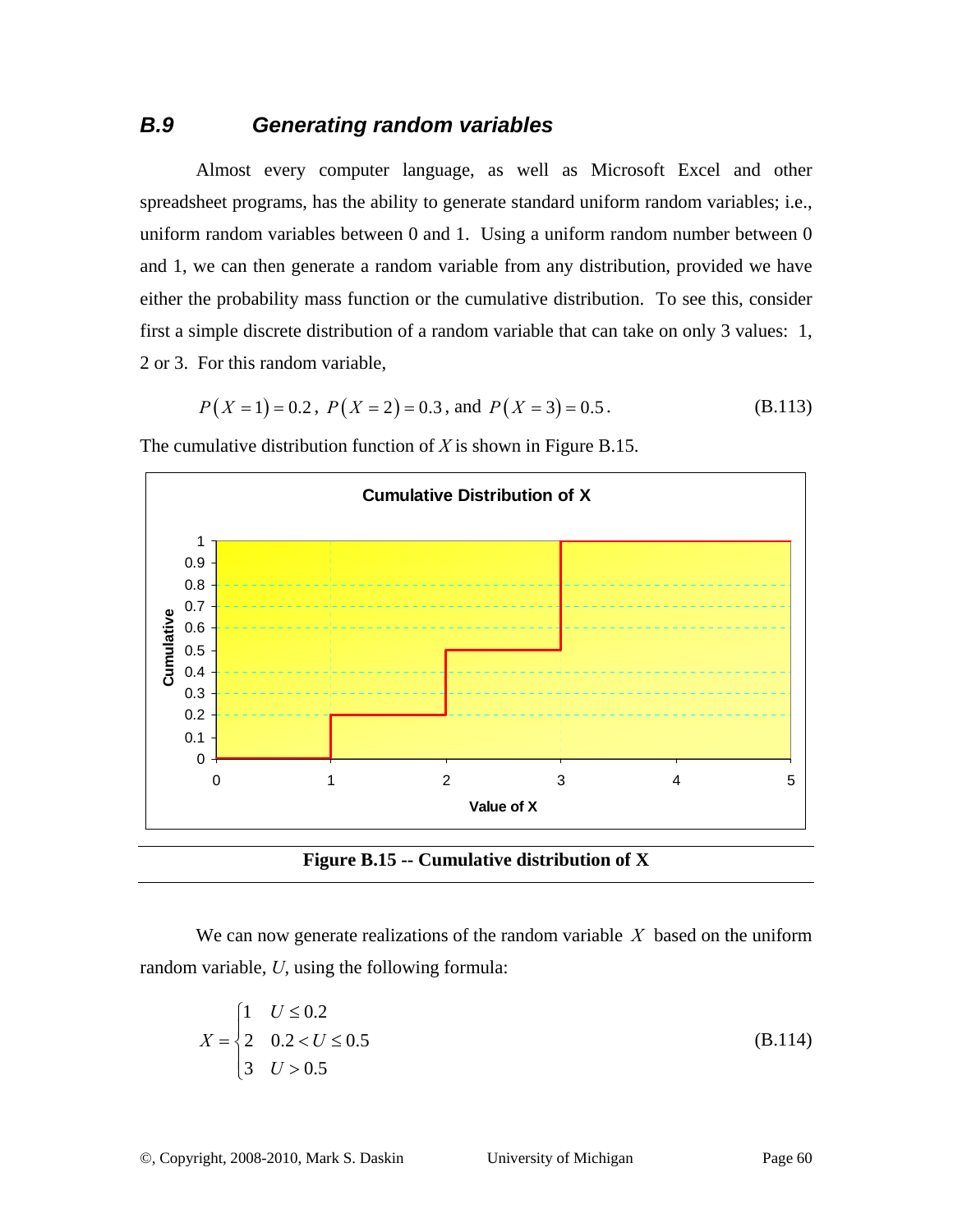### *B.9 Generating random variables*

Almost every computer language, as well as Microsoft Excel and other spreadsheet programs, has the ability to generate standard uniform random variables; i.e., uniform random variables between 0 and 1. Using a uniform random number between 0 and 1, we can then generate a random variable from any distribution, provided we have either the probability mass function or the cumulative distribution. To see this, consider first a simple discrete distribution of a random variable that can take on only 3 values: 1, 2 or 3. For this random variable,

$$
P(X = 1) = 0.2
$$
,  $P(X = 2) = 0.3$ , and  $P(X = 3) = 0.5$ . (B.113)

The cumulative distribution function of *X* is shown in Figure B.15.



**Figure B.15 -- Cumulative distribution of X** 

We can now generate realizations of the random variable *X* based on the uniform random variable, *U*, using the following formula:

$$
X = \begin{cases} 1 & U \leq 0.2 \\ 2 & 0.2 < U \leq 0.5 \\ 3 & U > 0.5 \end{cases} \tag{B.114}
$$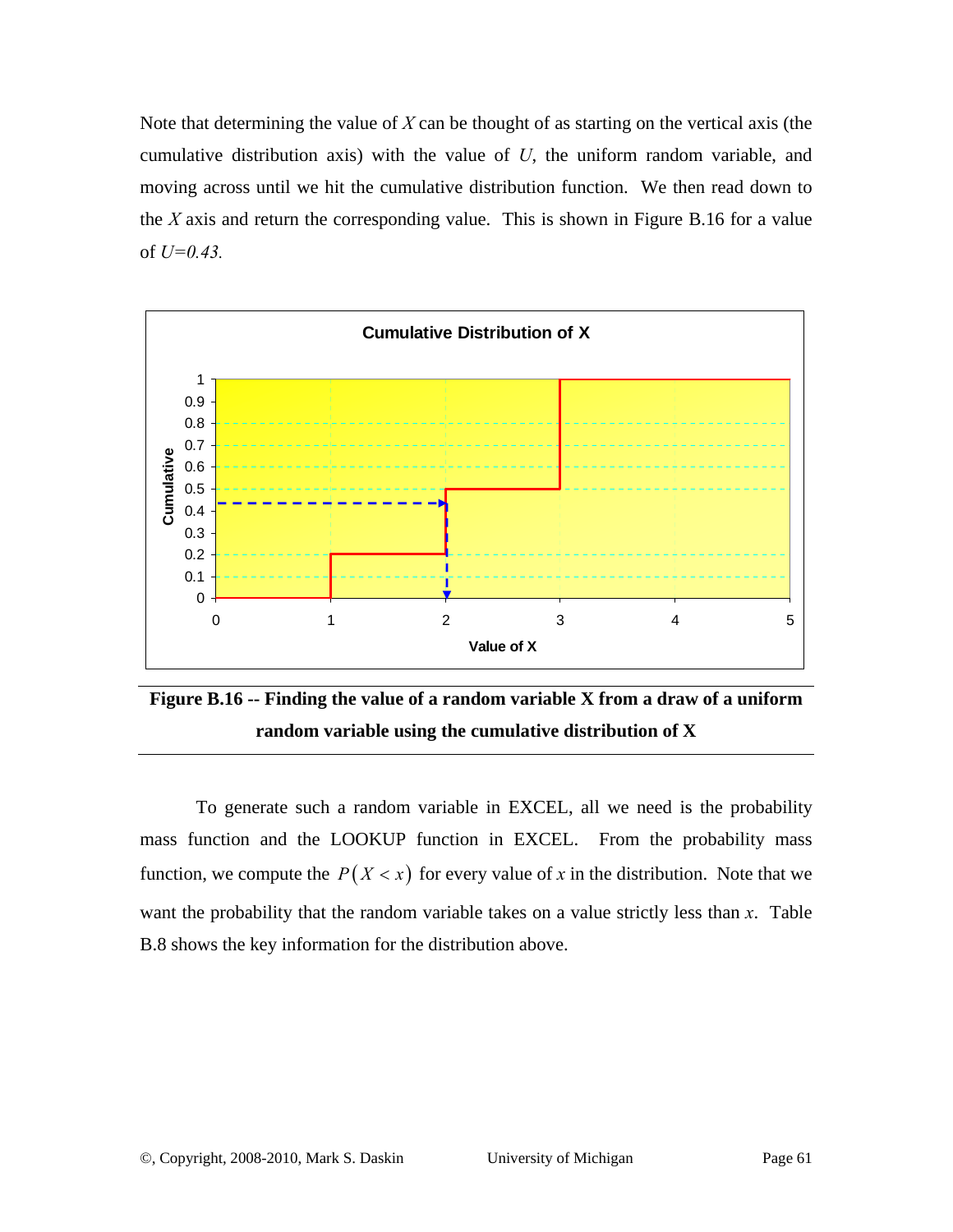Note that determining the value of *X* can be thought of as starting on the vertical axis (the cumulative distribution axis) with the value of *U*, the uniform random variable, and moving across until we hit the cumulative distribution function. We then read down to the *X* axis and return the corresponding value. This is shown in Figure B.16 for a value of *U=0.43.* 



**Figure B.16 -- Finding the value of a random variable X from a draw of a uniform random variable using the cumulative distribution of X**

To generate such a random variable in EXCEL, all we need is the probability mass function and the LOOKUP function in EXCEL. From the probability mass function, we compute the  $P(X \le x)$  for every value of x in the distribution. Note that we want the probability that the random variable takes on a value strictly less than *x*. Table B.8 shows the key information for the distribution above.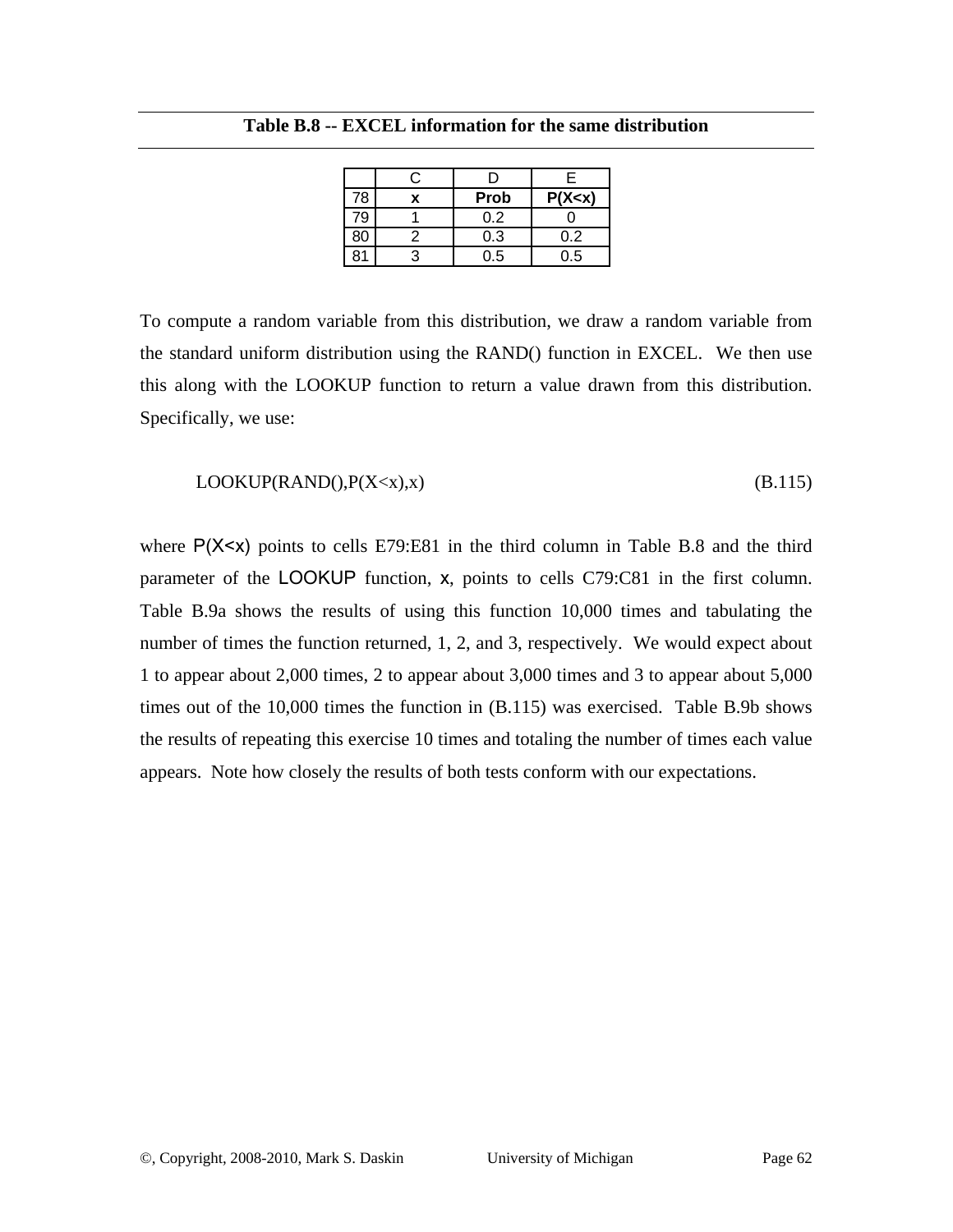|    |             | F        |
|----|-------------|----------|
| 78 | <b>Prob</b> | P(X < x) |
| 79 | 0.2         |          |
| 80 | 0.3         | 0.2      |
| R١ | 0.5         | 0.5      |

**Table B.8 -- EXCEL information for the same distribution** 

To compute a random variable from this distribution, we draw a random variable from the standard uniform distribution using the RAND() function in EXCEL. We then use this along with the LOOKUP function to return a value drawn from this distribution. Specifically, we use:

$$
LOOKUP(RAND(), P(X
$$

where  $P(X \le x)$  points to cells E79:E81 in the third column in Table B.8 and the third parameter of the LOOKUP function, x, points to cells C79:C81 in the first column. Table B.9a shows the results of using this function 10,000 times and tabulating the number of times the function returned, 1, 2, and 3, respectively. We would expect about 1 to appear about 2,000 times, 2 to appear about 3,000 times and 3 to appear about 5,000 times out of the 10,000 times the function in (B.115) was exercised. Table B.9b shows the results of repeating this exercise 10 times and totaling the number of times each value appears. Note how closely the results of both tests conform with our expectations.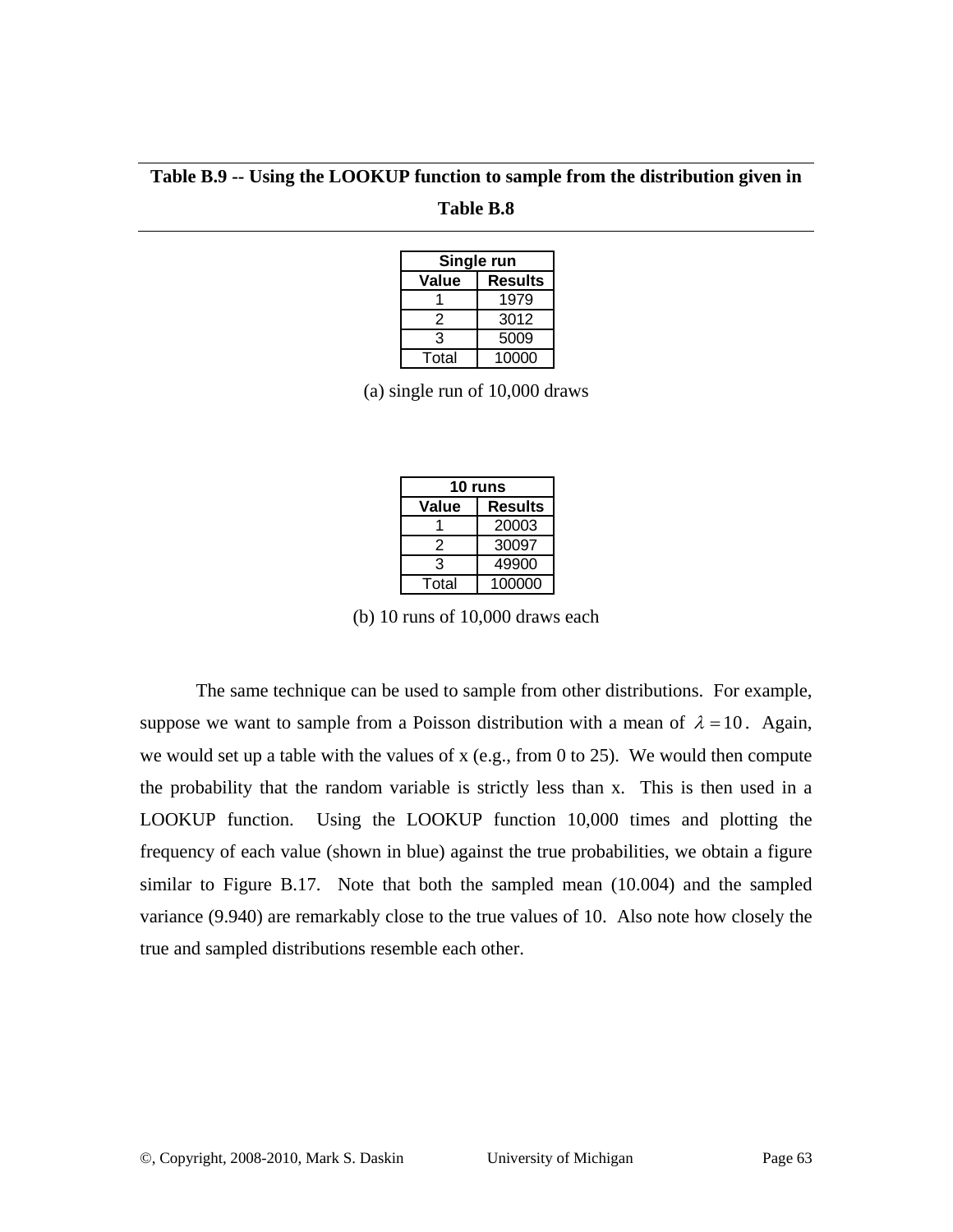**Table B.9 -- Using the LOOKUP function to sample from the distribution given in** 

**Table B.8** 

| Single run              |       |  |  |
|-------------------------|-------|--|--|
| Value<br><b>Results</b> |       |  |  |
|                         | 1979  |  |  |
| 2                       | 3012  |  |  |
| 3                       | 5009  |  |  |
| Total                   | 10000 |  |  |

(a) single run of 10,000 draws

| 10 runs          |        |  |  |
|------------------|--------|--|--|
| Value<br>Results |        |  |  |
|                  | 20003  |  |  |
| 2                | 30097  |  |  |
| 3                | 49900  |  |  |
| Total            | 100000 |  |  |

(b) 10 runs of 10,000 draws each

The same technique can be used to sample from other distributions. For example, suppose we want to sample from a Poisson distribution with a mean of  $\lambda = 10$ . Again, we would set up a table with the values of x (e.g., from 0 to 25). We would then compute the probability that the random variable is strictly less than x. This is then used in a LOOKUP function. Using the LOOKUP function 10,000 times and plotting the frequency of each value (shown in blue) against the true probabilities, we obtain a figure similar to Figure B.17. Note that both the sampled mean (10.004) and the sampled variance (9.940) are remarkably close to the true values of 10. Also note how closely the true and sampled distributions resemble each other.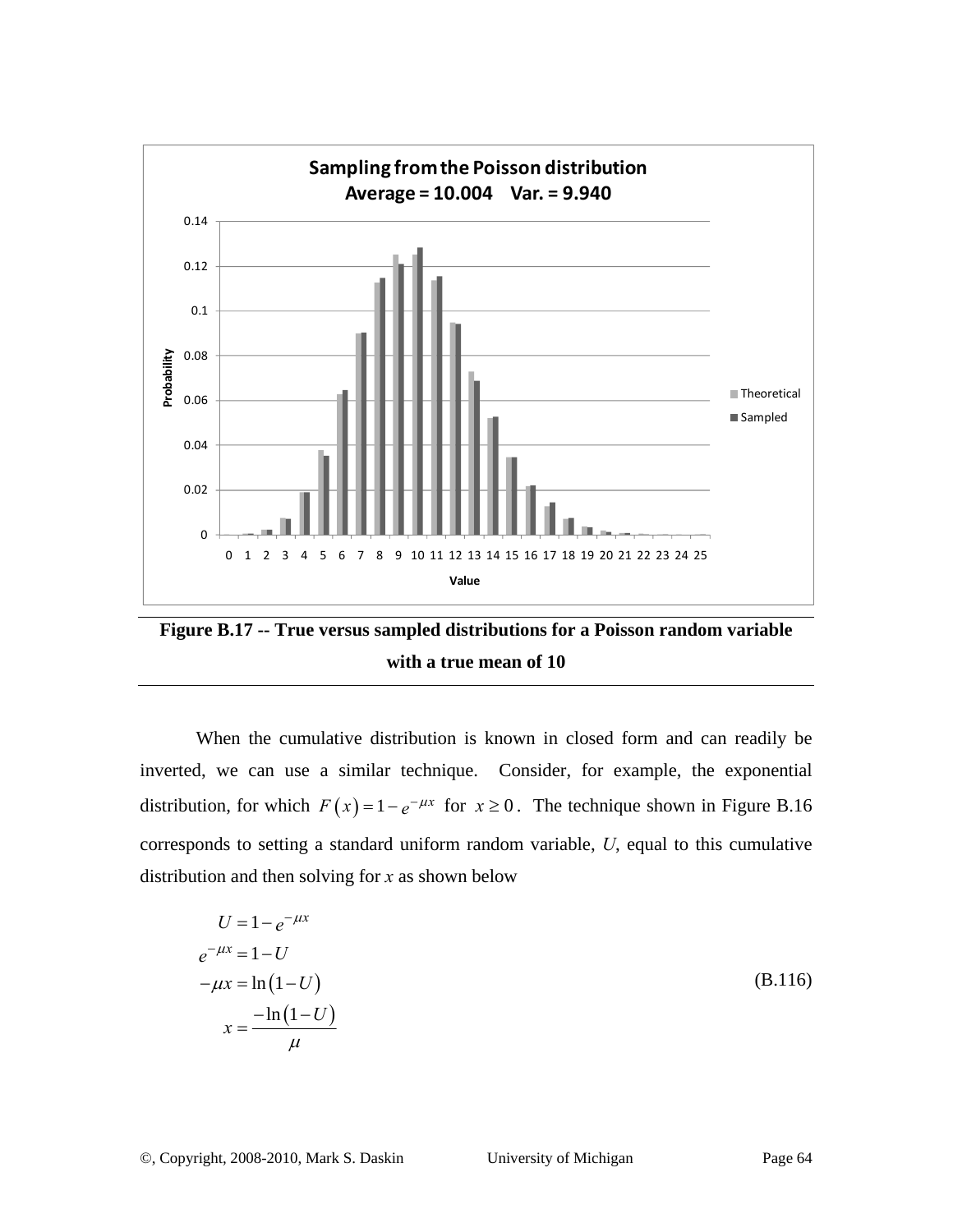

**Figure B.17 -- True versus sampled distributions for a Poisson random variable with a true mean of 10** 

When the cumulative distribution is known in closed form and can readily be inverted, we can use a similar technique. Consider, for example, the exponential distribution, for which  $F(x) = 1 - e^{-\mu x}$  for  $x \ge 0$ . The technique shown in Figure B.16 corresponds to setting a standard uniform random variable, *U*, equal to this cumulative distribution and then solving for *x* as shown below

$$
U = 1 - e^{-\mu x}
$$
  
\n
$$
e^{-\mu x} = 1 - U
$$
  
\n
$$
-\mu x = \ln(1 - U)
$$
  
\n
$$
x = \frac{-\ln(1 - U)}{\mu}
$$
 (B.116)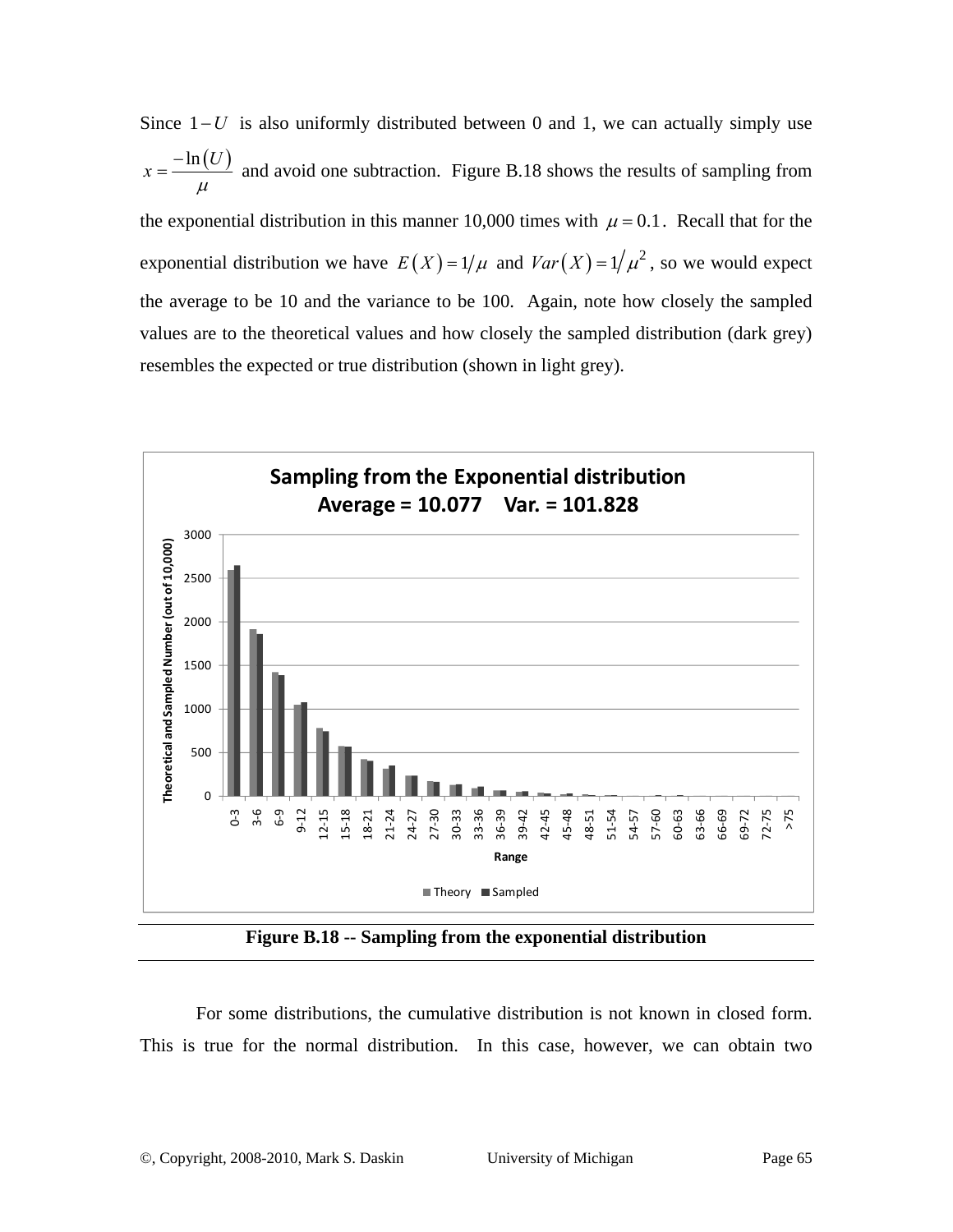Since  $1-U$  is also uniformly distributed between 0 and 1, we can actually simply use  $x = \frac{-\ln(U)}{U}$ μ  $=\frac{-\ln(U)}{2}$  and avoid one subtraction. Figure B.18 shows the results of sampling from the exponential distribution in this manner 10,000 times with  $\mu = 0.1$ . Recall that for the exponential distribution we have  $E(X) = 1/\mu$  and  $Var(X) = 1/\mu^2$ , so we would expect the average to be 10 and the variance to be 100. Again, note how closely the sampled values are to the theoretical values and how closely the sampled distribution (dark grey) resembles the expected or true distribution (shown in light grey).



**Figure B.18 -- Sampling from the exponential distribution** 

For some distributions, the cumulative distribution is not known in closed form. This is true for the normal distribution. In this case, however, we can obtain two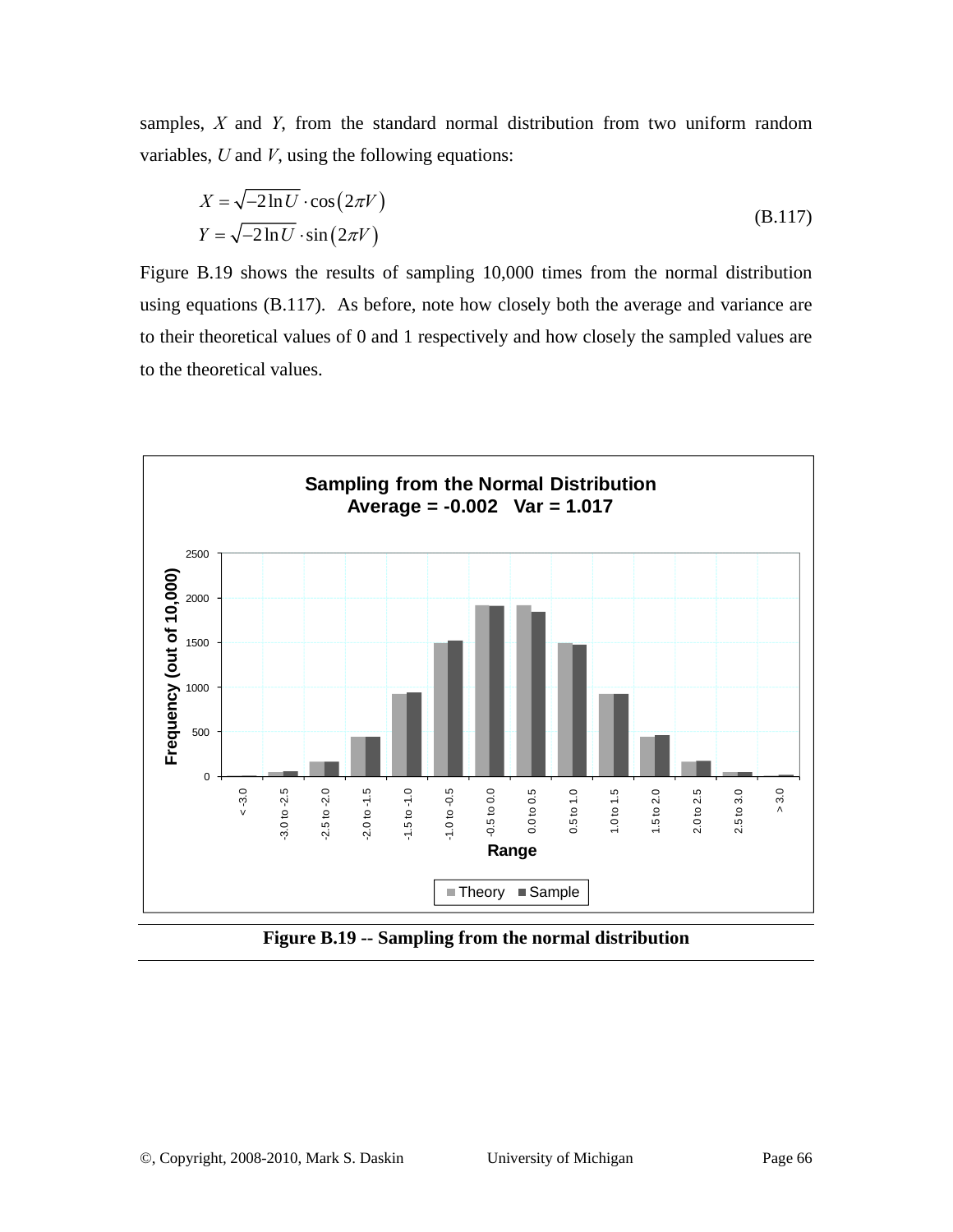samples, *X* and *Y*, from the standard normal distribution from two uniform random variables, *U* and *V*, using the following equations:

$$
X = \sqrt{-2\ln U} \cdot \cos(2\pi V)
$$
  
\n
$$
Y = \sqrt{-2\ln U} \cdot \sin(2\pi V)
$$
 (B.117)

Figure B.19 shows the results of sampling 10,000 times from the normal distribution using equations (B.117). As before, note how closely both the average and variance are to their theoretical values of 0 and 1 respectively and how closely the sampled values are to the theoretical values.



**Figure B.19 -- Sampling from the normal distribution**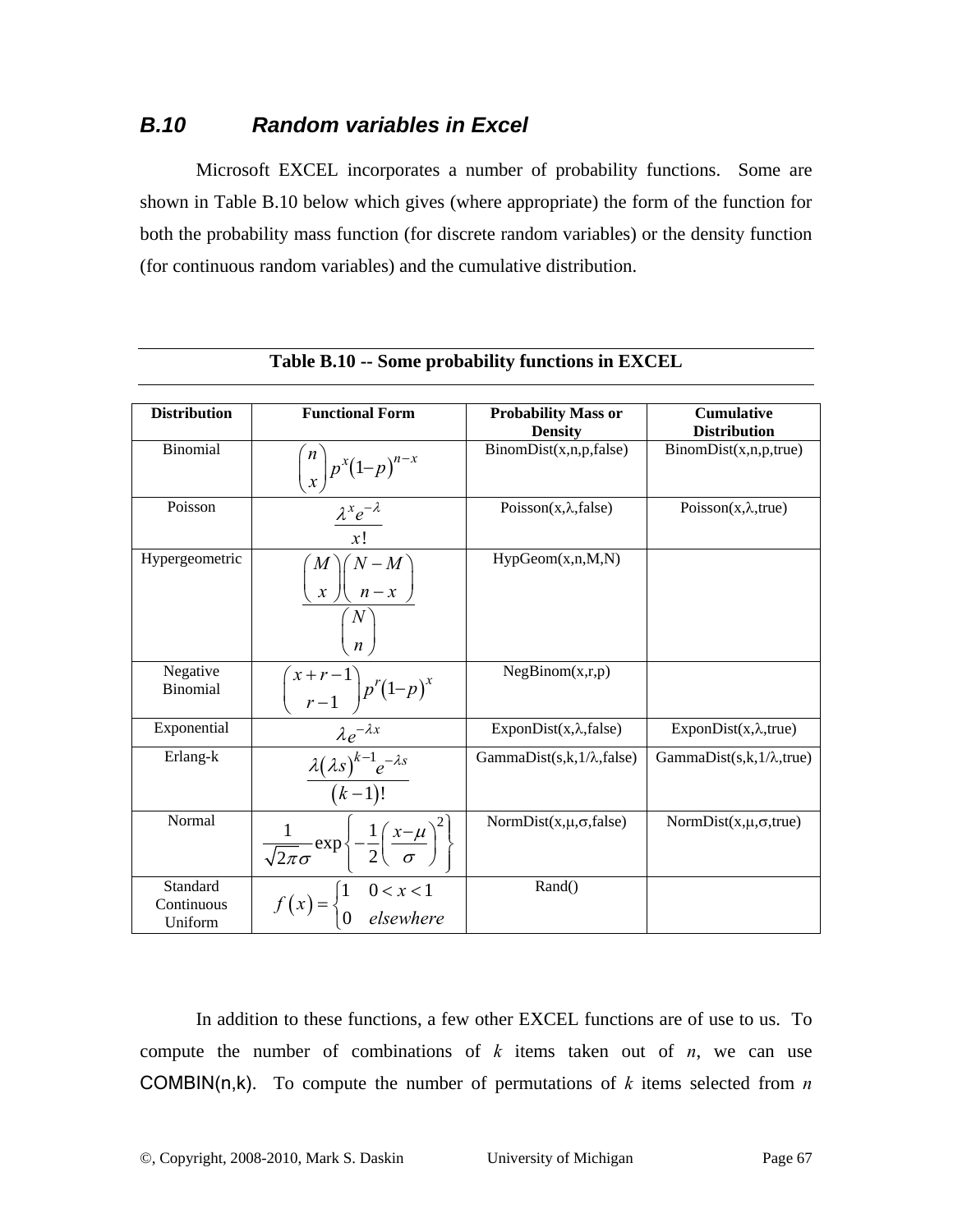## *B.10 Random variables in Excel*

Microsoft EXCEL incorporates a number of probability functions. Some are shown in Table B.10 below which gives (where appropriate) the form of the function for both the probability mass function (for discrete random variables) or the density function (for continuous random variables) and the cumulative distribution.

| <b>Distribution</b>               | <b>Functional Form</b>                                                                             | <b>Probability Mass or</b><br><b>Density</b> | <b>Cumulative</b><br><b>Distribution</b> |
|-----------------------------------|----------------------------------------------------------------------------------------------------|----------------------------------------------|------------------------------------------|
| Binomial                          | $\binom{n}{x} p^x (1-p)^{n-x}$                                                                     | BinomDist(x, n, p, false)                    | BinomDist(x, n, p, true)                 |
| Poisson                           | $\frac{\lambda^x e^{-\lambda}}{x!}$                                                                | Poisson $(x, \lambda, false)$                | Poisson $(x, \lambda, true)$             |
| Hypergeometric                    | $\binom{M}{x}\binom{N-M}{n-x}$<br>$\binom{N}{n}$                                                   | HypGeom(x, n, M, N)                          |                                          |
| Negative<br><b>Binomial</b>       | $\binom{x+r-1}{r-1} p^r (1-p)^x$                                                                   | NegBinom(x,r,p)                              |                                          |
| Exponential                       |                                                                                                    | ExponDist $(x, \lambda, false)$              | ExponDist $(x, \lambda, true)$           |
| Erlang-k                          | $\frac{\lambda e^{-\lambda x}}{\frac{\lambda (\lambda s)^{k-1}e^{-\lambda s}}{(k-1)!}}$            | GammaDist $(s,k,1/\lambda, false)$           | GammaDist $(s,k,1/\lambda,$ true)        |
| Normal                            | $\frac{1}{\sqrt{2\pi}\sigma} \exp \left\{-\frac{1}{2} \left(\frac{x-\mu}{\sigma}\right)^2\right\}$ | NormDist $(x,\mu,\sigma,\text{false})$       | NormDist $(x,\mu,\sigma,$ true)          |
| Standard<br>Continuous<br>Uniform | $f(x) = \begin{cases} 1 & 0 < x < 1 \\ 0 & \text{elsewhere} \end{cases}$                           | Rand()                                       |                                          |

|  | Table B.10 -- Some probability functions in EXCEL |  |  |
|--|---------------------------------------------------|--|--|
|--|---------------------------------------------------|--|--|

In addition to these functions, a few other EXCEL functions are of use to us. To compute the number of combinations of  $k$  items taken out of  $n$ , we can use COMBIN(n,k). To compute the number of permutations of *k* items selected from *n*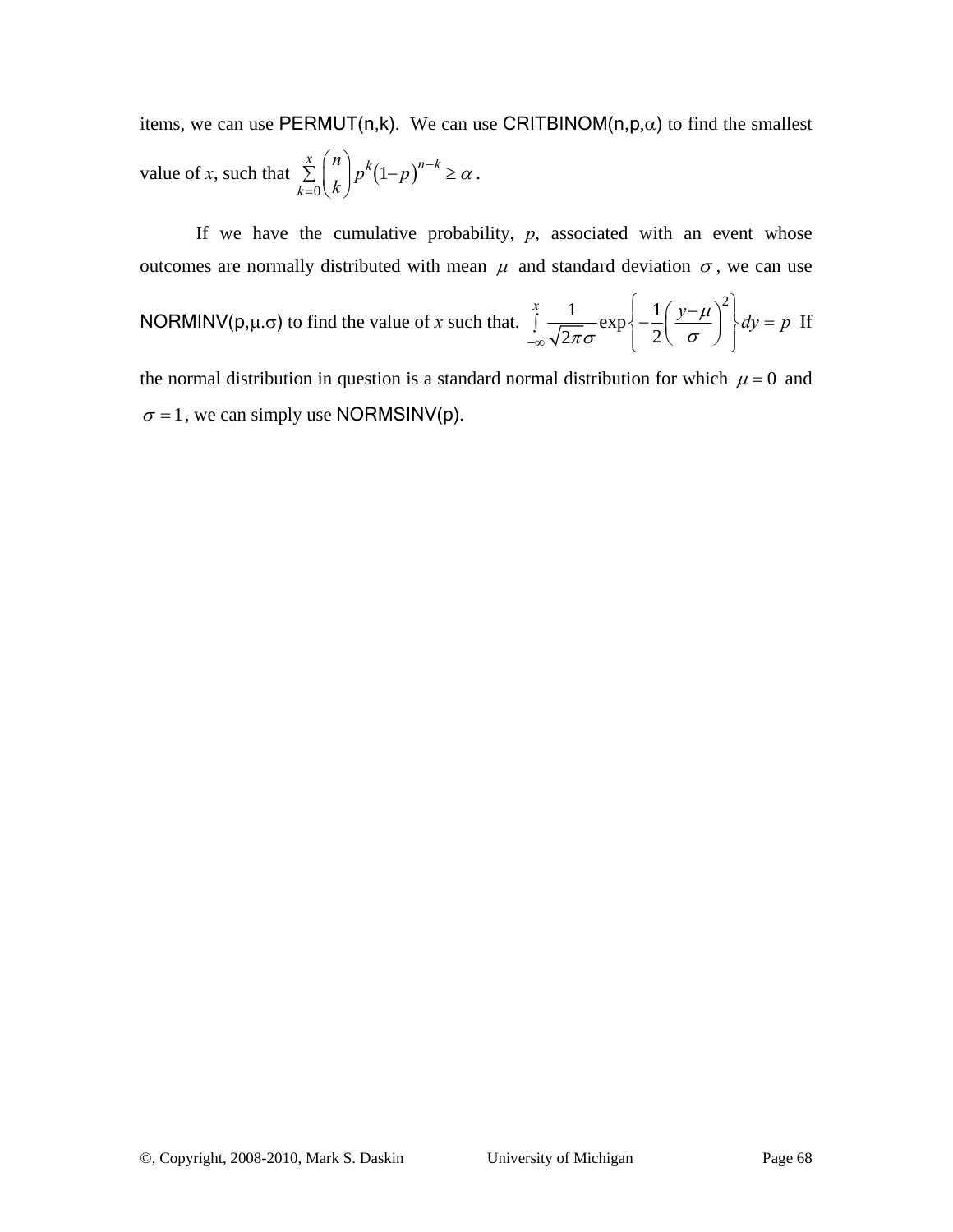items, we can use PERMUT(n,k). We can use CRITBINOM(n,p, $\alpha$ ) to find the smallest value of *x*, such that  $\sum | \cdot | p^k (1-p)$ 0  $\sum_{k=1}^{x} {n \choose k} p^{k} (1-p)^{n-k}$ *k n*  $\binom{n}{k} p^k (1-p)^{n-k} \geq \alpha$  $\sum_{k=0}^{x} {n \choose k} p^k (1-p)^{n-k} \ge \alpha$ .

If we have the cumulative probability,  $p$ , associated with an event whose outcomes are normally distributed with mean  $\mu$  and standard deviation  $\sigma$ , we can use

**NORMALIV(p,µ,σ)** to find the value of x such that. 
$$
\int_{-\infty}^{x} \frac{1}{\sqrt{2\pi}\sigma} \exp\left\{-\frac{1}{2}\left(\frac{y-\mu}{\sigma}\right)^2\right\} dy = p
$$

the normal distribution in question is a standard normal distribution for which  $\mu = 0$  and  $\sigma = 1$ , we can simply use NORMSINV(p).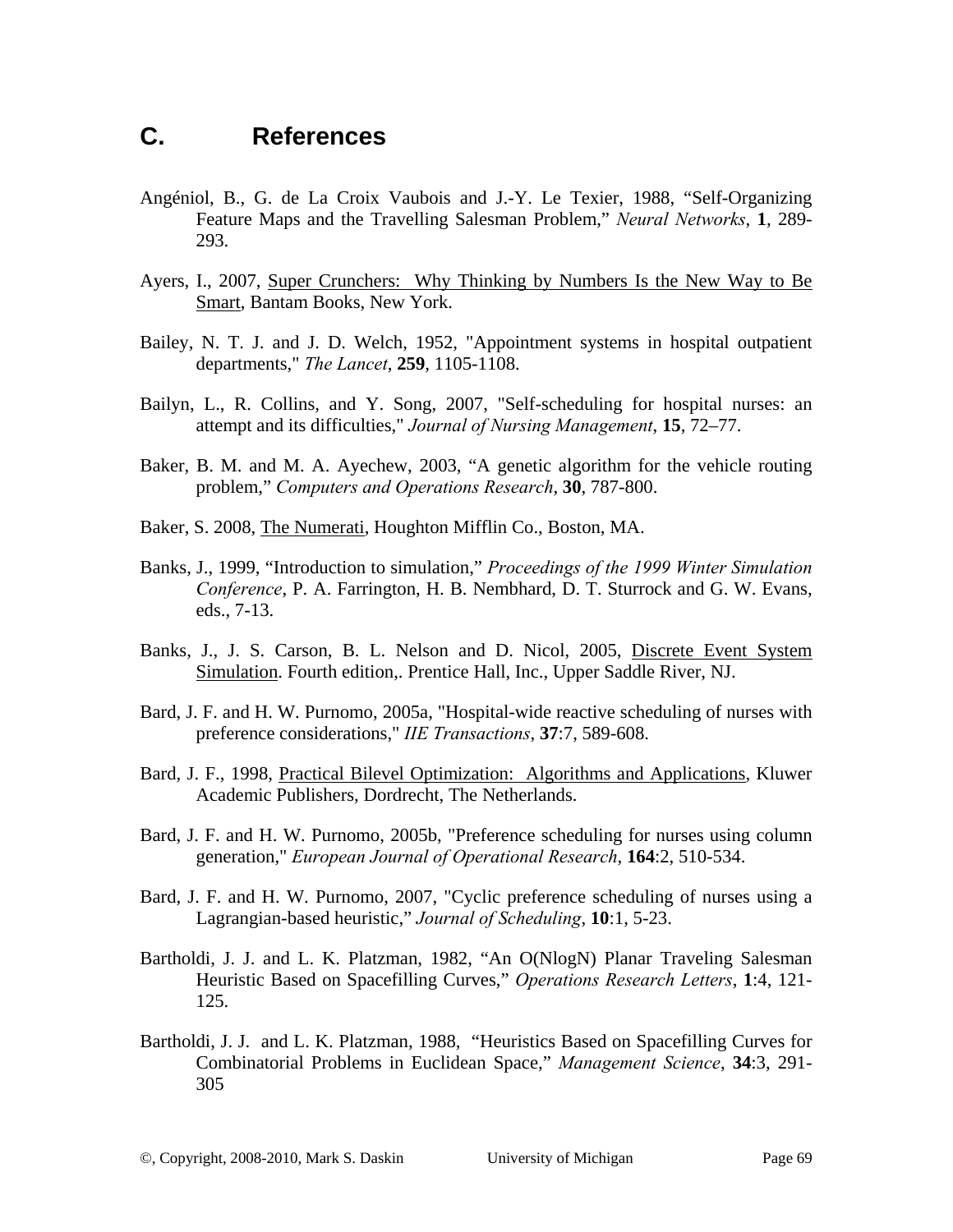# **C. References**

- Angéniol, B., G. de La Croix Vaubois and J.-Y. Le Texier, 1988, "Self-Organizing Feature Maps and the Travelling Salesman Problem," *Neural Networks*, **1**, 289- 293.
- Ayers, I., 2007, Super Crunchers: Why Thinking by Numbers Is the New Way to Be Smart, Bantam Books, New York.
- Bailey, N. T. J. and J. D. Welch, 1952, "Appointment systems in hospital outpatient departments," *The Lancet*, **259**, 1105-1108.
- Bailyn, L., R. Collins, and Y. Song, 2007, "Self-scheduling for hospital nurses: an attempt and its difficulties," *Journal of Nursing Management*, **15**, 72–77.
- Baker, B. M. and M. A. Ayechew, 2003, "A genetic algorithm for the vehicle routing problem," *Computers and Operations Research*, **30**, 787-800.
- Baker, S. 2008, The Numerati, Houghton Mifflin Co., Boston, MA.
- Banks, J., 1999, "Introduction to simulation," *Proceedings of the 1999 Winter Simulation Conference*, P. A. Farrington, H. B. Nembhard, D. T. Sturrock and G. W. Evans, eds., 7-13.
- Banks, J., J. S. Carson, B. L. Nelson and D. Nicol, 2005, Discrete Event System Simulation. Fourth edition,. Prentice Hall, Inc., Upper Saddle River, NJ.
- Bard, J. F. and H. W. Purnomo, 2005a, "Hospital-wide reactive scheduling of nurses with preference considerations," *IIE Transactions*, **37**:7, 589-608.
- Bard, J. F., 1998, Practical Bilevel Optimization: Algorithms and Applications, Kluwer Academic Publishers, Dordrecht, The Netherlands.
- Bard, J. F. and H. W. Purnomo, 2005b, "Preference scheduling for nurses using column generation," *European Journal of Operational Research*, **164**:2, 510-534.
- Bard, J. F. and H. W. Purnomo, 2007, "Cyclic preference scheduling of nurses using a Lagrangian-based heuristic," *Journal of Scheduling*, **10**:1, 5-23.
- Bartholdi, J. J. and L. K. Platzman, 1982, "An O(NlogN) Planar Traveling Salesman Heuristic Based on Spacefilling Curves," *Operations Research Letters*, **1**:4, 121- 125.
- Bartholdi, J. J. and L. K. Platzman, 1988, "Heuristics Based on Spacefilling Curves for Combinatorial Problems in Euclidean Space," *Management Science*, **34**:3, 291- 305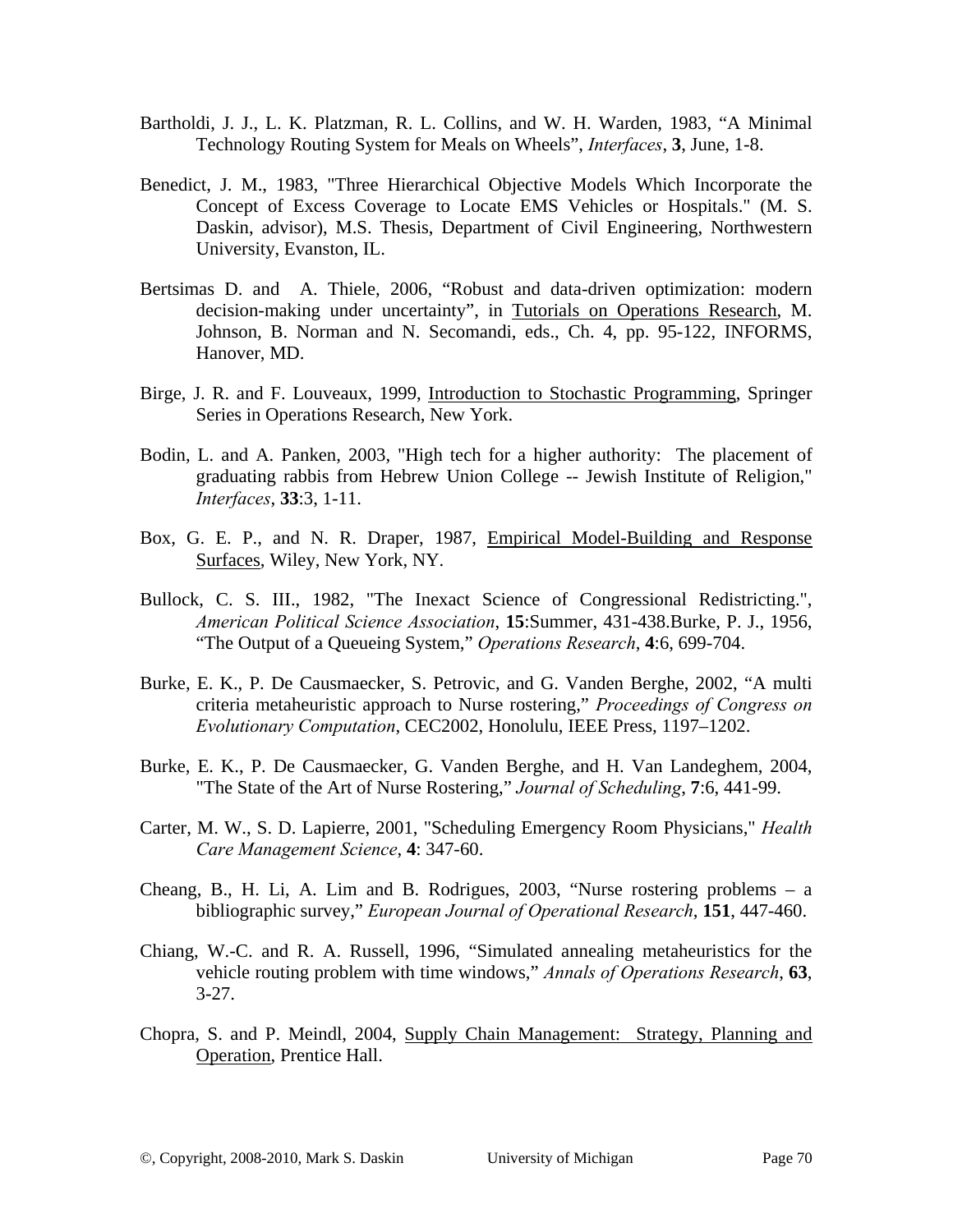- Bartholdi, J. J., L. K. Platzman, R. L. Collins, and W. H. Warden, 1983, "A Minimal Technology Routing System for Meals on Wheels", *Interfaces*, **3**, June, 1-8.
- Benedict, J. M., 1983, "Three Hierarchical Objective Models Which Incorporate the Concept of Excess Coverage to Locate EMS Vehicles or Hospitals." (M. S. Daskin, advisor), M.S. Thesis, Department of Civil Engineering, Northwestern University, Evanston, IL.
- Bertsimas D. and A. Thiele, 2006, "Robust and data-driven optimization: modern decision-making under uncertainty", in Tutorials on Operations Research, M. Johnson, B. Norman and N. Secomandi, eds., Ch. 4, pp. 95-122, INFORMS, Hanover, MD.
- Birge, J. R. and F. Louveaux, 1999, Introduction to Stochastic Programming, Springer Series in Operations Research, New York.
- Bodin, L. and A. Panken, 2003, "High tech for a higher authority: The placement of graduating rabbis from Hebrew Union College -- Jewish Institute of Religion," *Interfaces*, **33**:3, 1-11.
- Box, G. E. P., and N. R. Draper, 1987, Empirical Model-Building and Response Surfaces, Wiley, New York, NY.
- Bullock, C. S. III., 1982, "The Inexact Science of Congressional Redistricting.", *American Political Science Association*, **15**:Summer, 431-438.Burke, P. J., 1956, "The Output of a Queueing System," *Operations Research*, **4**:6, 699-704.
- Burke, E. K., P. De Causmaecker, S. Petrovic, and G. Vanden Berghe, 2002, "A multi criteria metaheuristic approach to Nurse rostering," *Proceedings of Congress on Evolutionary Computation*, CEC2002, Honolulu, IEEE Press, 1197–1202.
- Burke, E. K., P. De Causmaecker, G. Vanden Berghe, and H. Van Landeghem, 2004, "The State of the Art of Nurse Rostering," *Journal of Scheduling*, **7**:6, 441-99.
- Carter, M. W., S. D. Lapierre, 2001, "Scheduling Emergency Room Physicians," *Health Care Management Science*, **4**: 347-60.
- Cheang, B., H. Li, A. Lim and B. Rodrigues, 2003, "Nurse rostering problems a bibliographic survey," *European Journal of Operational Research*, **151**, 447-460.
- Chiang, W.-C. and R. A. Russell, 1996, "Simulated annealing metaheuristics for the vehicle routing problem with time windows," *Annals of Operations Research*, **63**,  $3-27.$
- Chopra, S. and P. Meindl, 2004, Supply Chain Management: Strategy, Planning and Operation, Prentice Hall.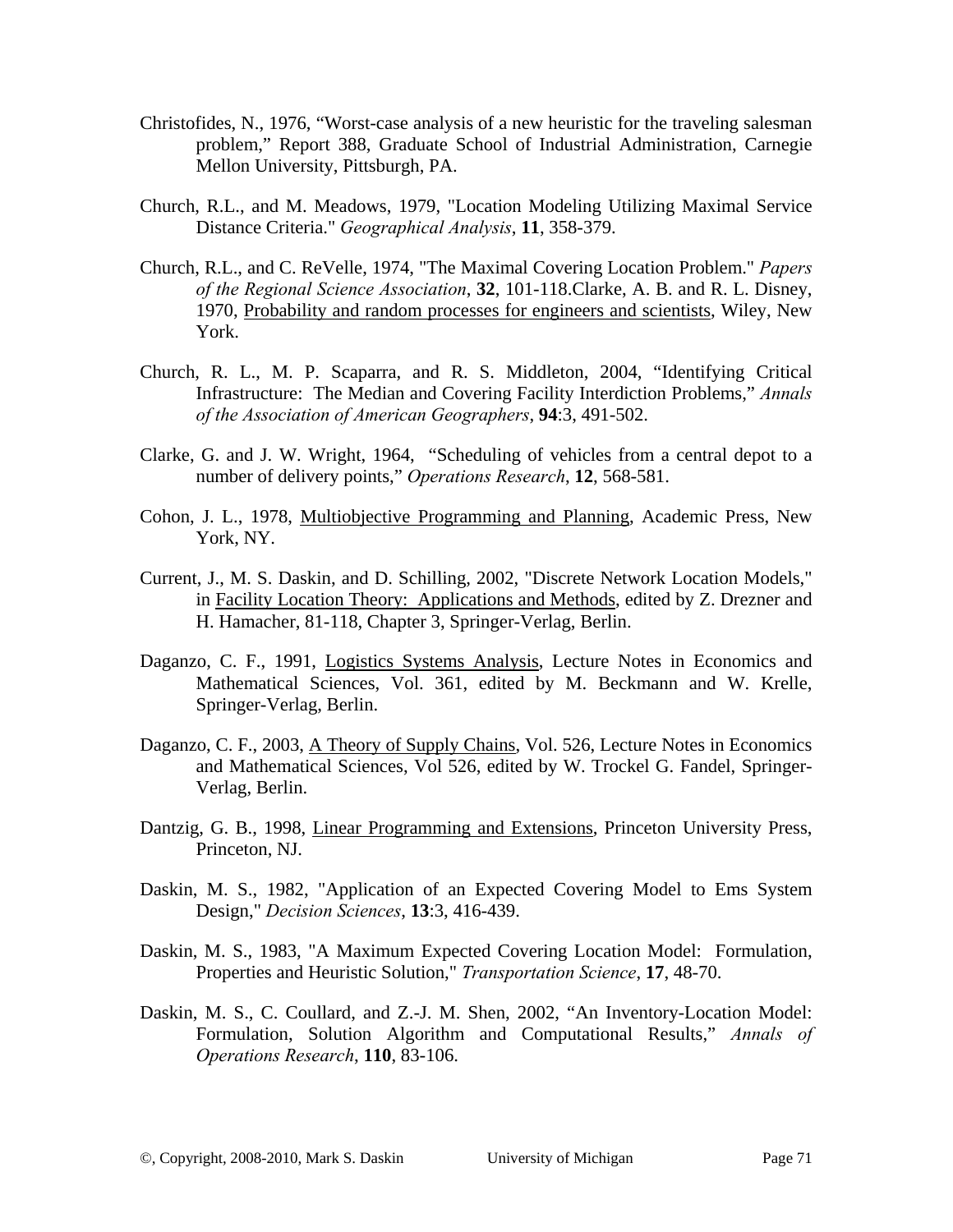- Christofides, N., 1976, "Worst-case analysis of a new heuristic for the traveling salesman problem," Report 388, Graduate School of Industrial Administration, Carnegie Mellon University, Pittsburgh, PA.
- Church, R.L., and M. Meadows, 1979, "Location Modeling Utilizing Maximal Service Distance Criteria." *Geographical Analysis*, **11**, 358-379.
- Church, R.L., and C. ReVelle, 1974, "The Maximal Covering Location Problem." *Papers of the Regional Science Association*, **32**, 101-118.Clarke, A. B. and R. L. Disney, 1970, Probability and random processes for engineers and scientists, Wiley, New York.
- Church, R. L., M. P. Scaparra, and R. S. Middleton, 2004, "Identifying Critical Infrastructure: The Median and Covering Facility Interdiction Problems," *Annals of the Association of American Geographers*, **94**:3, 491-502.
- Clarke, G. and J. W. Wright, 1964, "Scheduling of vehicles from a central depot to a number of delivery points," *Operations Research*, **12**, 568-581.
- Cohon, J. L., 1978, Multiobjective Programming and Planning, Academic Press, New York, NY.
- Current, J., M. S. Daskin, and D. Schilling, 2002, "Discrete Network Location Models," in Facility Location Theory: Applications and Methods, edited by Z. Drezner and H. Hamacher, 81-118, Chapter 3, Springer-Verlag, Berlin.
- Daganzo, C. F., 1991, Logistics Systems Analysis, Lecture Notes in Economics and Mathematical Sciences, Vol. 361, edited by M. Beckmann and W. Krelle, Springer-Verlag, Berlin.
- Daganzo, C. F., 2003, A Theory of Supply Chains, Vol. 526, Lecture Notes in Economics and Mathematical Sciences, Vol 526, edited by W. Trockel G. Fandel, Springer-Verlag, Berlin.
- Dantzig, G. B., 1998, Linear Programming and Extensions, Princeton University Press, Princeton, NJ.
- Daskin, M. S., 1982, "Application of an Expected Covering Model to Ems System Design," *Decision Sciences*, **13**:3, 416-439.
- Daskin, M. S., 1983, "A Maximum Expected Covering Location Model: Formulation, Properties and Heuristic Solution," *Transportation Science*, **17**, 48-70.
- Daskin, M. S., C. Coullard, and Z.-J. M. Shen, 2002, "An Inventory-Location Model: Formulation, Solution Algorithm and Computational Results," *Annals of Operations Research*, **110**, 83-106.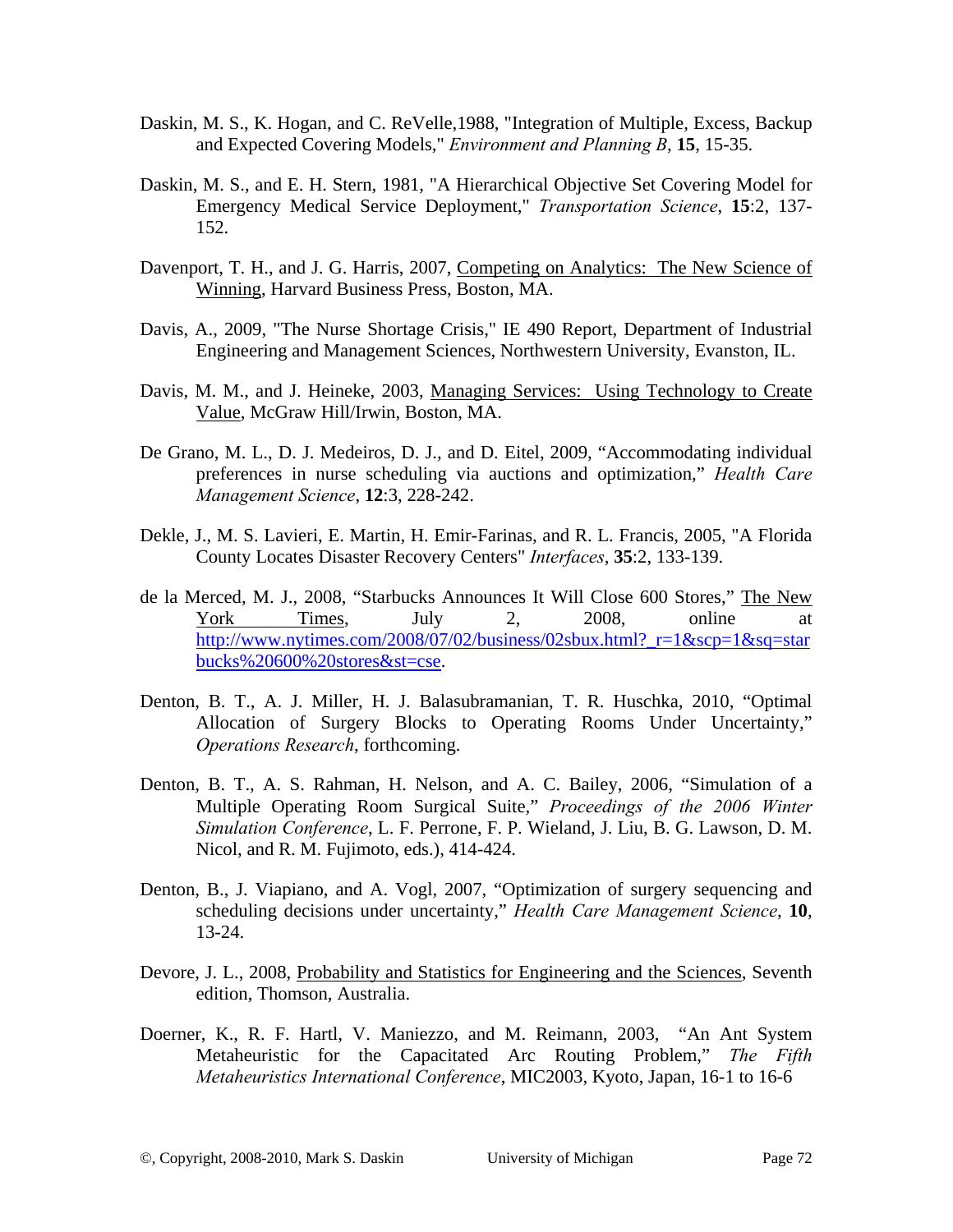- Daskin, M. S., K. Hogan, and C. ReVelle,1988, "Integration of Multiple, Excess, Backup and Expected Covering Models," *Environment and Planning B*, **15**, 15-35.
- Daskin, M. S., and E. H. Stern, 1981, "A Hierarchical Objective Set Covering Model for Emergency Medical Service Deployment," *Transportation Science*, **15**:2, 137- 152.
- Davenport, T. H., and J. G. Harris, 2007, Competing on Analytics: The New Science of Winning, Harvard Business Press, Boston, MA.
- Davis, A., 2009, "The Nurse Shortage Crisis," IE 490 Report, Department of Industrial Engineering and Management Sciences, Northwestern University, Evanston, IL.
- Davis, M. M., and J. Heineke, 2003, Managing Services: Using Technology to Create Value, McGraw Hill/Irwin, Boston, MA.
- De Grano, M. L., D. J. Medeiros, D. J., and D. Eitel, 2009, "Accommodating individual preferences in nurse scheduling via auctions and optimization," *Health Care Management Science*, **12**:3, 228-242.
- Dekle, J., M. S. Lavieri, E. Martin, H. Emir-Farinas, and R. L. Francis, 2005, "A Florida County Locates Disaster Recovery Centers" *Interfaces*, **35**:2, 133-139.
- de la Merced, M. J., 2008, "Starbucks Announces It Will Close 600 Stores," The New York Times, July 2, 2008, online at http://www.nytimes.com/2008/07/02/business/02sbux.html? $r=1$ &scp=1&sq=star bucks%20600%20stores&st=cse.
- Denton, B. T., A. J. Miller, H. J. Balasubramanian, T. R. Huschka, 2010, "Optimal Allocation of Surgery Blocks to Operating Rooms Under Uncertainty," *Operations Research*, forthcoming.
- Denton, B. T., A. S. Rahman, H. Nelson, and A. C. Bailey, 2006, "Simulation of a Multiple Operating Room Surgical Suite," *Proceedings of the 2006 Winter Simulation Conference*, L. F. Perrone, F. P. Wieland, J. Liu, B. G. Lawson, D. M. Nicol, and R. M. Fujimoto, eds.), 414-424.
- Denton, B., J. Viapiano, and A. Vogl, 2007, "Optimization of surgery sequencing and scheduling decisions under uncertainty," *Health Care Management Science*, **10**, 13-24.
- Devore, J. L., 2008, Probability and Statistics for Engineering and the Sciences, Seventh edition, Thomson, Australia.
- Doerner, K., R. F. Hartl, V. Maniezzo, and M. Reimann, 2003, "An Ant System Metaheuristic for the Capacitated Arc Routing Problem," *The Fifth Metaheuristics International Conference*, MIC2003, Kyoto, Japan, 16-1 to 16-6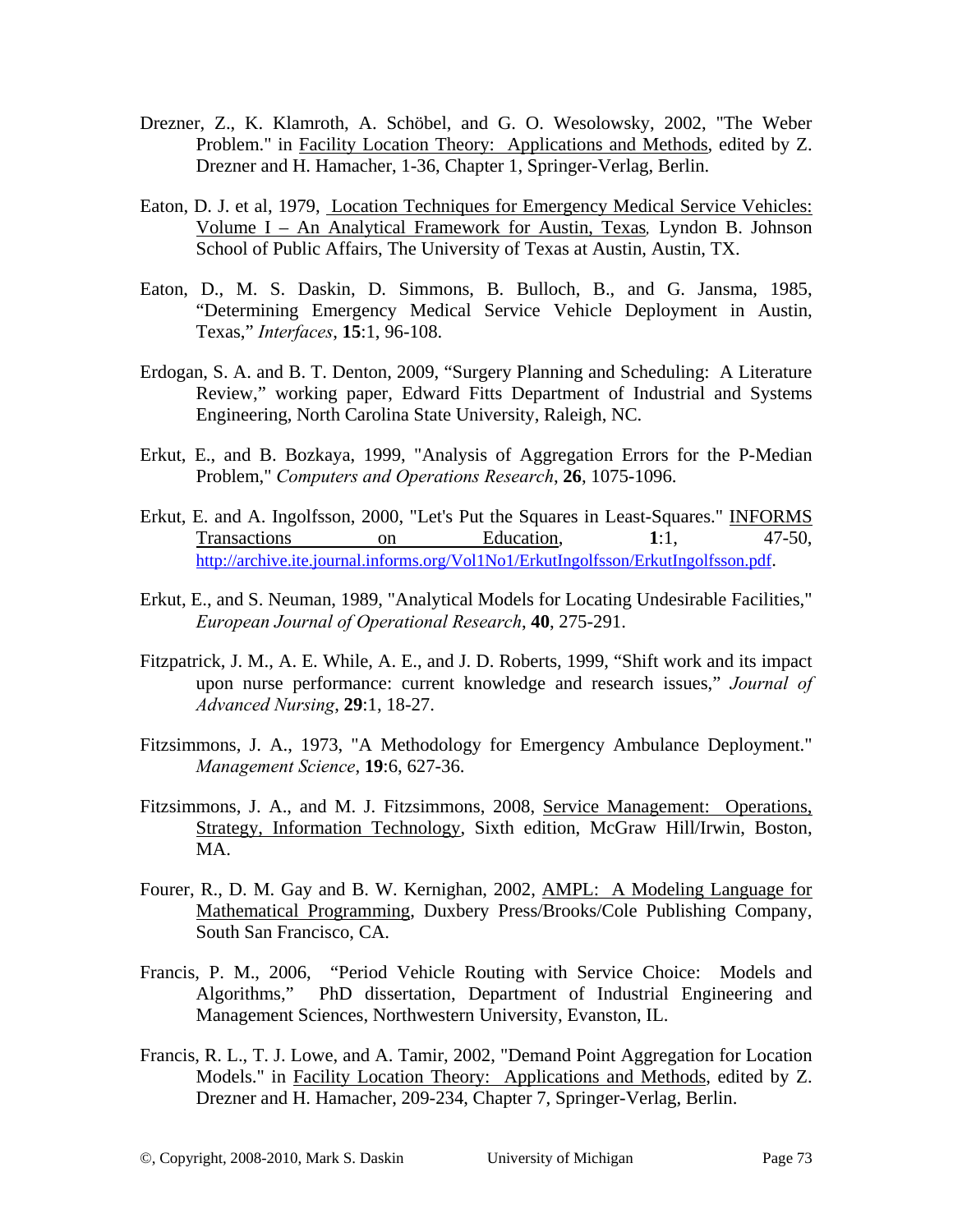- Drezner, Z., K. Klamroth, A. Schöbel, and G. O. Wesolowsky, 2002, "The Weber Problem." in Facility Location Theory: Applications and Methods, edited by Z. Drezner and H. Hamacher, 1-36, Chapter 1, Springer-Verlag, Berlin.
- Eaton, D. J. et al, 1979, Location Techniques for Emergency Medical Service Vehicles: Volume I – An Analytical Framework for Austin, Texas*,* Lyndon B. Johnson School of Public Affairs, The University of Texas at Austin, Austin, TX.
- Eaton, D., M. S. Daskin, D. Simmons, B. Bulloch, B., and G. Jansma, 1985, "Determining Emergency Medical Service Vehicle Deployment in Austin, Texas," *Interfaces*, **15**:1, 96-108.
- Erdogan, S. A. and B. T. Denton, 2009, "Surgery Planning and Scheduling: A Literature Review," working paper, Edward Fitts Department of Industrial and Systems Engineering, North Carolina State University, Raleigh, NC.
- Erkut, E., and B. Bozkaya, 1999, "Analysis of Aggregation Errors for the P-Median Problem," *Computers and Operations Research*, **26**, 1075-1096.
- Erkut, E. and A. Ingolfsson, 2000, "Let's Put the Squares in Least-Squares." INFORMS Transactions on Education, 1:1, 47-50, http://archive.ite.journal.informs.org/Vol1No1/ErkutIngolfsson/ErkutIngolfsson.pdf.
- Erkut, E., and S. Neuman, 1989, "Analytical Models for Locating Undesirable Facilities," *European Journal of Operational Research*, **40**, 275-291.
- Fitzpatrick, J. M., A. E. While, A. E., and J. D. Roberts, 1999, "Shift work and its impact upon nurse performance: current knowledge and research issues," *Journal of Advanced Nursing*, **29**:1, 18-27.
- Fitzsimmons, J. A., 1973, "A Methodology for Emergency Ambulance Deployment." *Management Science*, **19**:6, 627-36.
- Fitzsimmons, J. A., and M. J. Fitzsimmons, 2008, Service Management: Operations, Strategy, Information Technology, Sixth edition, McGraw Hill/Irwin, Boston, MA.
- Fourer, R., D. M. Gay and B. W. Kernighan, 2002, AMPL: A Modeling Language for Mathematical Programming, Duxbery Press/Brooks/Cole Publishing Company, South San Francisco, CA.
- Francis, P. M., 2006, "Period Vehicle Routing with Service Choice: Models and Algorithms," PhD dissertation, Department of Industrial Engineering and Management Sciences, Northwestern University, Evanston, IL.
- Francis, R. L., T. J. Lowe, and A. Tamir, 2002, "Demand Point Aggregation for Location Models." in Facility Location Theory: Applications and Methods, edited by Z. Drezner and H. Hamacher, 209-234, Chapter 7, Springer-Verlag, Berlin.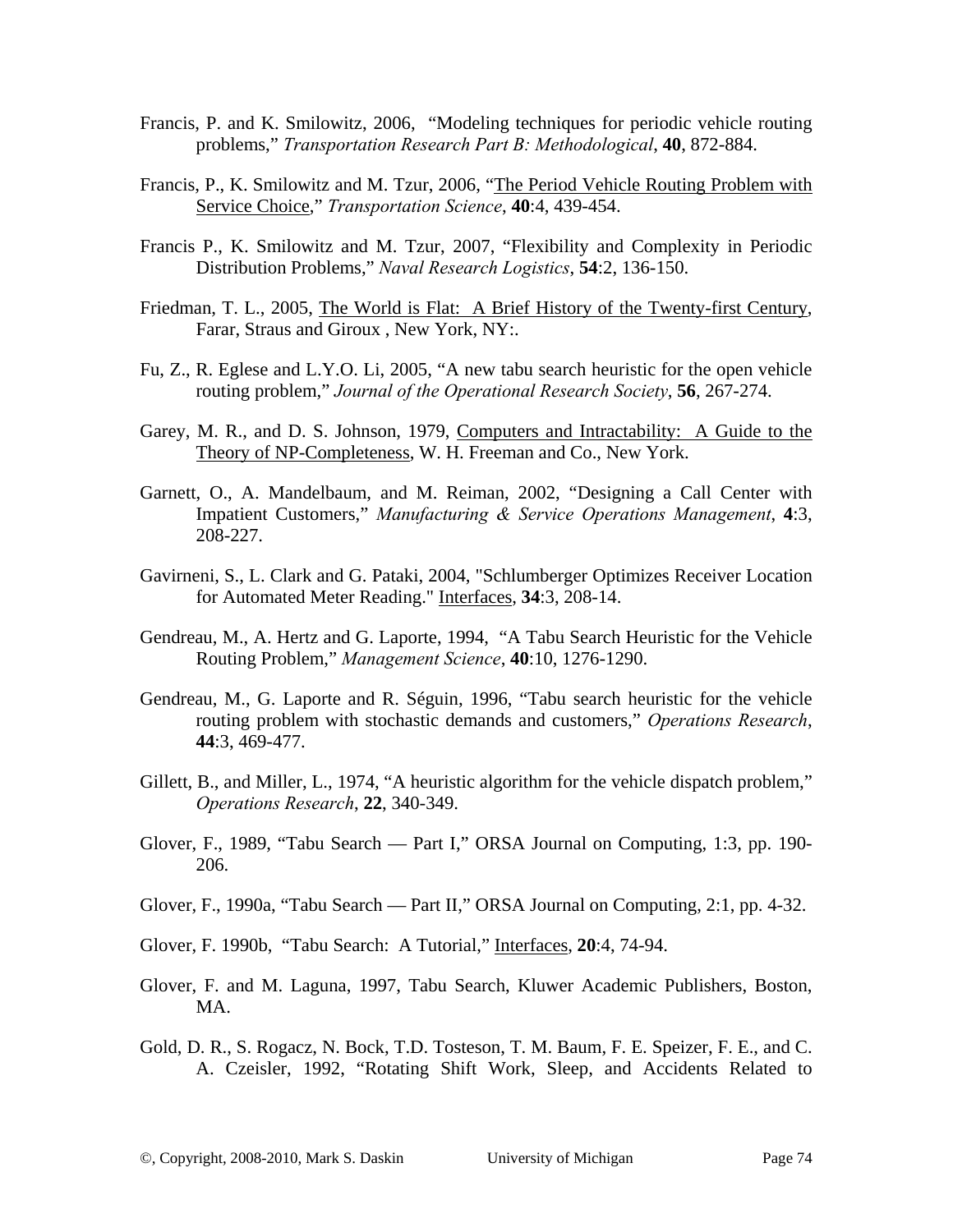- Francis, P. and K. Smilowitz, 2006, "Modeling techniques for periodic vehicle routing problems," *Transportation Research Part B: Methodological*, **40**, 872-884.
- Francis, P., K. Smilowitz and M. Tzur, 2006, "The Period Vehicle Routing Problem with Service Choice," *Transportation Science*, **40**:4, 439-454.
- Francis P., K. Smilowitz and M. Tzur, 2007, "Flexibility and Complexity in Periodic Distribution Problems," *Naval Research Logistics*, **54**:2, 136-150.
- Friedman, T. L., 2005, The World is Flat: A Brief History of the Twenty-first Century, Farar, Straus and Giroux , New York, NY:.
- Fu, Z., R. Eglese and L.Y.O. Li, 2005, "A new tabu search heuristic for the open vehicle routing problem," *Journal of the Operational Research Society*, **56**, 267-274.
- Garey, M. R., and D. S. Johnson, 1979, Computers and Intractability: A Guide to the Theory of NP-Completeness, W. H. Freeman and Co., New York.
- Garnett, O., A. Mandelbaum, and M. Reiman, 2002, "Designing a Call Center with Impatient Customers," *Manufacturing & Service Operations Management*, **4**:3, 208-227.
- Gavirneni, S., L. Clark and G. Pataki, 2004, "Schlumberger Optimizes Receiver Location for Automated Meter Reading." Interfaces, **34**:3, 208-14.
- Gendreau, M., A. Hertz and G. Laporte, 1994, "A Tabu Search Heuristic for the Vehicle Routing Problem," *Management Science*, **40**:10, 1276-1290.
- Gendreau, M., G. Laporte and R. Séguin, 1996, "Tabu search heuristic for the vehicle routing problem with stochastic demands and customers," *Operations Research*, **44**:3, 469-477.
- Gillett, B., and Miller, L., 1974, "A heuristic algorithm for the vehicle dispatch problem," *Operations Research*, **22**, 340-349.
- Glover, F., 1989, "Tabu Search Part I," ORSA Journal on Computing, 1:3, pp. 190- 206.
- Glover, F., 1990a, "Tabu Search Part II," ORSA Journal on Computing, 2:1, pp. 4-32.
- Glover, F. 1990b, "Tabu Search: A Tutorial," Interfaces, **20**:4, 74-94.
- Glover, F. and M. Laguna, 1997, Tabu Search, Kluwer Academic Publishers, Boston, MA.
- Gold, D. R., S. Rogacz, N. Bock, T.D. Tosteson, T. M. Baum, F. E. Speizer, F. E., and C. A. Czeisler, 1992, "Rotating Shift Work, Sleep, and Accidents Related to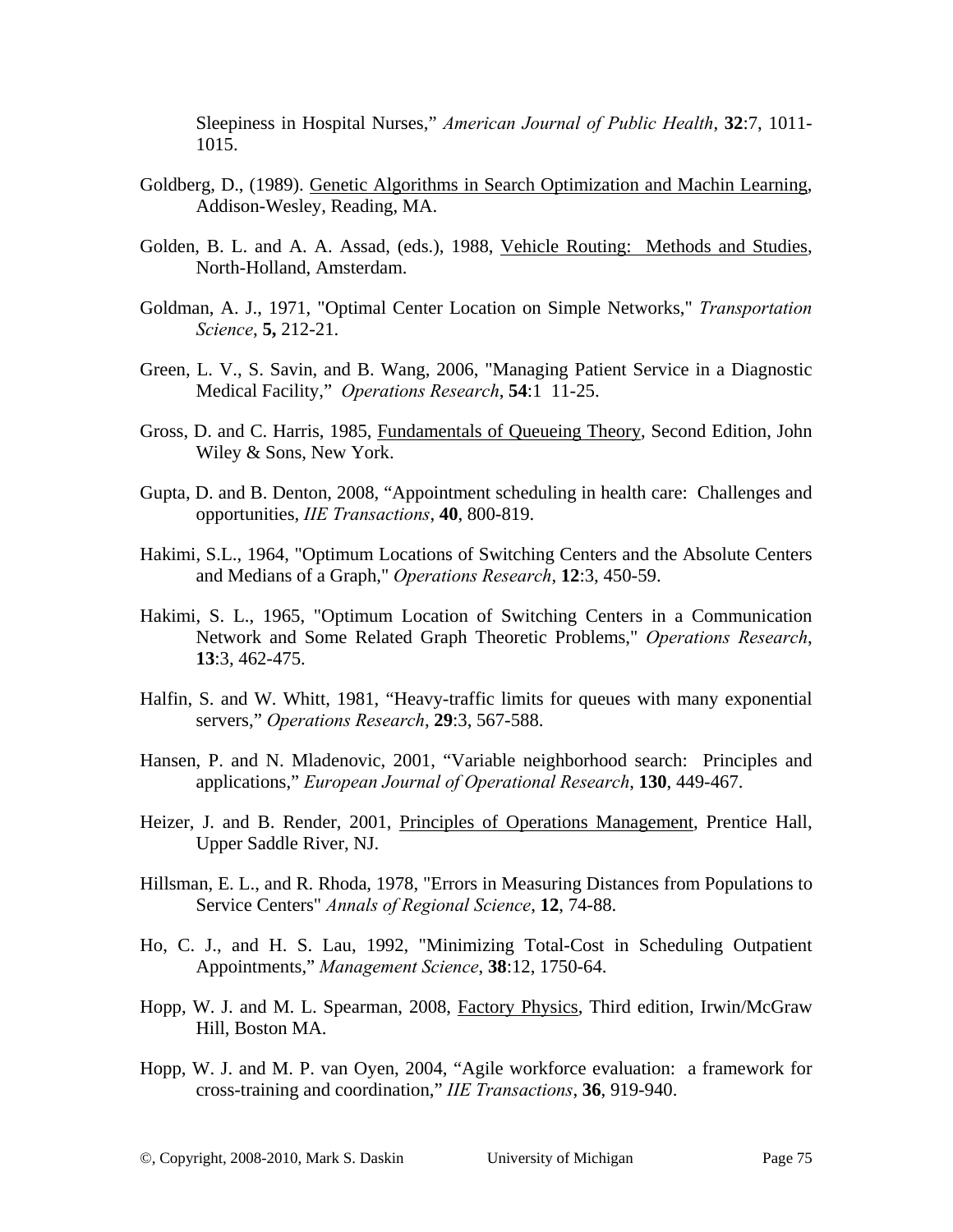Sleepiness in Hospital Nurses," *American Journal of Public Health*, **32**:7, 1011- 1015.

- Goldberg, D., (1989). Genetic Algorithms in Search Optimization and Machin Learning, Addison-Wesley, Reading, MA.
- Golden, B. L. and A. A. Assad, (eds.), 1988, Vehicle Routing: Methods and Studies, North-Holland, Amsterdam.
- Goldman, A. J., 1971, "Optimal Center Location on Simple Networks," *Transportation Science*, **5,** 212-21.
- Green, L. V., S. Savin, and B. Wang, 2006, "Managing Patient Service in a Diagnostic Medical Facility," *Operations Research*, **54**:1 11-25.
- Gross, D. and C. Harris, 1985, Fundamentals of Queueing Theory, Second Edition, John Wiley & Sons, New York.
- Gupta, D. and B. Denton, 2008, "Appointment scheduling in health care: Challenges and opportunities, *IIE Transactions*, **40**, 800-819.
- Hakimi, S.L., 1964, "Optimum Locations of Switching Centers and the Absolute Centers and Medians of a Graph," *Operations Research*, **12**:3, 450-59.
- Hakimi, S. L., 1965, "Optimum Location of Switching Centers in a Communication Network and Some Related Graph Theoretic Problems," *Operations Research*, **13**:3, 462-475.
- Halfin, S. and W. Whitt, 1981, "Heavy-traffic limits for queues with many exponential servers," *Operations Research*, **29**:3, 567-588.
- Hansen, P. and N. Mladenovic, 2001, "Variable neighborhood search: Principles and applications," *European Journal of Operational Research*, **130**, 449-467.
- Heizer, J. and B. Render, 2001, Principles of Operations Management, Prentice Hall, Upper Saddle River, NJ.
- Hillsman, E. L., and R. Rhoda, 1978, "Errors in Measuring Distances from Populations to Service Centers" *Annals of Regional Science*, **12**, 74-88.
- Ho, C. J., and H. S. Lau, 1992, "Minimizing Total-Cost in Scheduling Outpatient Appointments," *Management Science*, **38**:12, 1750-64.
- Hopp, W. J. and M. L. Spearman, 2008, Factory Physics, Third edition, Irwin/McGraw Hill, Boston MA.
- Hopp, W. J. and M. P. van Oyen, 2004, "Agile workforce evaluation: a framework for cross-training and coordination," *IIE Transactions*, **36**, 919-940.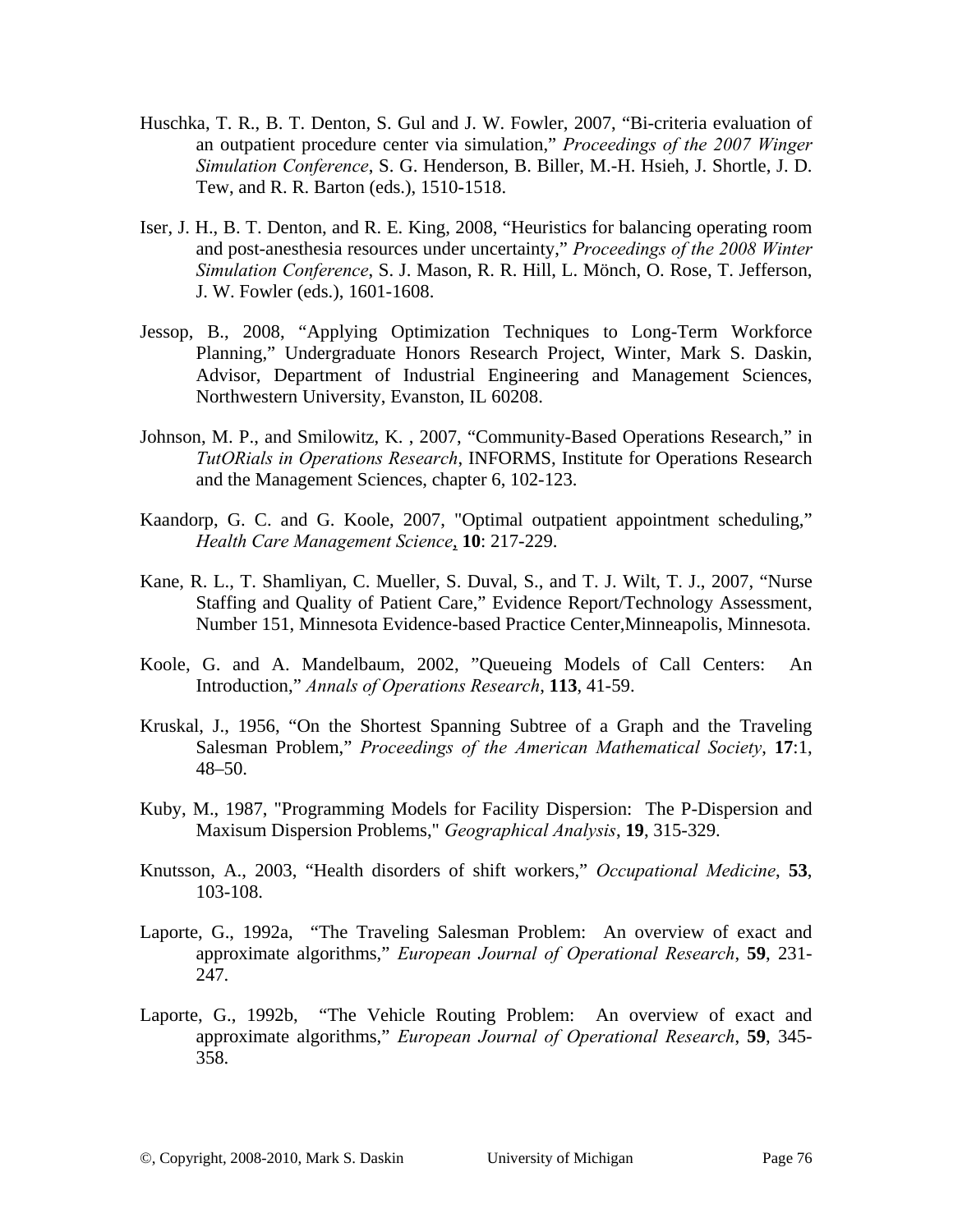- Huschka, T. R., B. T. Denton, S. Gul and J. W. Fowler, 2007, "Bi-criteria evaluation of an outpatient procedure center via simulation," *Proceedings of the 2007 Winger Simulation Conference*, S. G. Henderson, B. Biller, M.-H. Hsieh, J. Shortle, J. D. Tew, and R. R. Barton (eds.), 1510-1518.
- Iser, J. H., B. T. Denton, and R. E. King, 2008, "Heuristics for balancing operating room and post-anesthesia resources under uncertainty," *Proceedings of the 2008 Winter Simulation Conference*, S. J. Mason, R. R. Hill, L. Mönch, O. Rose, T. Jefferson, J. W. Fowler (eds.), 1601-1608.
- Jessop, B., 2008, "Applying Optimization Techniques to Long-Term Workforce Planning," Undergraduate Honors Research Project, Winter, Mark S. Daskin, Advisor, Department of Industrial Engineering and Management Sciences, Northwestern University, Evanston, IL 60208.
- Johnson, M. P., and Smilowitz, K. , 2007, "Community-Based Operations Research," in *TutORials in Operations Research*, INFORMS, Institute for Operations Research and the Management Sciences, chapter 6, 102-123.
- Kaandorp, G. C. and G. Koole, 2007, "Optimal outpatient appointment scheduling," *Health Care Management Science*, **10**: 217-229.
- Kane, R. L., T. Shamliyan, C. Mueller, S. Duval, S., and T. J. Wilt, T. J., 2007, "Nurse Staffing and Quality of Patient Care," Evidence Report/Technology Assessment, Number 151, Minnesota Evidence-based Practice Center,Minneapolis, Minnesota.
- Koole, G. and A. Mandelbaum, 2002, "Queueing Models of Call Centers: An Introduction," *Annals of Operations Research*, **113**, 41-59.
- Kruskal, J., 1956, "On the Shortest Spanning Subtree of a Graph and the Traveling Salesman Problem," *Proceedings of the American Mathematical Society*, **17**:1, 48–50.
- Kuby, M., 1987, "Programming Models for Facility Dispersion: The P-Dispersion and Maxisum Dispersion Problems," *Geographical Analysis*, **19**, 315-329.
- Knutsson, A., 2003, "Health disorders of shift workers," *Occupational Medicine*, **53**, 103-108.
- Laporte, G., 1992a, "The Traveling Salesman Problem: An overview of exact and approximate algorithms," *European Journal of Operational Research*, **59**, 231- 247.
- Laporte, G., 1992b, "The Vehicle Routing Problem: An overview of exact and approximate algorithms," *European Journal of Operational Research*, **59**, 345- 358.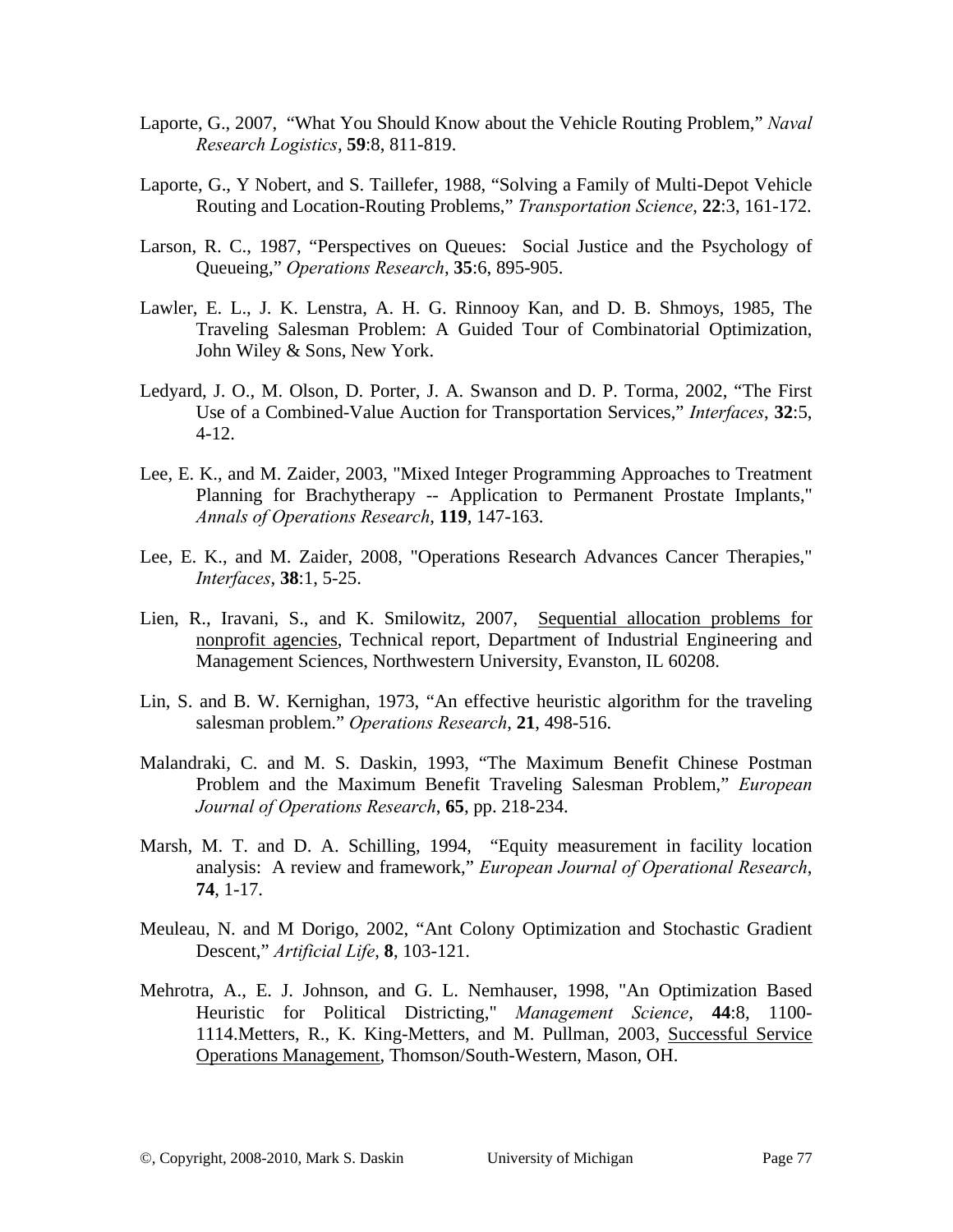- Laporte, G., 2007, "What You Should Know about the Vehicle Routing Problem," *Naval Research Logistics*, **59**:8, 811-819.
- Laporte, G., Y Nobert, and S. Taillefer, 1988, "Solving a Family of Multi-Depot Vehicle Routing and Location-Routing Problems," *Transportation Science*, **22**:3, 161-172.
- Larson, R. C., 1987, "Perspectives on Queues: Social Justice and the Psychology of Queueing," *Operations Research*, **35**:6, 895-905.
- Lawler, E. L., J. K. Lenstra, A. H. G. Rinnooy Kan, and D. B. Shmoys, 1985, The Traveling Salesman Problem: A Guided Tour of Combinatorial Optimization, John Wiley & Sons, New York.
- Ledyard, J. O., M. Olson, D. Porter, J. A. Swanson and D. P. Torma, 2002, "The First Use of a Combined-Value Auction for Transportation Services," *Interfaces*, **32**:5, 4-12.
- Lee, E. K., and M. Zaider, 2003, "Mixed Integer Programming Approaches to Treatment Planning for Brachytherapy -- Application to Permanent Prostate Implants," *Annals of Operations Research*, **119**, 147-163.
- Lee, E. K., and M. Zaider, 2008, "Operations Research Advances Cancer Therapies," *Interfaces*, **38**:1, 5-25.
- Lien, R., Iravani, S., and K. Smilowitz, 2007, Sequential allocation problems for nonprofit agencies, Technical report, Department of Industrial Engineering and Management Sciences, Northwestern University, Evanston, IL 60208.
- Lin, S. and B. W. Kernighan, 1973, "An effective heuristic algorithm for the traveling salesman problem." *Operations Research*, **21**, 498-516.
- Malandraki, C. and M. S. Daskin, 1993, "The Maximum Benefit Chinese Postman Problem and the Maximum Benefit Traveling Salesman Problem," *European Journal of Operations Research*, **65**, pp. 218-234.
- Marsh, M. T. and D. A. Schilling, 1994, "Equity measurement in facility location analysis: A review and framework," *European Journal of Operational Research*, **74**, 1-17.
- Meuleau, N. and M Dorigo, 2002, "Ant Colony Optimization and Stochastic Gradient Descent," *Artificial Life*, **8**, 103-121.
- Mehrotra, A., E. J. Johnson, and G. L. Nemhauser, 1998, "An Optimization Based Heuristic for Political Districting," *Management Science*, **44**:8, 1100- 1114.Metters, R., K. King-Metters, and M. Pullman, 2003, Successful Service Operations Management, Thomson/South-Western, Mason, OH.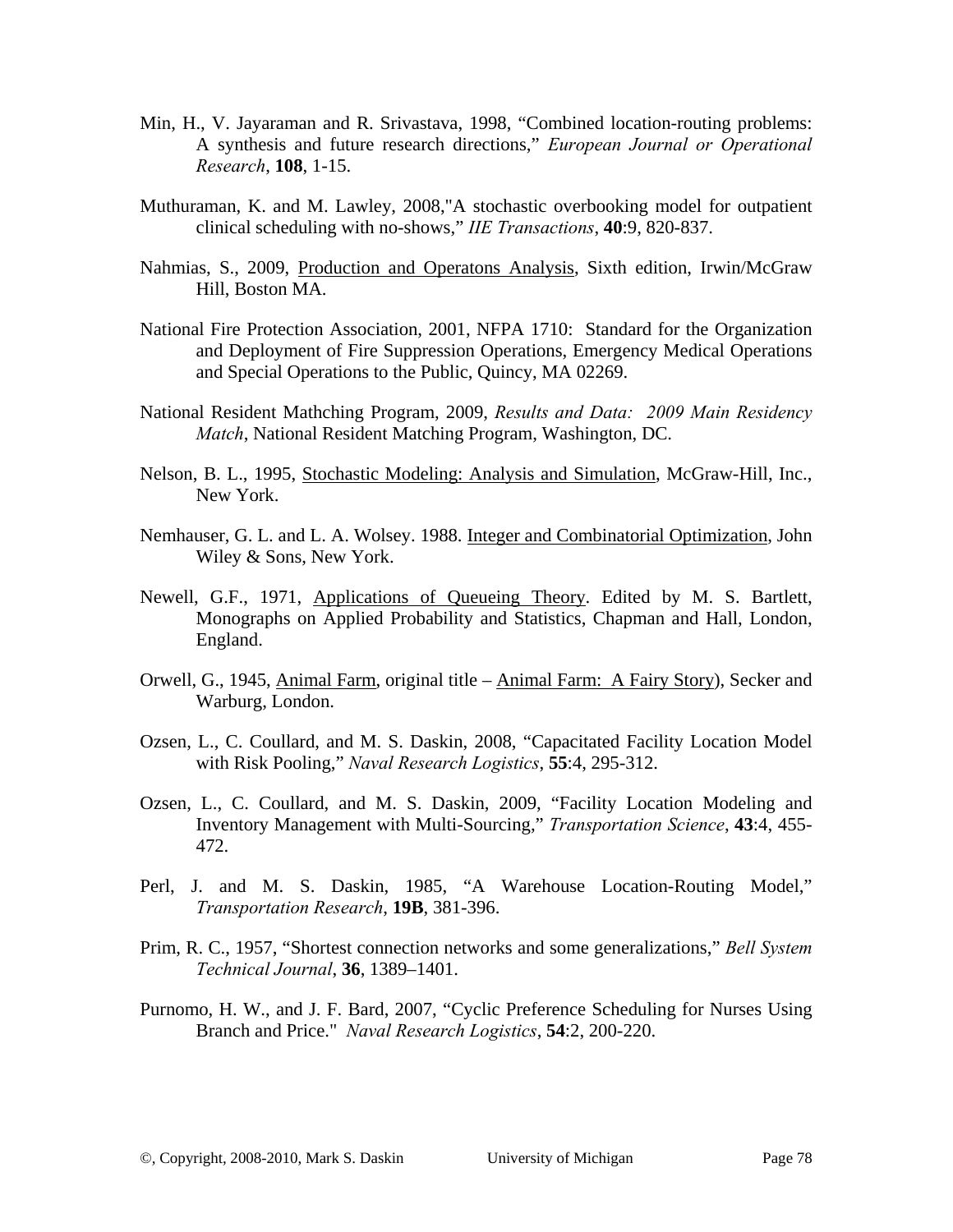- Min, H., V. Jayaraman and R. Srivastava, 1998, "Combined location-routing problems: A synthesis and future research directions," *European Journal or Operational Research*, **108**, 1-15.
- Muthuraman, K. and M. Lawley, 2008,"A stochastic overbooking model for outpatient clinical scheduling with no-shows," *IIE Transactions*, **40**:9, 820-837.
- Nahmias, S., 2009, Production and Operatons Analysis, Sixth edition, Irwin/McGraw Hill, Boston MA.
- National Fire Protection Association, 2001, NFPA 1710: Standard for the Organization and Deployment of Fire Suppression Operations, Emergency Medical Operations and Special Operations to the Public, Quincy, MA 02269.
- National Resident Mathching Program, 2009, *Results and Data: 2009 Main Residency Match*, National Resident Matching Program, Washington, DC.
- Nelson, B. L., 1995, Stochastic Modeling: Analysis and Simulation, McGraw-Hill, Inc., New York.
- Nemhauser, G. L. and L. A. Wolsey. 1988. Integer and Combinatorial Optimization, John Wiley & Sons, New York.
- Newell, G.F., 1971, Applications of Queueing Theory. Edited by M. S. Bartlett, Monographs on Applied Probability and Statistics, Chapman and Hall, London, England.
- Orwell, G., 1945, Animal Farm, original title Animal Farm: A Fairy Story), Secker and Warburg, London.
- Ozsen, L., C. Coullard, and M. S. Daskin, 2008, "Capacitated Facility Location Model with Risk Pooling," *Naval Research Logistics*, **55**:4, 295-312.
- Ozsen, L., C. Coullard, and M. S. Daskin, 2009, "Facility Location Modeling and Inventory Management with Multi-Sourcing," *Transportation Science*, **43**:4, 455- 472.
- Perl, J. and M. S. Daskin, 1985, "A Warehouse Location-Routing Model," *Transportation Research*, **19B**, 381-396.
- Prim, R. C., 1957, "Shortest connection networks and some generalizations," *Bell System Technical Journal*, **36**, 1389–1401.
- Purnomo, H. W., and J. F. Bard, 2007, "Cyclic Preference Scheduling for Nurses Using Branch and Price." *Naval Research Logistics*, **54**:2, 200-220.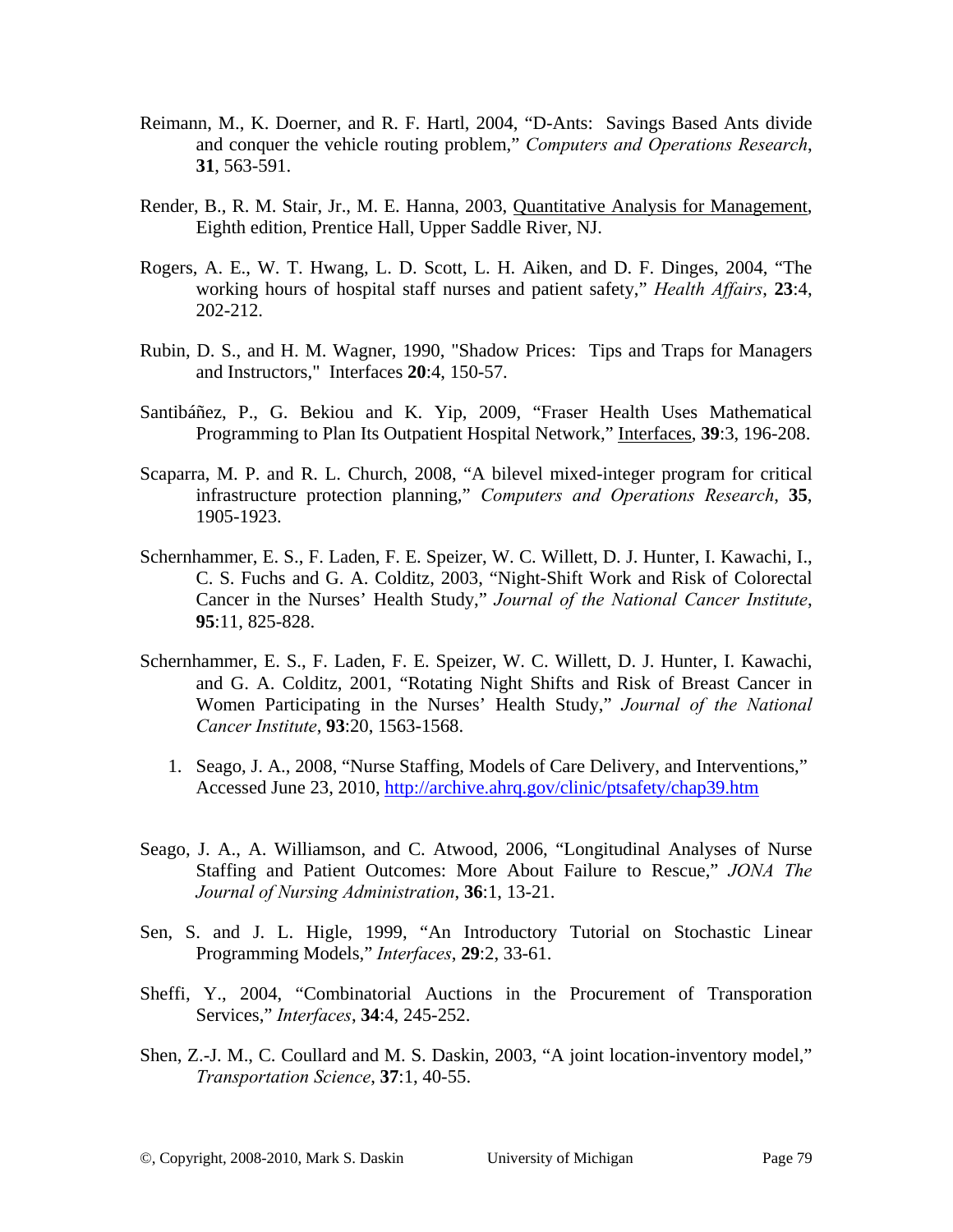- Reimann, M., K. Doerner, and R. F. Hartl, 2004, "D-Ants: Savings Based Ants divide and conquer the vehicle routing problem," *Computers and Operations Research*, **31**, 563-591.
- Render, B., R. M. Stair, Jr., M. E. Hanna, 2003, Quantitative Analysis for Management, Eighth edition, Prentice Hall, Upper Saddle River, NJ.
- Rogers, A. E., W. T. Hwang, L. D. Scott, L. H. Aiken, and D. F. Dinges, 2004, "The working hours of hospital staff nurses and patient safety," *Health Affairs*, **23**:4, 202-212.
- Rubin, D. S., and H. M. Wagner, 1990, "Shadow Prices: Tips and Traps for Managers and Instructors," Interfaces **20**:4, 150-57.
- Santibáñez, P., G. Bekiou and K. Yip, 2009, "Fraser Health Uses Mathematical Programming to Plan Its Outpatient Hospital Network," Interfaces, **39**:3, 196-208.
- Scaparra, M. P. and R. L. Church, 2008, "A bilevel mixed-integer program for critical infrastructure protection planning," *Computers and Operations Research*, **35**, 1905-1923.
- Schernhammer, E. S., F. Laden, F. E. Speizer, W. C. Willett, D. J. Hunter, I. Kawachi, I., C. S. Fuchs and G. A. Colditz, 2003, "Night-Shift Work and Risk of Colorectal Cancer in the Nurses' Health Study," *Journal of the National Cancer Institute*, **95**:11, 825-828.
- Schernhammer, E. S., F. Laden, F. E. Speizer, W. C. Willett, D. J. Hunter, I. Kawachi, and G. A. Colditz, 2001, "Rotating Night Shifts and Risk of Breast Cancer in Women Participating in the Nurses' Health Study," *Journal of the National Cancer Institute*, **93**:20, 1563-1568.
	- 1. Seago, J. A., 2008, "Nurse Staffing, Models of Care Delivery, and Interventions," Accessed June 23, 2010, http://archive.ahrq.gov/clinic/ptsafety/chap39.htm
- Seago, J. A., A. Williamson, and C. Atwood, 2006, "Longitudinal Analyses of Nurse Staffing and Patient Outcomes: More About Failure to Rescue," *JONA The Journal of Nursing Administration*, **36**:1, 13-21.
- Sen, S. and J. L. Higle, 1999, "An Introductory Tutorial on Stochastic Linear Programming Models," *Interfaces*, **29**:2, 33-61.
- Sheffi, Y., 2004, "Combinatorial Auctions in the Procurement of Transporation Services," *Interfaces*, **34**:4, 245-252.
- Shen, Z.-J. M., C. Coullard and M. S. Daskin, 2003, "A joint location-inventory model," *Transportation Science*, **37**:1, 40-55.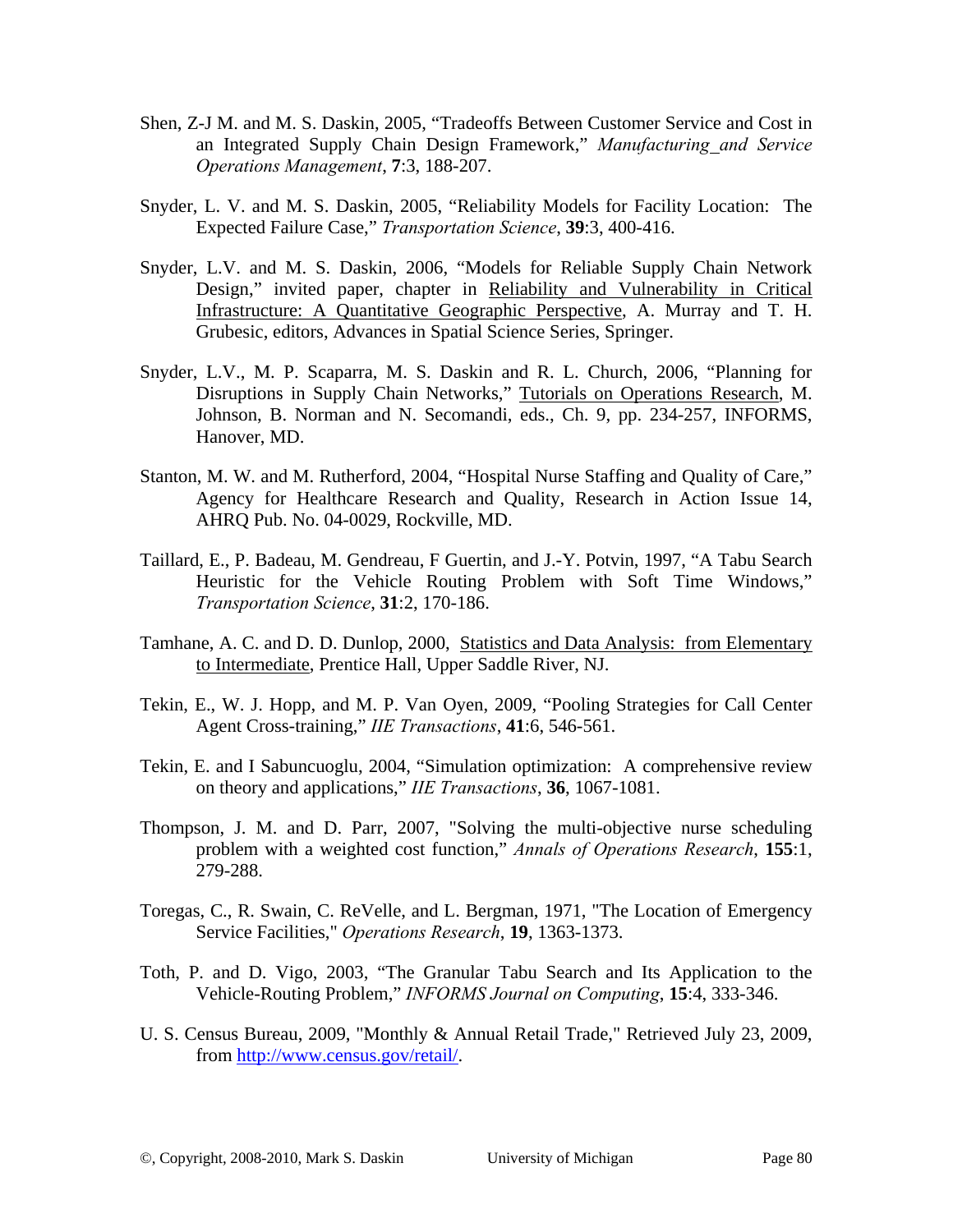- Shen, Z-J M. and M. S. Daskin, 2005, "Tradeoffs Between Customer Service and Cost in an Integrated Supply Chain Design Framework," *Manufacturing and Service Operations Management*, **7**:3, 188-207.
- Snyder, L. V. and M. S. Daskin, 2005, "Reliability Models for Facility Location: The Expected Failure Case," *Transportation Science*, **39**:3, 400-416.
- Snyder, L.V. and M. S. Daskin, 2006, "Models for Reliable Supply Chain Network Design," invited paper, chapter in Reliability and Vulnerability in Critical Infrastructure: A Quantitative Geographic Perspective, A. Murray and T. H. Grubesic, editors, Advances in Spatial Science Series, Springer.
- Snyder, L.V., M. P. Scaparra, M. S. Daskin and R. L. Church, 2006, "Planning for Disruptions in Supply Chain Networks," Tutorials on Operations Research, M. Johnson, B. Norman and N. Secomandi, eds., Ch. 9, pp. 234-257, INFORMS, Hanover, MD.
- Stanton, M. W. and M. Rutherford, 2004, "Hospital Nurse Staffing and Quality of Care," Agency for Healthcare Research and Quality, Research in Action Issue 14, AHRQ Pub. No. 04-0029, Rockville, MD.
- Taillard, E., P. Badeau, M. Gendreau, F Guertin, and J.-Y. Potvin, 1997, "A Tabu Search Heuristic for the Vehicle Routing Problem with Soft Time Windows," *Transportation Science*, **31**:2, 170-186.
- Tamhane, A. C. and D. D. Dunlop, 2000, Statistics and Data Analysis: from Elementary to Intermediate, Prentice Hall, Upper Saddle River, NJ.
- Tekin, E., W. J. Hopp, and M. P. Van Oyen, 2009, "Pooling Strategies for Call Center Agent Cross-training," *IIE Transactions*, **41**:6, 546-561.
- Tekin, E. and I Sabuncuoglu, 2004, "Simulation optimization: A comprehensive review on theory and applications," *IIE Transactions*, **36**, 1067-1081.
- Thompson, J. M. and D. Parr, 2007, "Solving the multi-objective nurse scheduling problem with a weighted cost function," *Annals of Operations Research*, **155**:1, 279-288.
- Toregas, C., R. Swain, C. ReVelle, and L. Bergman, 1971, "The Location of Emergency Service Facilities," *Operations Research*, **19**, 1363-1373.
- Toth, P. and D. Vigo, 2003, "The Granular Tabu Search and Its Application to the Vehicle-Routing Problem," *INFORMS Journal on Computing*, **15**:4, 333-346.
- U. S. Census Bureau, 2009, "Monthly & Annual Retail Trade," Retrieved July 23, 2009, from http://www.census.gov/retail/.